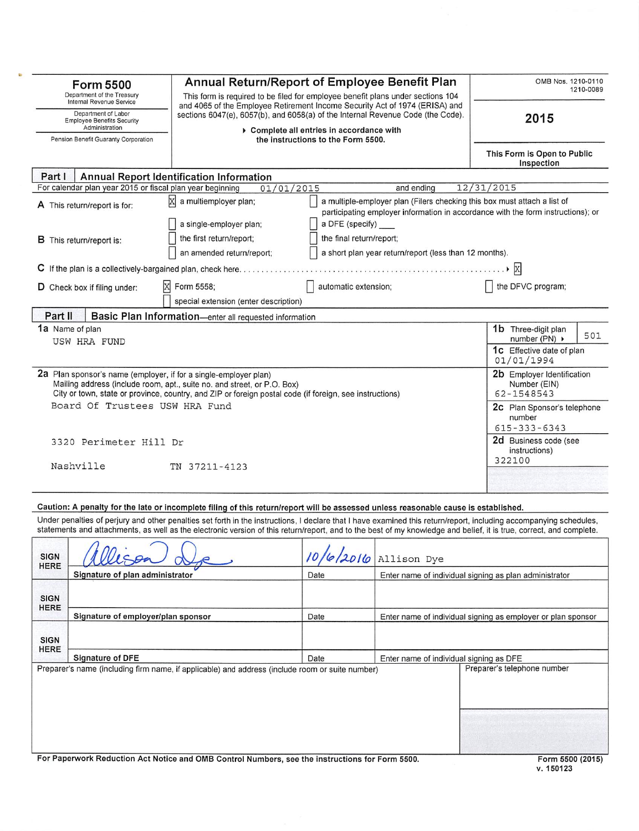|                                                                                                                    | <b>Form 5500</b>                                                                                                                                             | Annual Return/Report of Employee Benefit Plan                                                                                                                                                                                                                                                                                             | OMB Nos. 1210-0110<br>1210-0089                                                                                            |                                                        |                                                              |  |  |
|--------------------------------------------------------------------------------------------------------------------|--------------------------------------------------------------------------------------------------------------------------------------------------------------|-------------------------------------------------------------------------------------------------------------------------------------------------------------------------------------------------------------------------------------------------------------------------------------------------------------------------------------------|----------------------------------------------------------------------------------------------------------------------------|--------------------------------------------------------|--------------------------------------------------------------|--|--|
|                                                                                                                    | Department of the Treasury<br>Internal Revenue Service                                                                                                       | This form is required to be filed for employee benefit plans under sections 104<br>and 4065 of the Employee Retirement Income Security Act of 1974 (ERISA) and                                                                                                                                                                            |                                                                                                                            |                                                        |                                                              |  |  |
| Department of Labor<br><b>Employee Benefits Security</b><br>Administration<br>Pension Benefit Guaranty Corporation |                                                                                                                                                              |                                                                                                                                                                                                                                                                                                                                           | sections 6047(e), 6057(b), and 6058(a) of the Internal Revenue Code (the Code).<br>Complete all entries in accordance with |                                                        |                                                              |  |  |
|                                                                                                                    |                                                                                                                                                              |                                                                                                                                                                                                                                                                                                                                           | the instructions to the Form 5500.                                                                                         |                                                        |                                                              |  |  |
| Part I                                                                                                             |                                                                                                                                                              | <b>Annual Report Identification Information</b>                                                                                                                                                                                                                                                                                           |                                                                                                                            |                                                        |                                                              |  |  |
|                                                                                                                    | For calendar plan year 2015 or fiscal plan year beginning                                                                                                    | 01/01/2015<br>ÞХ<br>a multiemployer plan;                                                                                                                                                                                                                                                                                                 |                                                                                                                            | and ending                                             | 12/31/2015                                                   |  |  |
| A This return/report is for:                                                                                       | a multiple-employer plan (Filers checking this box must attach a list of<br>participating employer information in accordance with the form instructions); or |                                                                                                                                                                                                                                                                                                                                           |                                                                                                                            |                                                        |                                                              |  |  |
|                                                                                                                    | <b>B</b> This return/report is:                                                                                                                              | the first return/report;<br>an amended return/report;                                                                                                                                                                                                                                                                                     | the final return/report;                                                                                                   | a short plan year return/report (less than 12 months). |                                                              |  |  |
|                                                                                                                    |                                                                                                                                                              |                                                                                                                                                                                                                                                                                                                                           |                                                                                                                            |                                                        | $\mathbf{X}$                                                 |  |  |
|                                                                                                                    | D Check box if filing under:                                                                                                                                 | X<br>Form 5558;<br>special extension (enter description)                                                                                                                                                                                                                                                                                  | automatic extension;                                                                                                       |                                                        | the DFVC program;                                            |  |  |
| Part II                                                                                                            |                                                                                                                                                              | Basic Plan Information-enter all requested information                                                                                                                                                                                                                                                                                    |                                                                                                                            |                                                        |                                                              |  |  |
|                                                                                                                    | 1a Name of plan<br>USW HRA FUND                                                                                                                              |                                                                                                                                                                                                                                                                                                                                           |                                                                                                                            |                                                        | 1b Three-digit plan<br>501<br>number (PN) $\rightarrow$      |  |  |
|                                                                                                                    |                                                                                                                                                              |                                                                                                                                                                                                                                                                                                                                           |                                                                                                                            |                                                        | <b>1c</b> Effective date of plan<br>01/01/1994               |  |  |
|                                                                                                                    |                                                                                                                                                              | 2a Plan sponsor's name (employer, if for a single-employer plan)<br>Mailing address (include room, apt., suite no. and street, or P.O. Box)<br>City or town, state or province, country, and ZIP or foreign postal code (if foreign, see instructions)                                                                                    |                                                                                                                            |                                                        | 2b Employer Identification<br>Number (EIN)<br>62-1548543     |  |  |
|                                                                                                                    | Board Of Trustees USW HRA Fund                                                                                                                               |                                                                                                                                                                                                                                                                                                                                           |                                                                                                                            |                                                        | 2c Plan Sponsor's telephone<br>number<br>$615 - 333 - 6343$  |  |  |
|                                                                                                                    | 3320 Perimeter Hill Dr<br>Nashville                                                                                                                          | TN 37211-4123                                                                                                                                                                                                                                                                                                                             |                                                                                                                            |                                                        | 2d Business code (see<br>instructions)<br>322100             |  |  |
|                                                                                                                    |                                                                                                                                                              |                                                                                                                                                                                                                                                                                                                                           |                                                                                                                            |                                                        |                                                              |  |  |
|                                                                                                                    |                                                                                                                                                              | Caution: A penalty for the late or incomplete filing of this return/report will be assessed unless reasonable cause is established.                                                                                                                                                                                                       |                                                                                                                            |                                                        |                                                              |  |  |
|                                                                                                                    |                                                                                                                                                              | Under penalties of perjury and other penalties set forth in the instructions, I declare that I have examined this return/report, including accompanying schedules,<br>statements and attachments, as well as the electronic version of this return/report, and to the best of my knowledge and belief, it is true, correct, and complete. |                                                                                                                            |                                                        |                                                              |  |  |
| <b>SIGN</b><br><b>HERE</b>                                                                                         |                                                                                                                                                              |                                                                                                                                                                                                                                                                                                                                           | 10/6/2016                                                                                                                  | Allison Dye                                            |                                                              |  |  |
|                                                                                                                    | Signature of plan administrator                                                                                                                              |                                                                                                                                                                                                                                                                                                                                           | Date                                                                                                                       |                                                        | Enter name of individual signing as plan administrator       |  |  |
| <b>SIGN</b><br>HERE                                                                                                |                                                                                                                                                              |                                                                                                                                                                                                                                                                                                                                           |                                                                                                                            |                                                        |                                                              |  |  |
| Signature of employer/plan sponsor<br>Date                                                                         |                                                                                                                                                              |                                                                                                                                                                                                                                                                                                                                           |                                                                                                                            |                                                        | Enter name of individual signing as employer or plan sponsor |  |  |
| <b>SIGN</b><br>HERE                                                                                                |                                                                                                                                                              |                                                                                                                                                                                                                                                                                                                                           |                                                                                                                            |                                                        |                                                              |  |  |
|                                                                                                                    | <b>Signature of DFE</b>                                                                                                                                      | Enter name of individual signing as DFE<br>Preparer's telephone number                                                                                                                                                                                                                                                                    |                                                                                                                            |                                                        |                                                              |  |  |
|                                                                                                                    |                                                                                                                                                              | Preparer's name (including firm name, if applicable) and address (include room or suite number)                                                                                                                                                                                                                                           |                                                                                                                            |                                                        |                                                              |  |  |
|                                                                                                                    |                                                                                                                                                              |                                                                                                                                                                                                                                                                                                                                           |                                                                                                                            |                                                        |                                                              |  |  |
|                                                                                                                    |                                                                                                                                                              | For Paperwork Reduction Act Notice and OMB Control Numbers, see the instructions for Form 5500.                                                                                                                                                                                                                                           |                                                                                                                            |                                                        | Form 5500 (2015)                                             |  |  |

v. 150123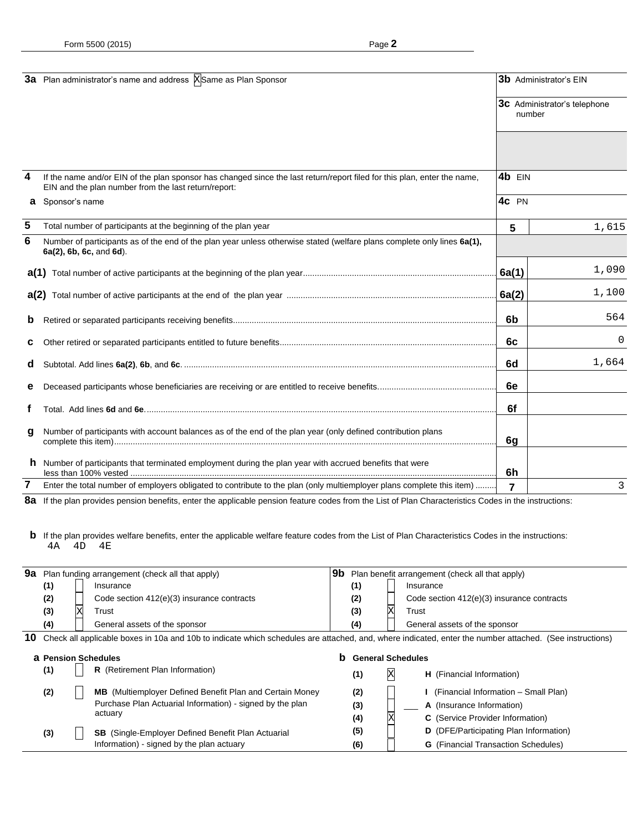|              | 3a Plan administrator's name and address XSame as Plan Sponsor                                                                                                                   | <b>3b</b> Administrator's EIN |                                     |  |
|--------------|----------------------------------------------------------------------------------------------------------------------------------------------------------------------------------|-------------------------------|-------------------------------------|--|
|              |                                                                                                                                                                                  | number                        | <b>3c</b> Administrator's telephone |  |
|              |                                                                                                                                                                                  |                               |                                     |  |
| 4            | If the name and/or EIN of the plan sponsor has changed since the last return/report filed for this plan, enter the name,<br>EIN and the plan number from the last return/report: | 4b EIN                        |                                     |  |
| a            | Sponsor's name                                                                                                                                                                   | 4c PN                         |                                     |  |
| 5            | Total number of participants at the beginning of the plan year                                                                                                                   | 5                             | 1,615                               |  |
| 6            | Number of participants as of the end of the plan year unless otherwise stated (welfare plans complete only lines 6a(1),<br>6a(2), 6b, 6c, and 6d).                               |                               |                                     |  |
|              |                                                                                                                                                                                  | 6a(1)                         | 1,090                               |  |
|              |                                                                                                                                                                                  | 6a(2)                         | 1,100                               |  |
| $\mathbf{p}$ |                                                                                                                                                                                  | 6b                            | 564                                 |  |
| C            |                                                                                                                                                                                  | 6c                            | 0                                   |  |
| a            |                                                                                                                                                                                  | 6d                            | 1,664                               |  |
| е            |                                                                                                                                                                                  | 6e                            |                                     |  |
|              |                                                                                                                                                                                  | 6f                            |                                     |  |
| g            | Number of participants with account balances as of the end of the plan year (only defined contribution plans                                                                     | 6g                            |                                     |  |
|              | h Number of participants that terminated employment during the plan year with accrued benefits that were                                                                         | 6h                            |                                     |  |
| 7            | Enter the total number of employers obligated to contribute to the plan (only multiemployer plans complete this item)                                                            | 7                             | 3                                   |  |

8a If the plan provides pension benefits, enter the applicable pension feature codes from the List of Plan Characteristics Codes in the instructions:

**b** If the plan provides welfare benefits, enter the applicable welfare feature codes from the List of Plan Characteristics Codes in the instructions: 4A 4D 4E

| 9a | Plan funding arrangement (check all that apply)                                                                                                         |  |                                                                 | 9b<br>Plan benefit arrangement (check all that apply) |     |   |                                               |
|----|---------------------------------------------------------------------------------------------------------------------------------------------------------|--|-----------------------------------------------------------------|-------------------------------------------------------|-----|---|-----------------------------------------------|
|    | (1)                                                                                                                                                     |  | Insurance                                                       |                                                       | (1) |   | Insurance                                     |
|    | (2)                                                                                                                                                     |  | Code section 412(e)(3) insurance contracts                      |                                                       | (2) |   | Code section 412(e)(3) insurance contracts    |
|    | (3)                                                                                                                                                     |  | Trust                                                           |                                                       | (3) |   | Trust                                         |
|    | (4)                                                                                                                                                     |  | General assets of the sponsor                                   |                                                       | (4) |   | General assets of the sponsor                 |
| 10 | Check all applicable boxes in 10a and 10b to indicate which schedules are attached, and, where indicated, enter the number attached. (See instructions) |  |                                                                 |                                                       |     |   |                                               |
|    |                                                                                                                                                         |  | <b>a</b> Pension Schedules                                      | b<br><b>General Schedules</b>                         |     |   |                                               |
|    | (1)                                                                                                                                                     |  | R (Retirement Plan Information)                                 |                                                       | (1) | Χ | <b>H</b> (Financial Information)              |
|    | (2)                                                                                                                                                     |  | <b>MB</b> (Multiemployer Defined Benefit Plan and Certain Money |                                                       | (2) |   | (Financial Information - Small Plan)          |
|    |                                                                                                                                                         |  | Purchase Plan Actuarial Information) - signed by the plan       |                                                       | (3) |   | A (Insurance Information)                     |
|    |                                                                                                                                                         |  | actuary                                                         |                                                       | (4) |   | C (Service Provider Information)              |
|    | (3)                                                                                                                                                     |  | <b>SB</b> (Single-Employer Defined Benefit Plan Actuarial       |                                                       | (5) |   | <b>D</b> (DFE/Participating Plan Information) |
|    |                                                                                                                                                         |  | Information) - signed by the plan actuary                       |                                                       | (6) |   | <b>G</b> (Financial Transaction Schedules)    |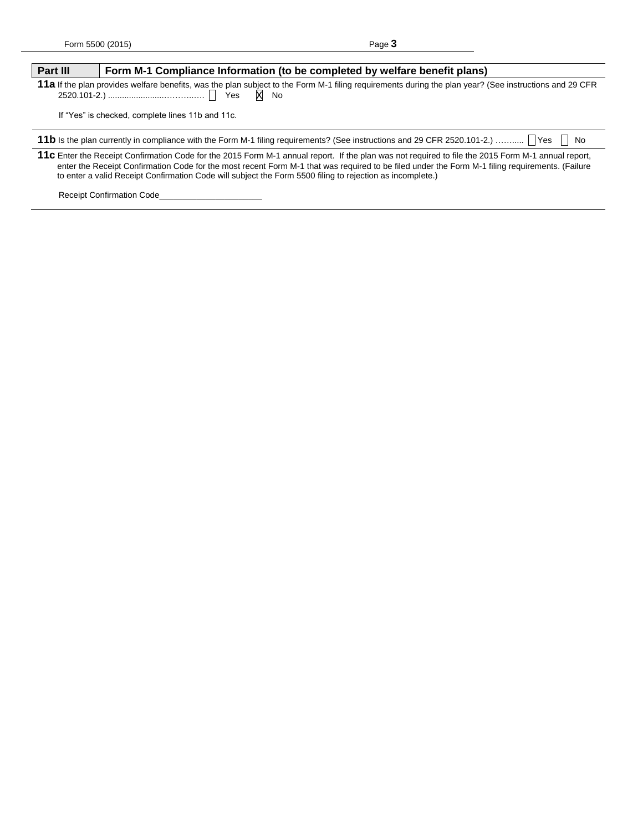| Part III                                                                                                                                                                                                                                                                                                                                                                                                           | Form M-1 Compliance Information (to be completed by welfare benefit plans)                                                                                       |  |  |  |  |
|--------------------------------------------------------------------------------------------------------------------------------------------------------------------------------------------------------------------------------------------------------------------------------------------------------------------------------------------------------------------------------------------------------------------|------------------------------------------------------------------------------------------------------------------------------------------------------------------|--|--|--|--|
|                                                                                                                                                                                                                                                                                                                                                                                                                    | 11a If the plan provides welfare benefits, was the plan subject to the Form M-1 filing requirements during the plan year? (See instructions and 29 CFR<br>$X$ No |  |  |  |  |
| If "Yes" is checked, complete lines 11b and 11c.                                                                                                                                                                                                                                                                                                                                                                   |                                                                                                                                                                  |  |  |  |  |
| 11b Is the plan currently in compliance with the Form M-1 filing requirements? (See instructions and 29 CFR 2520.101-2.)    Yes   No                                                                                                                                                                                                                                                                               |                                                                                                                                                                  |  |  |  |  |
| 11c Enter the Receipt Confirmation Code for the 2015 Form M-1 annual report. If the plan was not required to file the 2015 Form M-1 annual report,<br>enter the Receipt Confirmation Code for the most recent Form M-1 that was required to be filed under the Form M-1 filing requirements. (Failure<br>to enter a valid Receipt Confirmation Code will subject the Form 5500 filing to rejection as incomplete.) |                                                                                                                                                                  |  |  |  |  |
|                                                                                                                                                                                                                                                                                                                                                                                                                    | <b>Receipt Confirmation Code</b>                                                                                                                                 |  |  |  |  |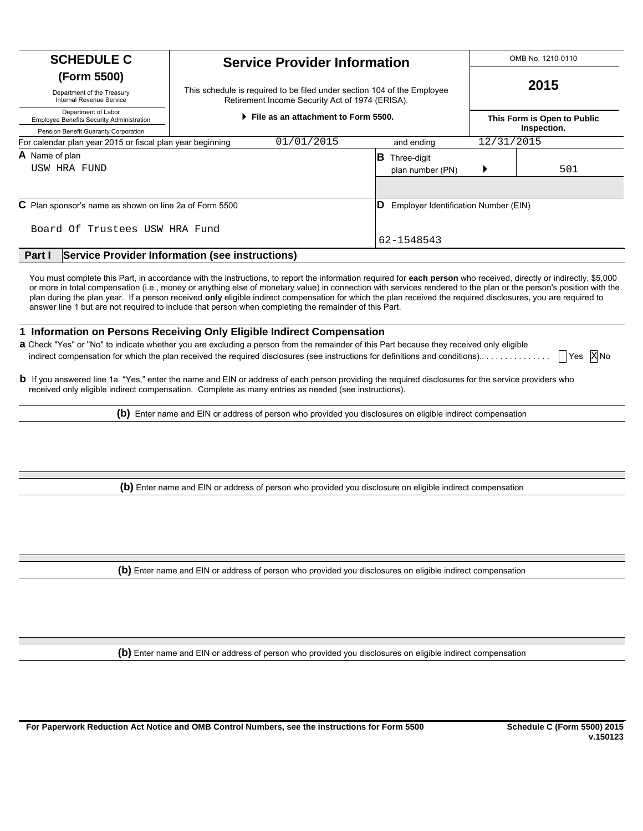| <b>SCHEDULE C</b>                                                       | <b>Service Provider Information</b>                                                                                        |            |            | OMB No. 1210-0110<br>2015                  |  |
|-------------------------------------------------------------------------|----------------------------------------------------------------------------------------------------------------------------|------------|------------|--------------------------------------------|--|
| (Form 5500)                                                             |                                                                                                                            |            |            |                                            |  |
| Department of the Treasury<br>Internal Revenue Service                  | This schedule is required to be filed under section 104 of the Employee<br>Retirement Income Security Act of 1974 (ERISA). |            |            |                                            |  |
| Department of Labor<br><b>Employee Benefits Security Administration</b> | File as an attachment to Form 5500.                                                                                        |            |            | This Form is Open to Public<br>Inspection. |  |
| Pension Benefit Guaranty Corporation                                    |                                                                                                                            |            |            |                                            |  |
| For calendar plan year 2015 or fiscal plan year beginning               | 01/01/2015                                                                                                                 | and ending | 12/31/2015 |                                            |  |
| A Name of plan                                                          | ΙB<br>Three-digit                                                                                                          |            |            |                                            |  |
| USW HRA FUND                                                            | plan number (PN)                                                                                                           |            | 501        |                                            |  |
|                                                                         |                                                                                                                            |            |            |                                            |  |
| C Plan sponsor's name as shown on line 2a of Form 5500                  | ID<br>Employer Identification Number (EIN)                                                                                 |            |            |                                            |  |
| Board Of Trustees USW HRA Fund                                          |                                                                                                                            |            |            |                                            |  |
|                                                                         |                                                                                                                            | 62-1548543 |            |                                            |  |
| Part I                                                                  | <b>Service Provider Information (see instructions)</b>                                                                     |            |            |                                            |  |

You must complete this Part, in accordance with the instructions, to report the information required for each person who received, directly or indirectly, \$5,000 or more in total compensation (i.e., money or anything else of monetary value) in connection with services rendered to the plan or the person's position with the plan during the plan year. If a person received **only** eligible indirect compensation for which the plan received the required disclosures, you are required to answer line 1 but are not required to include that person when completing the remainder of this Part.

#### **1 Information on Persons Receiving Only Eligible Indirect Compensation**

**a** Check "Yes" or "No" to indicate whether you are excluding a person from the remainder of this Part because they received only eligible indirect compensation for which the plan received the required disclosures (see instructions for definitions and conditions).. . . . . . . . . . . . . . . **X** Yes **X** No  $Yes$  X No

**b** If you answered line 1a "Yes," enter the name and EIN or address of each person providing the required disclosures for the service providers who received only eligible indirect compensation. Complete as many entries as needed (see instructions).

**(b)** Enter name and EIN or address of person who provided you disclosures on eligible indirect compensation

**(b)** Enter name and EIN or address of person who provided you disclosure on eligible indirect compensation

**(b)** Enter name and EIN or address of person who provided you disclosures on eligible indirect compensation

**(b)** Enter name and EIN or address of person who provided you disclosures on eligible indirect compensation

**For Paperwork Reduction Act Notice and OMB Control Numbers, see the instructions for Form 5500 Schedule C (Form 5500) 2015**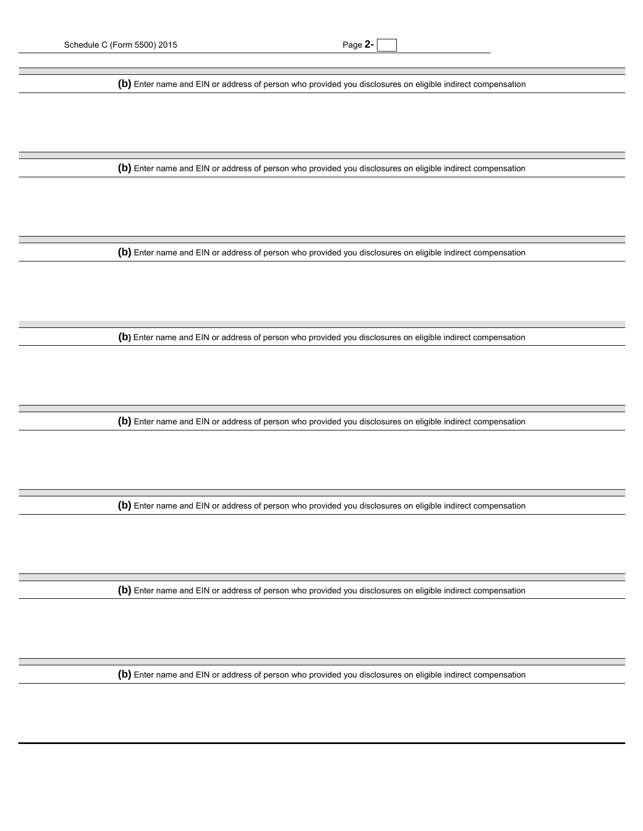**(b)** Enter name and EIN or address of person who provided you disclosures on eligible indirect compensation

**(b)** Enter name and EIN or address of person who provided you disclosures on eligible indirect compensation

**(b)** Enter name and EIN or address of person who provided you disclosures on eligible indirect compensation

**(b)** Enter name and EIN or address of person who provided you disclosures on eligible indirect compensation

**(b)** Enter name and EIN or address of person who provided you disclosures on eligible indirect compensation

**(b)** Enter name and EIN or address of person who provided you disclosures on eligible indirect compensation

**(b)** Enter name and EIN or address of person who provided you disclosures on eligible indirect compensation

**(b)** Enter name and EIN or address of person who provided you disclosures on eligible indirect compensation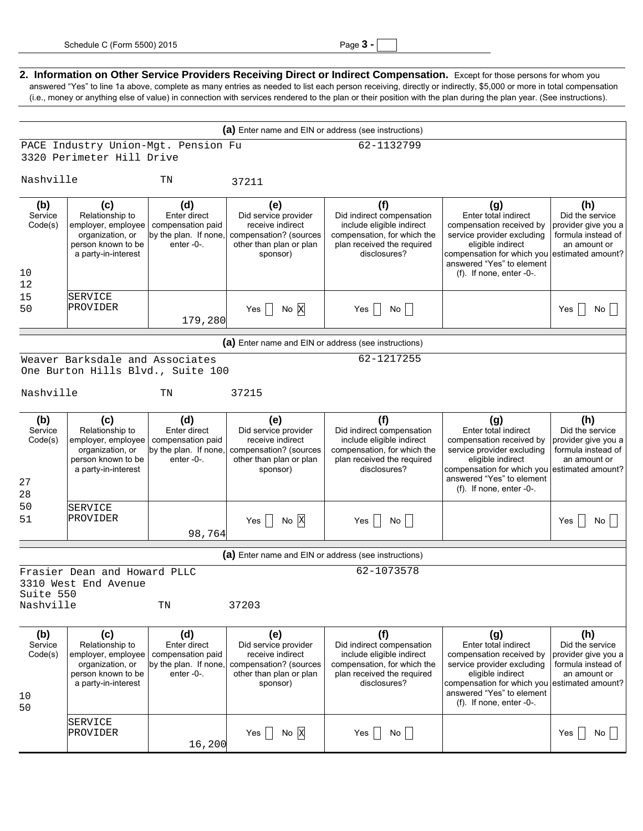|  | Page |  |  |
|--|------|--|--|
|--|------|--|--|

2. Information on Other Service Providers Receiving Direct or Indirect Compensation. Except for those persons for whom you answered "Yes" to line 1a above, complete as many entries as needed to list each person receiving, directly or indirectly, \$5,000 or more in total compensation (i.e., money or anything else of value) in connection with services rendered to the plan or their position with the plan during the plan year. (See instructions).

|                                       |                                                                                                                                   |                                                                                |                                                                                                                  | (a) Enter name and EIN or address (see instructions)                                                                                       |                                                                                                                                                                                                                          |                                                                                                          |
|---------------------------------------|-----------------------------------------------------------------------------------------------------------------------------------|--------------------------------------------------------------------------------|------------------------------------------------------------------------------------------------------------------|--------------------------------------------------------------------------------------------------------------------------------------------|--------------------------------------------------------------------------------------------------------------------------------------------------------------------------------------------------------------------------|----------------------------------------------------------------------------------------------------------|
|                                       | PACE Industry Union-Mgt. Pension Fu                                                                                               |                                                                                |                                                                                                                  | 62-1132799                                                                                                                                 |                                                                                                                                                                                                                          |                                                                                                          |
|                                       | 3320 Perimeter Hill Drive                                                                                                         |                                                                                |                                                                                                                  |                                                                                                                                            |                                                                                                                                                                                                                          |                                                                                                          |
| Nashville                             |                                                                                                                                   | TN                                                                             | 37211                                                                                                            |                                                                                                                                            |                                                                                                                                                                                                                          |                                                                                                          |
| (b)<br>Service<br>Code(s)             | (c)<br>Relationship to<br>employer, employee<br>organization, or<br>person known to be<br>a party-in-interest                     | (d)<br>Enter direct<br>compensation paid<br>by the plan. If none,<br>enter-0-. | (e)<br>Did service provider<br>receive indirect<br>compensation? (sources<br>other than plan or plan<br>sponsor) | (f)<br>Did indirect compensation<br>include eligible indirect<br>compensation, for which the<br>plan received the required<br>disclosures? | (g)<br>Enter total indirect<br>compensation received by<br>service provider excluding<br>eligible indirect<br>compensation for which you<br>answered "Yes" to element                                                    | (h)<br>Did the service<br>provider give you a<br>formula instead of<br>an amount or<br>estimated amount? |
| 10                                    |                                                                                                                                   |                                                                                |                                                                                                                  |                                                                                                                                            | $(f)$ . If none, enter -0-.                                                                                                                                                                                              |                                                                                                          |
| 12<br>15<br>50                        | <b>SERVICE</b><br>PROVIDER                                                                                                        | 179,280                                                                        | Yes $\Box$ No X                                                                                                  | Yes $\Box$ No $\Box$                                                                                                                       |                                                                                                                                                                                                                          | No<br>$Yes$                                                                                              |
|                                       |                                                                                                                                   |                                                                                |                                                                                                                  | (a) Enter name and EIN or address (see instructions)                                                                                       |                                                                                                                                                                                                                          |                                                                                                          |
|                                       |                                                                                                                                   |                                                                                |                                                                                                                  | 62-1217255                                                                                                                                 |                                                                                                                                                                                                                          |                                                                                                          |
|                                       | Weaver Barksdale and Associates<br>One Burton Hills Blvd., Suite 100                                                              |                                                                                |                                                                                                                  |                                                                                                                                            |                                                                                                                                                                                                                          |                                                                                                          |
| Nashville                             |                                                                                                                                   | TN                                                                             | 37215                                                                                                            |                                                                                                                                            |                                                                                                                                                                                                                          |                                                                                                          |
| (b)<br>Service<br>Code(s)<br>27<br>28 | (c)<br>Relationship to<br>employer, employee<br>organization, or<br>person known to be<br>a party-in-interest                     | (d)<br>Enter direct<br>compensation paid<br>by the plan. If none,<br>enter-0-. | (e)<br>Did service provider<br>receive indirect<br>compensation? (sources<br>other than plan or plan<br>sponsor) | (f)<br>Did indirect compensation<br>include eligible indirect<br>compensation, for which the<br>plan received the required<br>disclosures? | (g)<br>Enter total indirect<br>compensation received by<br>service provider excluding<br>eligible indirect<br>compensation for which you estimated amount?<br>answered "Yes" to element<br>$(f)$ . If none, enter -0-.   | (h)<br>Did the service<br>provider give you a<br>formula instead of<br>an amount or                      |
| 50<br>51                              | <b>SERVICE</b><br>PROVIDER                                                                                                        | 98,764                                                                         | Yes $\Box$ No $\overline{X}$                                                                                     | Yes<br>No                                                                                                                                  |                                                                                                                                                                                                                          | No l<br>$Yes$                                                                                            |
|                                       |                                                                                                                                   |                                                                                |                                                                                                                  | (a) Enter name and EIN or address (see instructions)                                                                                       |                                                                                                                                                                                                                          |                                                                                                          |
|                                       | Frasier Dean and Howard PLLC                                                                                                      |                                                                                |                                                                                                                  | 62-1073578                                                                                                                                 |                                                                                                                                                                                                                          |                                                                                                          |
| Suite 550<br>Nashville                | 3310 West End Avenue                                                                                                              | TN                                                                             | 37203                                                                                                            |                                                                                                                                            |                                                                                                                                                                                                                          |                                                                                                          |
| (b)<br>Service<br>Code(s)<br>10<br>50 | (c)<br>Relationship to<br>employer, employee   compensation paid<br>organization, or<br>person known to be<br>a party-in-interest | (d)<br>Enter direct<br>by the plan. If none,<br>enter -0-.                     | (e)<br>Did service provider<br>receive indirect<br>compensation? (sources<br>other than plan or plan<br>sponsor) | (f)<br>Did indirect compensation<br>include eligible indirect<br>compensation, for which the<br>plan received the required<br>disclosures? | (g)<br>Enter total indirect<br>compensation received by<br>service provider excluding<br>eligible indirect<br>compensation for which you estimated amount?<br>answered "Yes" to element<br>$(f)$ . If none, enter $-0$ - | (h)<br>Did the service<br>provider give you a<br>formula instead of<br>an amount or                      |
|                                       | SERVICE<br>PROVIDER                                                                                                               | 16,200                                                                         | Yes<br>$\overline{N}$ o $\overline{X}$                                                                           | Yes<br>No                                                                                                                                  |                                                                                                                                                                                                                          | Yes  <br>No                                                                                              |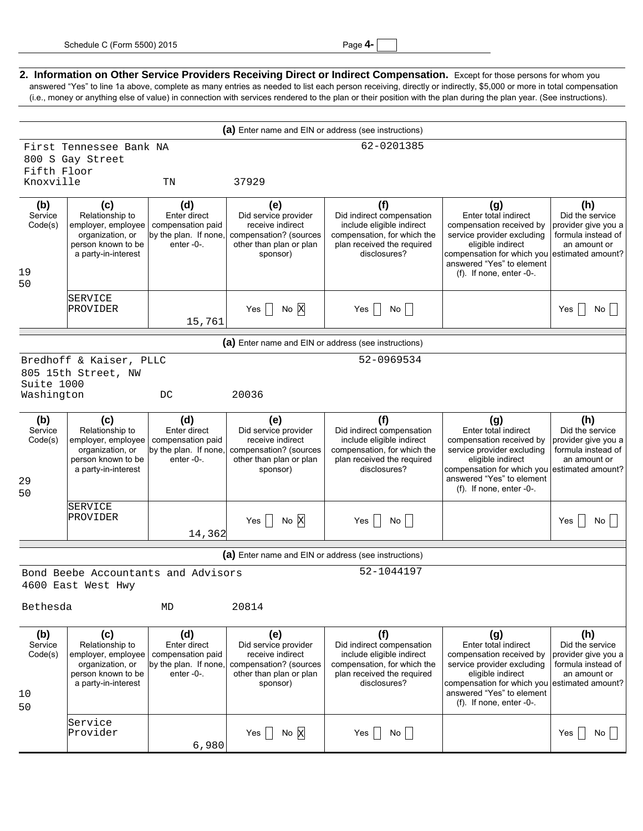2. Information on Other Service Providers Receiving Direct or Indirect Compensation. Except for those persons for whom you answered "Yes" to line 1a above, complete as many entries as needed to list each person receiving, directly or indirectly, \$5,000 or more in total compensation (i.e., money or anything else of value) in connection with services rendered to the plan or their position with the plan during the plan year. (See instructions). **(a)** Enter name and EIN or address (see instructions) First Tennessee Bank NA 62-0201385  $800 \sigma g$ 

|                                       | 800 S Gay Street                                                                                              |                                                                                    |                                                                                                                  |                                                                                                                                            |                                                                                                                                                                                                                       |                                                                                                          |
|---------------------------------------|---------------------------------------------------------------------------------------------------------------|------------------------------------------------------------------------------------|------------------------------------------------------------------------------------------------------------------|--------------------------------------------------------------------------------------------------------------------------------------------|-----------------------------------------------------------------------------------------------------------------------------------------------------------------------------------------------------------------------|----------------------------------------------------------------------------------------------------------|
| Fifth Floor<br>Knoxville              |                                                                                                               | $\rm TN$                                                                           | 37929                                                                                                            |                                                                                                                                            |                                                                                                                                                                                                                       |                                                                                                          |
|                                       |                                                                                                               |                                                                                    |                                                                                                                  |                                                                                                                                            |                                                                                                                                                                                                                       |                                                                                                          |
| (b)<br>Service<br>Code(s)<br>19<br>50 | (c)<br>Relationship to<br>employer, employee<br>organization, or<br>person known to be<br>a party-in-interest | (d)<br>Enter direct<br>compensation paid<br>by the plan. If none,<br>enter $-0$ -. | (e)<br>Did service provider<br>receive indirect<br>compensation? (sources<br>other than plan or plan<br>sponsor) | (f)<br>Did indirect compensation<br>include eligible indirect<br>compensation, for which the<br>plan received the required<br>disclosures? | (g)<br>Enter total indirect<br>compensation received by<br>service provider excluding<br>eligible indirect<br>compensation for which you estimated amount?<br>answered "Yes" to element<br>$(f)$ . If none, enter -0- | (h)<br>Did the service<br>provider give you a<br>formula instead of<br>an amount or                      |
|                                       | SERVICE<br>PROVIDER                                                                                           | 15,761                                                                             | Yes $\Box$ No $\overline{X}$                                                                                     | Yes $\Box$ No $\Box$                                                                                                                       |                                                                                                                                                                                                                       | Yes  <br>No I                                                                                            |
|                                       |                                                                                                               |                                                                                    | (a) Enter name and EIN or address (see instructions)                                                             |                                                                                                                                            |                                                                                                                                                                                                                       |                                                                                                          |
|                                       |                                                                                                               |                                                                                    |                                                                                                                  | 52-0969534                                                                                                                                 |                                                                                                                                                                                                                       |                                                                                                          |
|                                       | Bredhoff & Kaiser, PLLC<br>805 15th Street, NW                                                                |                                                                                    |                                                                                                                  |                                                                                                                                            |                                                                                                                                                                                                                       |                                                                                                          |
| Suite 1000<br>Washington              |                                                                                                               | DC                                                                                 | 20036                                                                                                            |                                                                                                                                            |                                                                                                                                                                                                                       |                                                                                                          |
| (b)<br>Service<br>Code(s)<br>29<br>50 | (c)<br>Relationship to<br>employer, employee<br>organization, or<br>person known to be<br>a party-in-interest | (d)<br>Enter direct<br>compensation paid<br>by the plan. If none,<br>enter-0-.     | (e)<br>Did service provider<br>receive indirect<br>compensation? (sources<br>other than plan or plan<br>sponsor) | (f)<br>Did indirect compensation<br>include eligible indirect<br>compensation, for which the<br>plan received the required<br>disclosures? | (g)<br>Enter total indirect<br>compensation received by<br>service provider excluding<br>eligible indirect<br>compensation for which you<br>answered "Yes" to element<br>$(f)$ . If none, enter -0-                   | (h)<br>Did the service<br>provider give you a<br>formula instead of<br>an amount or<br>estimated amount? |
|                                       | <b>SERVICE</b><br>PROVIDER                                                                                    | 14,362                                                                             | Yes $\Box$ No $\overline{X}$                                                                                     | Yes $\Box$ No $\Box$                                                                                                                       |                                                                                                                                                                                                                       | No<br>Yes                                                                                                |
|                                       |                                                                                                               |                                                                                    | (a) Enter name and EIN or address (see instructions)                                                             |                                                                                                                                            |                                                                                                                                                                                                                       |                                                                                                          |
|                                       | Bond Beebe Accountants and Advisors                                                                           |                                                                                    |                                                                                                                  | 52-1044197                                                                                                                                 |                                                                                                                                                                                                                       |                                                                                                          |
|                                       | 4600 East West Hwy                                                                                            |                                                                                    |                                                                                                                  |                                                                                                                                            |                                                                                                                                                                                                                       |                                                                                                          |
| 20814<br>Bethesda<br>МD               |                                                                                                               |                                                                                    |                                                                                                                  |                                                                                                                                            |                                                                                                                                                                                                                       |                                                                                                          |
| (b)<br>Service<br>Code(s)<br>10<br>50 | (c)<br>Relationship to<br>employer, employee<br>organization, or<br>person known to be<br>a party-in-interest | (d)<br>Enter direct<br>compensation paid<br>by the plan. If none,<br>enter -0-.    | (e)<br>Did service provider<br>receive indirect<br>compensation? (sources<br>other than plan or plan<br>sponsor) | (f)<br>Did indirect compensation<br>include eligible indirect<br>compensation, for which the<br>plan received the required<br>disclosures? | (g)<br>Enter total indirect<br>compensation received by<br>service provider excluding<br>eligible indirect<br>compensation for which you<br>answered "Yes" to element<br>$(f)$ . If none, enter -0-.                  | (h)<br>Did the service<br>provider give you a<br>formula instead of<br>an amount or<br>estimated amount? |
|                                       | Service<br>Provider                                                                                           | 6,980                                                                              | Yes $\bigcap$ No $\bigtimes$                                                                                     | Yes<br>No                                                                                                                                  |                                                                                                                                                                                                                       | No  <br>Yes                                                                                              |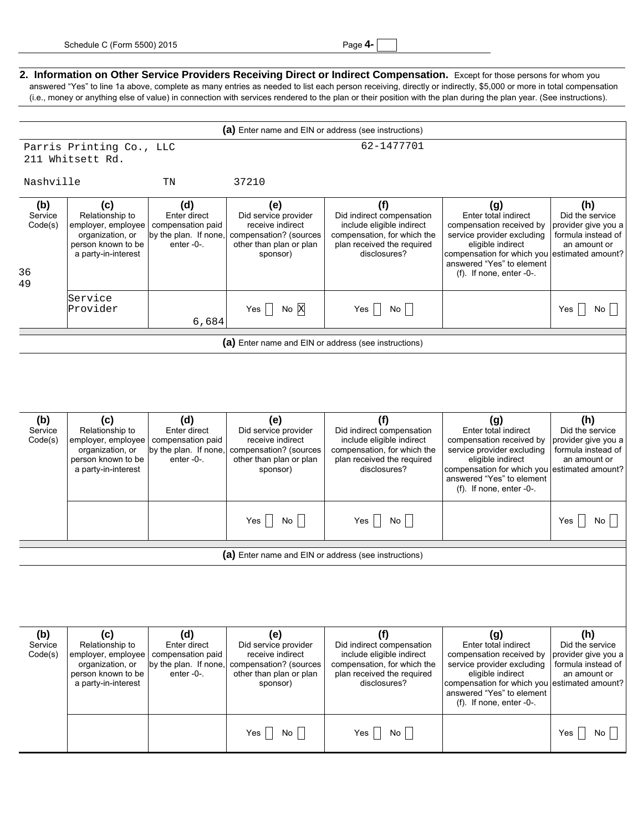| ane |  |  |
|-----|--|--|
|-----|--|--|

#### 2. Information on Other Service Providers Receiving Direct or Indirect Compensation. Except for those persons for whom you answered "Yes" to line 1a above, complete as many entries as needed to list each person receiving, directly or indirectly, \$5,000 or more in total compensation (i.e., money or anything else of value) in connection with services rendered to the plan or their position with the plan during the plan year. (See instructions).

|                                       | (a) Enter name and EIN or address (see instructions)                                                          |                                                                                |                                                                                                                  |                                                                                                                                            |                                                                                                                                                                                                                          |                                                                                                          |  |
|---------------------------------------|---------------------------------------------------------------------------------------------------------------|--------------------------------------------------------------------------------|------------------------------------------------------------------------------------------------------------------|--------------------------------------------------------------------------------------------------------------------------------------------|--------------------------------------------------------------------------------------------------------------------------------------------------------------------------------------------------------------------------|----------------------------------------------------------------------------------------------------------|--|
|                                       | 62-1477701<br>Parris Printing Co., LLC                                                                        |                                                                                |                                                                                                                  |                                                                                                                                            |                                                                                                                                                                                                                          |                                                                                                          |  |
|                                       | 211 Whitsett Rd.                                                                                              |                                                                                |                                                                                                                  |                                                                                                                                            |                                                                                                                                                                                                                          |                                                                                                          |  |
| Nashville                             |                                                                                                               | TN                                                                             | 37210                                                                                                            |                                                                                                                                            |                                                                                                                                                                                                                          |                                                                                                          |  |
| (b)<br>Service<br>Code(s)<br>36<br>49 | (c)<br>Relationship to<br>employer, employee<br>organization, or<br>person known to be<br>a party-in-interest | (d)<br>Enter direct<br>compensation paid<br>by the plan. If none.<br>enter-0-. | (e)<br>Did service provider<br>receive indirect<br>compensation? (sources<br>other than plan or plan<br>sponsor) | (f)<br>Did indirect compensation<br>include eligible indirect<br>compensation, for which the<br>plan received the required<br>disclosures? | (g)<br>Enter total indirect<br>compensation received by<br>service provider excluding<br>eligible indirect<br>compensation for which you estimated amount?<br>answered "Yes" to element<br>$(f)$ . If none, enter $-0$ . | (h)<br>Did the service<br>provider give you a<br>formula instead of<br>an amount or                      |  |
|                                       | Service<br>Provider                                                                                           | 6,684                                                                          | Yes $\Box$ No $\overline{X}$                                                                                     | Yes $\Box$<br>No l                                                                                                                         |                                                                                                                                                                                                                          | Yes I<br>No I                                                                                            |  |
|                                       |                                                                                                               |                                                                                | (a) Enter name and EIN or address (see instructions)                                                             |                                                                                                                                            |                                                                                                                                                                                                                          |                                                                                                          |  |
|                                       |                                                                                                               |                                                                                |                                                                                                                  |                                                                                                                                            |                                                                                                                                                                                                                          |                                                                                                          |  |
| (b)<br>Service<br>Code(s)             | (c)<br>Relationship to<br>employer, employee<br>organization, or<br>person known to be<br>a party-in-interest | (d)<br>Enter direct<br>compensation paid<br>by the plan. If none,<br>enter-0-. | (e)<br>Did service provider<br>receive indirect<br>compensation? (sources<br>other than plan or plan<br>sponsor) | (f)<br>Did indirect compensation<br>include eligible indirect<br>compensation, for which the<br>plan received the required<br>disclosures? | (g)<br>Enter total indirect<br>compensation received by<br>service provider excluding<br>eligible indirect<br>compensation for which you<br>answered "Yes" to element<br>$(f)$ . If none, enter -0-                      | (h)<br>Did the service<br>provider give you a<br>formula instead of<br>an amount or<br>estimated amount? |  |
|                                       |                                                                                                               |                                                                                | Yes $\Box$ No $\Box$                                                                                             | Yes   No                                                                                                                                   |                                                                                                                                                                                                                          | Yes<br>No I                                                                                              |  |
|                                       |                                                                                                               |                                                                                | (a) Enter name and EIN or address (see instructions)                                                             |                                                                                                                                            |                                                                                                                                                                                                                          |                                                                                                          |  |
|                                       |                                                                                                               |                                                                                |                                                                                                                  |                                                                                                                                            |                                                                                                                                                                                                                          |                                                                                                          |  |
| (b)<br>Service<br>Code(s)             | (c)<br>Relationship to<br>employer, employee<br>organization, or<br>person known to be<br>a party-in-interest | (d)<br>Enter direct<br>compensation paid<br>by the plan. If none,<br>enter-0-. | (e)<br>Did service provider<br>receive indirect<br>compensation? (sources<br>other than plan or plan<br>sponsor) | (f)<br>Did indirect compensation<br>include eligible indirect<br>compensation, for which the<br>plan received the required<br>disclosures? | (g)<br>Enter total indirect<br>compensation received by<br>service provider excluding<br>eligible indirect<br>compensation for which you<br>answered "Yes" to element<br>$(f)$ . If none, enter $-0$ -                   | (h)<br>Did the service<br>provider give you a<br>formula instead of<br>an amount or<br>estimated amount? |  |
|                                       |                                                                                                               |                                                                                | Yes    No                                                                                                        | Yes<br>No                                                                                                                                  |                                                                                                                                                                                                                          | Yes  <br>No                                                                                              |  |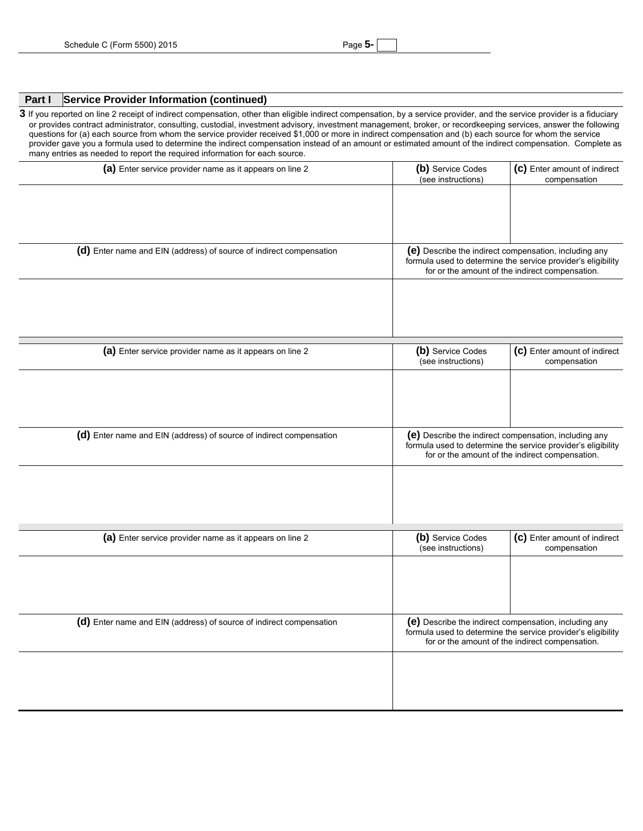### **Part I Service Provider Information (continued)**

3 If you reported on line 2 receipt of indirect compensation, other than eligible indirect compensation, by a service provider, and the service provider is a fiduciary or provides contract administrator, consulting, custodial, investment advisory, investment management, broker, or recordkeeping services, answer the following questions for (a) each source from whom the service provider received \$1,000 or more in indirect compensation and (b) each source for whom the service provider gave you a formula used to determine the indirect compensation instead of an amount or estimated amount of the indirect compensation. Complete as many entries as needed to report the required information for each source.

| (a) Enter service provider name as it appears on line 2             | (b) Service Codes<br>(see instructions) | (c) Enter amount of indirect<br>compensation                                                                          |
|---------------------------------------------------------------------|-----------------------------------------|-----------------------------------------------------------------------------------------------------------------------|
|                                                                     |                                         |                                                                                                                       |
|                                                                     |                                         |                                                                                                                       |
|                                                                     |                                         |                                                                                                                       |
| (d) Enter name and EIN (address) of source of indirect compensation |                                         | (e) Describe the indirect compensation, including any                                                                 |
|                                                                     |                                         | formula used to determine the service provider's eligibility<br>for or the amount of the indirect compensation.       |
|                                                                     |                                         |                                                                                                                       |
|                                                                     |                                         |                                                                                                                       |
|                                                                     |                                         |                                                                                                                       |
| (a) Enter service provider name as it appears on line 2             | (b) Service Codes                       | (c) Enter amount of indirect                                                                                          |
|                                                                     | (see instructions)                      | compensation                                                                                                          |
|                                                                     |                                         |                                                                                                                       |
|                                                                     |                                         |                                                                                                                       |
|                                                                     |                                         |                                                                                                                       |
| (d) Enter name and EIN (address) of source of indirect compensation |                                         | (e) Describe the indirect compensation, including any<br>formula used to determine the service provider's eligibility |
|                                                                     |                                         | for or the amount of the indirect compensation.                                                                       |
|                                                                     |                                         |                                                                                                                       |
|                                                                     |                                         |                                                                                                                       |
|                                                                     |                                         |                                                                                                                       |
| (a) Enter service provider name as it appears on line 2             | (b) Service Codes                       | (c) Enter amount of indirect                                                                                          |
|                                                                     | (see instructions)                      | compensation                                                                                                          |
|                                                                     |                                         |                                                                                                                       |
|                                                                     |                                         |                                                                                                                       |
|                                                                     |                                         |                                                                                                                       |
| (d) Enter name and EIN (address) of source of indirect compensation |                                         | (e) Describe the indirect compensation, including any<br>formula used to determine the service provider's eligibility |
|                                                                     |                                         | for or the amount of the indirect compensation.                                                                       |
|                                                                     |                                         |                                                                                                                       |
|                                                                     |                                         |                                                                                                                       |
|                                                                     |                                         |                                                                                                                       |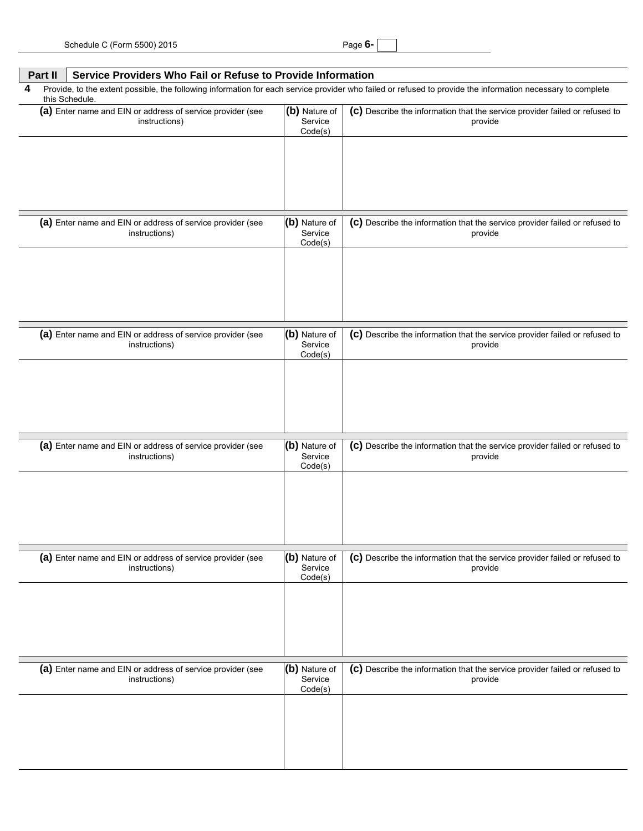|   | Service Providers Who Fail or Refuse to Provide Information<br>Part II      |                                     |                                                                                                                                                             |  |  |  |
|---|-----------------------------------------------------------------------------|-------------------------------------|-------------------------------------------------------------------------------------------------------------------------------------------------------------|--|--|--|
| 4 | this Schedule.                                                              |                                     | Provide, to the extent possible, the following information for each service provider who failed or refused to provide the information necessary to complete |  |  |  |
|   | (a) Enter name and EIN or address of service provider (see<br>instructions) | (b) Nature of<br>Service<br>Code(s) | (c) Describe the information that the service provider failed or refused to<br>provide                                                                      |  |  |  |
|   |                                                                             |                                     |                                                                                                                                                             |  |  |  |
|   | (a) Enter name and EIN or address of service provider (see<br>instructions) | (b) Nature of<br>Service<br>Code(s) | (c) Describe the information that the service provider failed or refused to<br>provide                                                                      |  |  |  |
|   | (a) Enter name and EIN or address of service provider (see                  | (b) Nature of                       | (c) Describe the information that the service provider failed or refused to                                                                                 |  |  |  |
|   | instructions)                                                               | Service<br>Code(s)                  | provide                                                                                                                                                     |  |  |  |
|   |                                                                             |                                     |                                                                                                                                                             |  |  |  |
|   | (a) Enter name and EIN or address of service provider (see<br>instructions) | (b) Nature of<br>Service<br>Code(s) | (c) Describe the information that the service provider failed or refused to<br>provide                                                                      |  |  |  |
|   |                                                                             |                                     |                                                                                                                                                             |  |  |  |
|   | (a) Enter name and EIN or address of service provider (see<br>instructions) | (b) Nature of<br>Service<br>Code(s) | (c) Describe the information that the service provider failed or refused to<br>provide                                                                      |  |  |  |
|   |                                                                             |                                     |                                                                                                                                                             |  |  |  |
|   | (a) Enter name and EIN or address of service provider (see<br>instructions) | (b) Nature of<br>Service<br>Code(s) | (c) Describe the information that the service provider failed or refused to<br>provide                                                                      |  |  |  |
|   |                                                                             |                                     |                                                                                                                                                             |  |  |  |
|   |                                                                             |                                     |                                                                                                                                                             |  |  |  |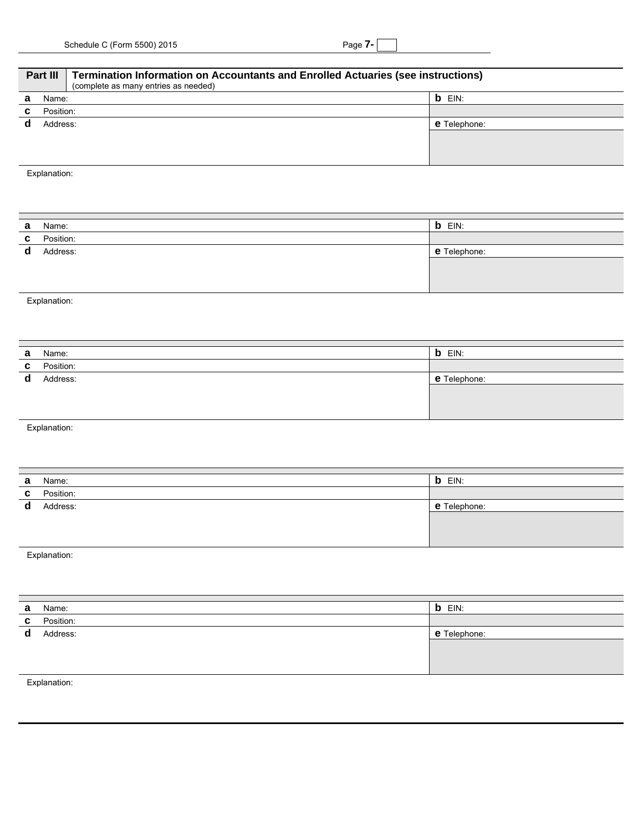| Part III     |           | <b>Termination Information on Accountants and Enrolled Actuaries (see instructions)</b><br>(complete as many entries as needed) |                     |  |  |
|--------------|-----------|---------------------------------------------------------------------------------------------------------------------------------|---------------------|--|--|
| a            | Name:     |                                                                                                                                 | $b$ EIN:            |  |  |
| C.           | Position: |                                                                                                                                 |                     |  |  |
| d            | Address:  |                                                                                                                                 | <b>e</b> Telephone: |  |  |
|              |           |                                                                                                                                 |                     |  |  |
|              |           |                                                                                                                                 |                     |  |  |
|              |           |                                                                                                                                 |                     |  |  |
| Explanation: |           |                                                                                                                                 |                     |  |  |
|              |           |                                                                                                                                 |                     |  |  |

| а            | Name:        | <b>b</b> EIN: |
|--------------|--------------|---------------|
| $\mathbf{c}$ | Position:    |               |
|              | d Address:   | e Telephone:  |
|              |              |               |
|              |              |               |
|              |              |               |
|              | Explanation: |               |

| а | Name:        | <b>b</b> EIN:       |  |  |  |  |  |
|---|--------------|---------------------|--|--|--|--|--|
| C | Position:    |                     |  |  |  |  |  |
| d | Address:     | <b>e</b> Telephone: |  |  |  |  |  |
|   |              |                     |  |  |  |  |  |
|   |              |                     |  |  |  |  |  |
|   |              |                     |  |  |  |  |  |
|   | Explanation: |                     |  |  |  |  |  |

| а | Name:        | $b$ EIN:     |
|---|--------------|--------------|
| C | Position:    |              |
| d | Address:     | e Telephone: |
|   |              |              |
|   |              |              |
|   |              |              |
|   | Explanation: |              |

| а           | Name:        | <b>b</b> EIN: |
|-------------|--------------|---------------|
| C           | Position:    |               |
| $\mathbf d$ | Address:     | e Telephone:  |
|             |              |               |
|             |              |               |
|             |              |               |
|             | Explanation: |               |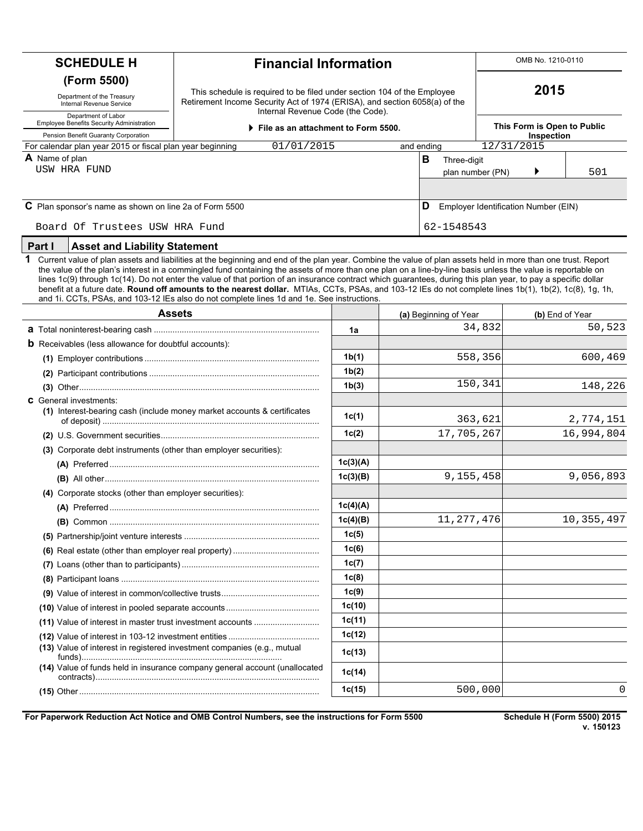| <b>SCHEDULE H</b>                                                                                                                                                                                                                                                                          | <b>Financial Information</b>                                                                                                                                                                                                                                                                                                                                                                                                                                                                                                                                                                                                                                                                                                                          |                    |  |            |                                      |            | OMB No. 1210-0110 |                             |
|--------------------------------------------------------------------------------------------------------------------------------------------------------------------------------------------------------------------------------------------------------------------------------------------|-------------------------------------------------------------------------------------------------------------------------------------------------------------------------------------------------------------------------------------------------------------------------------------------------------------------------------------------------------------------------------------------------------------------------------------------------------------------------------------------------------------------------------------------------------------------------------------------------------------------------------------------------------------------------------------------------------------------------------------------------------|--------------------|--|------------|--------------------------------------|------------|-------------------|-----------------------------|
| (Form 5500)<br>This schedule is required to be filed under section 104 of the Employee<br>Department of the Treasury<br>Retirement Income Security Act of 1974 (ERISA), and section 6058(a) of the<br>Internal Revenue Service<br>Internal Revenue Code (the Code).<br>Department of Labor |                                                                                                                                                                                                                                                                                                                                                                                                                                                                                                                                                                                                                                                                                                                                                       |                    |  |            |                                      | 2015       |                   |                             |
| Employee Benefits Security Administration<br>Pension Benefit Guaranty Corporation                                                                                                                                                                                                          | File as an attachment to Form 5500.                                                                                                                                                                                                                                                                                                                                                                                                                                                                                                                                                                                                                                                                                                                   |                    |  |            |                                      |            | Inspection        | This Form is Open to Public |
| For calendar plan year 2015 or fiscal plan year beginning                                                                                                                                                                                                                                  | 01/01/2015                                                                                                                                                                                                                                                                                                                                                                                                                                                                                                                                                                                                                                                                                                                                            |                    |  | and ending |                                      | 12/31/2015 |                   |                             |
| A Name of plan                                                                                                                                                                                                                                                                             |                                                                                                                                                                                                                                                                                                                                                                                                                                                                                                                                                                                                                                                                                                                                                       |                    |  | B          | Three-digit                          |            |                   |                             |
| USW HRA FUND                                                                                                                                                                                                                                                                               |                                                                                                                                                                                                                                                                                                                                                                                                                                                                                                                                                                                                                                                                                                                                                       |                    |  |            | plan number (PN)                     |            |                   | 501                         |
| C Plan sponsor's name as shown on line 2a of Form 5500                                                                                                                                                                                                                                     |                                                                                                                                                                                                                                                                                                                                                                                                                                                                                                                                                                                                                                                                                                                                                       |                    |  | D          | Employer Identification Number (EIN) |            |                   |                             |
| Board Of Trustees USW HRA Fund                                                                                                                                                                                                                                                             |                                                                                                                                                                                                                                                                                                                                                                                                                                                                                                                                                                                                                                                                                                                                                       |                    |  |            | 62-1548543                           |            |                   |                             |
| Part I<br><b>Asset and Liability Statement</b>                                                                                                                                                                                                                                             |                                                                                                                                                                                                                                                                                                                                                                                                                                                                                                                                                                                                                                                                                                                                                       |                    |  |            |                                      |            |                   |                             |
| 1                                                                                                                                                                                                                                                                                          | Current value of plan assets and liabilities at the beginning and end of the plan year. Combine the value of plan assets held in more than one trust. Report<br>the value of the plan's interest in a commingled fund containing the assets of more than one plan on a line-by-line basis unless the value is reportable on<br>lines 1c(9) through 1c(14). Do not enter the value of that portion of an insurance contract which guarantees, during this plan year, to pay a specific dollar<br>benefit at a future date. Round off amounts to the nearest dollar. MTIAs, CCTs, PSAs, and 103-12 IEs do not complete lines 1b(1), 1b(2), 1c(8), 1g, 1h,<br>and 1i. CCTs, PSAs, and 103-12 IEs also do not complete lines 1d and 1e. See instructions. |                    |  |            |                                      |            |                   |                             |
|                                                                                                                                                                                                                                                                                            | <b>Assets</b>                                                                                                                                                                                                                                                                                                                                                                                                                                                                                                                                                                                                                                                                                                                                         |                    |  |            | (a) Beginning of Year                |            |                   | (b) End of Year             |
|                                                                                                                                                                                                                                                                                            |                                                                                                                                                                                                                                                                                                                                                                                                                                                                                                                                                                                                                                                                                                                                                       | 1a                 |  |            |                                      | 34,832     |                   | 50,523                      |
| <b>b</b> Receivables (less allowance for doubtful accounts):                                                                                                                                                                                                                               |                                                                                                                                                                                                                                                                                                                                                                                                                                                                                                                                                                                                                                                                                                                                                       |                    |  |            |                                      |            |                   |                             |
|                                                                                                                                                                                                                                                                                            |                                                                                                                                                                                                                                                                                                                                                                                                                                                                                                                                                                                                                                                                                                                                                       | 1b(1)              |  |            | 558,356                              |            |                   | 600,469                     |
|                                                                                                                                                                                                                                                                                            |                                                                                                                                                                                                                                                                                                                                                                                                                                                                                                                                                                                                                                                                                                                                                       | 1b(2)              |  |            |                                      |            |                   |                             |
|                                                                                                                                                                                                                                                                                            |                                                                                                                                                                                                                                                                                                                                                                                                                                                                                                                                                                                                                                                                                                                                                       | 1 <sub>b</sub> (3) |  |            | 150,341                              |            |                   | 148,226                     |
| <b>C</b> General investments:                                                                                                                                                                                                                                                              |                                                                                                                                                                                                                                                                                                                                                                                                                                                                                                                                                                                                                                                                                                                                                       |                    |  |            |                                      |            |                   |                             |
|                                                                                                                                                                                                                                                                                            | (1) Interest-bearing cash (include money market accounts & certificates                                                                                                                                                                                                                                                                                                                                                                                                                                                                                                                                                                                                                                                                               | 1c(1)              |  |            | 363,621                              |            |                   | 2,774,151                   |
|                                                                                                                                                                                                                                                                                            |                                                                                                                                                                                                                                                                                                                                                                                                                                                                                                                                                                                                                                                                                                                                                       | 1c(2)              |  |            | 17,705,267                           |            |                   | 16,994,804                  |
| (3) Corporate debt instruments (other than employer securities):                                                                                                                                                                                                                           |                                                                                                                                                                                                                                                                                                                                                                                                                                                                                                                                                                                                                                                                                                                                                       |                    |  |            |                                      |            |                   |                             |
|                                                                                                                                                                                                                                                                                            |                                                                                                                                                                                                                                                                                                                                                                                                                                                                                                                                                                                                                                                                                                                                                       | 1c(3)(A)           |  |            |                                      |            |                   |                             |
|                                                                                                                                                                                                                                                                                            |                                                                                                                                                                                                                                                                                                                                                                                                                                                                                                                                                                                                                                                                                                                                                       | 1c(3)(B)           |  |            | 9,155,458                            |            |                   | 9,056,893                   |
| (4) Corporate stocks (other than employer securities):                                                                                                                                                                                                                                     |                                                                                                                                                                                                                                                                                                                                                                                                                                                                                                                                                                                                                                                                                                                                                       |                    |  |            |                                      |            |                   |                             |
|                                                                                                                                                                                                                                                                                            |                                                                                                                                                                                                                                                                                                                                                                                                                                                                                                                                                                                                                                                                                                                                                       | 1c(4)(A)           |  |            |                                      |            |                   |                             |
|                                                                                                                                                                                                                                                                                            |                                                                                                                                                                                                                                                                                                                                                                                                                                                                                                                                                                                                                                                                                                                                                       | 1c(4)(B)           |  |            | 11, 277, 476                         |            |                   | 10, 355, 497                |
|                                                                                                                                                                                                                                                                                            |                                                                                                                                                                                                                                                                                                                                                                                                                                                                                                                                                                                                                                                                                                                                                       | 1c(5)              |  |            |                                      |            |                   |                             |
|                                                                                                                                                                                                                                                                                            |                                                                                                                                                                                                                                                                                                                                                                                                                                                                                                                                                                                                                                                                                                                                                       | 1c(6)              |  |            |                                      |            |                   |                             |
|                                                                                                                                                                                                                                                                                            |                                                                                                                                                                                                                                                                                                                                                                                                                                                                                                                                                                                                                                                                                                                                                       | 1c(7)              |  |            |                                      |            |                   |                             |
|                                                                                                                                                                                                                                                                                            |                                                                                                                                                                                                                                                                                                                                                                                                                                                                                                                                                                                                                                                                                                                                                       | 1c(8)              |  |            |                                      |            |                   |                             |
|                                                                                                                                                                                                                                                                                            |                                                                                                                                                                                                                                                                                                                                                                                                                                                                                                                                                                                                                                                                                                                                                       | 1c(9)              |  |            |                                      |            |                   |                             |
|                                                                                                                                                                                                                                                                                            |                                                                                                                                                                                                                                                                                                                                                                                                                                                                                                                                                                                                                                                                                                                                                       | 1c(10)             |  |            |                                      |            |                   |                             |
|                                                                                                                                                                                                                                                                                            | (11) Value of interest in master trust investment accounts                                                                                                                                                                                                                                                                                                                                                                                                                                                                                                                                                                                                                                                                                            | 1c(11)             |  |            |                                      |            |                   |                             |
|                                                                                                                                                                                                                                                                                            |                                                                                                                                                                                                                                                                                                                                                                                                                                                                                                                                                                                                                                                                                                                                                       | 1c(12)             |  |            |                                      |            |                   |                             |
|                                                                                                                                                                                                                                                                                            | (13) Value of interest in registered investment companies (e.g., mutual                                                                                                                                                                                                                                                                                                                                                                                                                                                                                                                                                                                                                                                                               | 1c(13)             |  |            |                                      |            |                   |                             |
|                                                                                                                                                                                                                                                                                            | (14) Value of funds held in insurance company general account (unallocated                                                                                                                                                                                                                                                                                                                                                                                                                                                                                                                                                                                                                                                                            | 1c(14)             |  |            |                                      |            |                   |                             |
|                                                                                                                                                                                                                                                                                            |                                                                                                                                                                                                                                                                                                                                                                                                                                                                                                                                                                                                                                                                                                                                                       | 1c(15)             |  |            | 500,000                              |            |                   |                             |

For Paperwork Reduction Act Notice and OMB Control Numbers, see the instructions for Form 5500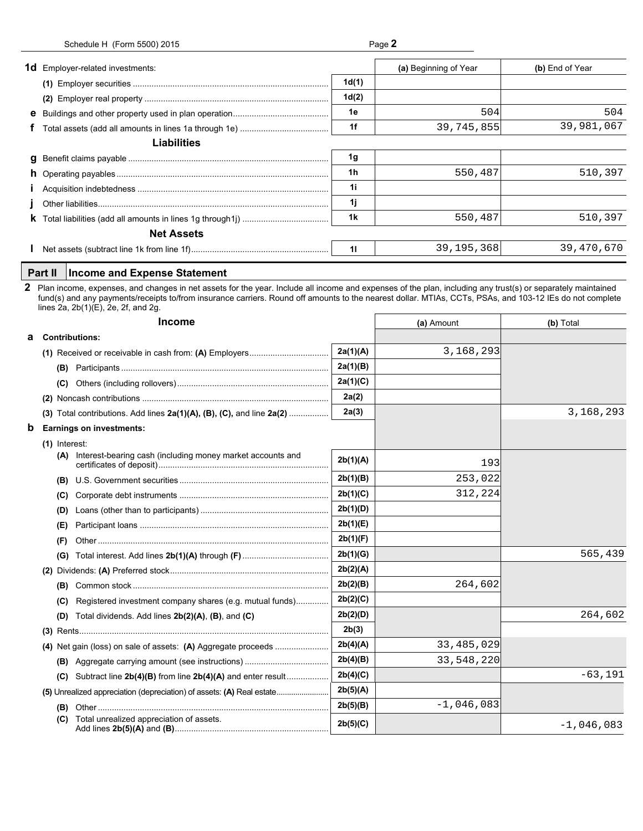| Schedule H (Form 5500) 2015 | Page 2 |
|-----------------------------|--------|
|-----------------------------|--------|

| <b>1d</b> Employer-related investments:               |       | (a) Beginning of Year | (b) End of Year |
|-------------------------------------------------------|-------|-----------------------|-----------------|
|                                                       | 1d(1) |                       |                 |
|                                                       | 1d(2) |                       |                 |
|                                                       | 1e    | 504                   | 504             |
|                                                       | 1f    | 39,745,855            | 39,981,067      |
| <b>Liabilities</b>                                    |       |                       |                 |
|                                                       | 1g    |                       |                 |
|                                                       | 1h    | 550,487               | 510,397         |
|                                                       | 1i    |                       |                 |
|                                                       | 1j    |                       |                 |
|                                                       | 1k    | 550,487               | 510,397         |
| <b>Net Assets</b>                                     |       |                       |                 |
|                                                       | 11    | 39, 195, 368          | 39,470,670      |
| <b>Income and Expense Statement</b><br><b>Part II</b> |       |                       |                 |

|   |                 |                                                                                                                                                                                                                                                                                                                                                                   | 11       | 39,195,368   | 39,470,670   |
|---|-----------------|-------------------------------------------------------------------------------------------------------------------------------------------------------------------------------------------------------------------------------------------------------------------------------------------------------------------------------------------------------------------|----------|--------------|--------------|
|   | Part II         | <b>Income and Expense Statement</b>                                                                                                                                                                                                                                                                                                                               |          |              |              |
|   |                 | Plan income, expenses, and changes in net assets for the year. Include all income and expenses of the plan, including any trust(s) or separately maintained<br>fund(s) and any payments/receipts to/from insurance carriers. Round off amounts to the nearest dollar. MTIAs, CCTs, PSAs, and 103-12 IEs do not complete<br>lines 2a, $2b(1)(E)$ , 2e, 2f, and 2g. |          |              |              |
|   |                 | <b>Income</b>                                                                                                                                                                                                                                                                                                                                                     |          | (a) Amount   | (b) Total    |
| а |                 | <b>Contributions:</b>                                                                                                                                                                                                                                                                                                                                             |          |              |              |
|   |                 |                                                                                                                                                                                                                                                                                                                                                                   | 2a(1)(A) | 3, 168, 293  |              |
|   |                 |                                                                                                                                                                                                                                                                                                                                                                   | 2a(1)(B) |              |              |
|   |                 |                                                                                                                                                                                                                                                                                                                                                                   | 2a(1)(C) |              |              |
|   |                 |                                                                                                                                                                                                                                                                                                                                                                   | 2a(2)    |              |              |
|   |                 | (3) Total contributions. Add lines $2a(1)(A)$ , $(B)$ , $(C)$ , and line $2a(2)$                                                                                                                                                                                                                                                                                  | 2a(3)    |              | 3,168,293    |
| b |                 | <b>Earnings on investments:</b>                                                                                                                                                                                                                                                                                                                                   |          |              |              |
|   | $(1)$ Interest: |                                                                                                                                                                                                                                                                                                                                                                   |          |              |              |
|   |                 | (A) Interest-bearing cash (including money market accounts and                                                                                                                                                                                                                                                                                                    | 2b(1)(A) | 193          |              |
|   | (B)             |                                                                                                                                                                                                                                                                                                                                                                   | 2b(1)(B) | 253,022      |              |
|   | (C)             |                                                                                                                                                                                                                                                                                                                                                                   | 2b(1)(C) | 312,224      |              |
|   | (D)             |                                                                                                                                                                                                                                                                                                                                                                   | 2b(1)(D) |              |              |
|   | (E)             |                                                                                                                                                                                                                                                                                                                                                                   | 2b(1)(E) |              |              |
|   | (F)             |                                                                                                                                                                                                                                                                                                                                                                   | 2b(1)(F) |              |              |
|   |                 |                                                                                                                                                                                                                                                                                                                                                                   | 2b(1)(G) |              | 565,439      |
|   |                 |                                                                                                                                                                                                                                                                                                                                                                   | 2b(2)(A) |              |              |
|   |                 |                                                                                                                                                                                                                                                                                                                                                                   | 2b(2)(B) | 264,602      |              |
|   | (C)             | Registered investment company shares (e.g. mutual funds)                                                                                                                                                                                                                                                                                                          | 2b(2)(C) |              |              |
|   | (D)             | Total dividends. Add lines $2b(2)(A)$ , $(B)$ , and $(C)$                                                                                                                                                                                                                                                                                                         | 2b(2)(D) |              | 264,602      |
|   |                 |                                                                                                                                                                                                                                                                                                                                                                   | 2b(3)    |              |              |
|   |                 |                                                                                                                                                                                                                                                                                                                                                                   | 2b(4)(A) | 33, 485, 029 |              |
|   |                 |                                                                                                                                                                                                                                                                                                                                                                   | 2b(4)(B) | 33,548,220   |              |
|   |                 | (C) Subtract line $2b(4)(B)$ from line $2b(4)(A)$ and enter result                                                                                                                                                                                                                                                                                                | 2b(4)(C) |              | $-63,191$    |
|   |                 | (5) Unrealized appreciation (depreciation) of assets: (A) Real estate                                                                                                                                                                                                                                                                                             | 2b(5)(A) |              |              |
|   | (B)             |                                                                                                                                                                                                                                                                                                                                                                   | 2b(5)(B) | $-1,046,083$ |              |
|   |                 | (C) Total unrealized appreciation of assets.                                                                                                                                                                                                                                                                                                                      | 2b(5)(C) |              | $-1,046,083$ |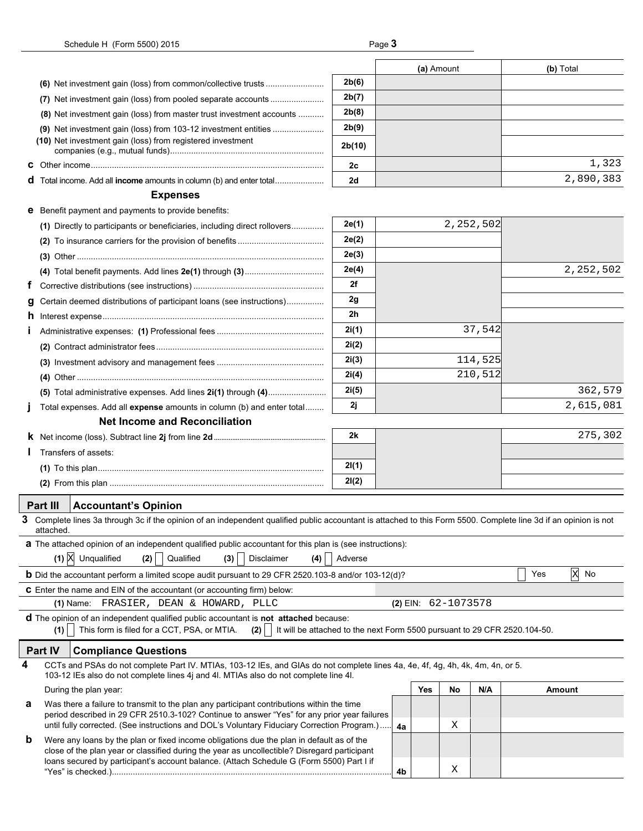|   |                                                                                                                                                                                                                                |                |    | (a) Amount              |    |             |     | (b) Total         |
|---|--------------------------------------------------------------------------------------------------------------------------------------------------------------------------------------------------------------------------------|----------------|----|-------------------------|----|-------------|-----|-------------------|
|   |                                                                                                                                                                                                                                | 2b(6)          |    |                         |    |             |     |                   |
|   | (7) Net investment gain (loss) from pooled separate accounts                                                                                                                                                                   | 2b(7)          |    |                         |    |             |     |                   |
|   | (8) Net investment gain (loss) from master trust investment accounts                                                                                                                                                           | 2b(8)          |    |                         |    |             |     |                   |
|   |                                                                                                                                                                                                                                | 2b(9)          |    |                         |    |             |     |                   |
|   | (10) Net investment gain (loss) from registered investment                                                                                                                                                                     | 2b(10)         |    |                         |    |             |     |                   |
|   |                                                                                                                                                                                                                                | 2c             |    |                         |    |             |     | 1,323             |
|   | d Total income. Add all income amounts in column (b) and enter total                                                                                                                                                           | 2d             |    |                         |    |             |     | 2,890,383         |
|   | <b>Expenses</b>                                                                                                                                                                                                                |                |    |                         |    |             |     |                   |
|   | <b>e</b> Benefit payment and payments to provide benefits:                                                                                                                                                                     |                |    |                         |    |             |     |                   |
|   | (1) Directly to participants or beneficiaries, including direct rollovers                                                                                                                                                      | 2e(1)          |    |                         |    | 2, 252, 502 |     |                   |
|   |                                                                                                                                                                                                                                | 2e(2)          |    |                         |    |             |     |                   |
|   |                                                                                                                                                                                                                                | 2e(3)          |    |                         |    |             |     |                   |
|   |                                                                                                                                                                                                                                | 2e(4)          |    |                         |    |             |     | 2, 252, 502       |
| Ť |                                                                                                                                                                                                                                | 2f             |    |                         |    |             |     |                   |
| g | Certain deemed distributions of participant loans (see instructions)                                                                                                                                                           | 2g             |    |                         |    |             |     |                   |
|   |                                                                                                                                                                                                                                | 2 <sub>h</sub> |    |                         |    |             |     |                   |
|   |                                                                                                                                                                                                                                | 2i(1)          |    |                         |    | 37,542      |     |                   |
|   |                                                                                                                                                                                                                                | 2i(2)          |    |                         |    |             |     |                   |
|   |                                                                                                                                                                                                                                | 2i(3)          |    |                         |    | 114,525     |     |                   |
|   |                                                                                                                                                                                                                                | 2i(4)          |    |                         |    | 210,512     |     |                   |
|   | (5) Total administrative expenses. Add lines 2i(1) through (4)                                                                                                                                                                 | 2i(5)          |    |                         |    |             |     | 362,579           |
|   | Total expenses. Add all expense amounts in column (b) and enter total                                                                                                                                                          | 2j             |    |                         |    |             |     | 2,615,081         |
|   | <b>Net Income and Reconciliation</b>                                                                                                                                                                                           |                |    |                         |    |             |     |                   |
|   |                                                                                                                                                                                                                                | 2k             |    |                         |    |             |     | 275,302           |
|   | Transfers of assets:                                                                                                                                                                                                           |                |    |                         |    |             |     |                   |
|   |                                                                                                                                                                                                                                | 2I(1)          |    |                         |    |             |     |                   |
|   |                                                                                                                                                                                                                                | 2I(2)          |    |                         |    |             |     |                   |
|   |                                                                                                                                                                                                                                |                |    |                         |    |             |     |                   |
|   | <b>Part III</b><br><b>Accountant's Opinion</b><br>3 Complete lines 3a through 3c if the opinion of an independent qualified public accountant is attached to this Form 5500. Complete line 3d if an opinion is not             |                |    |                         |    |             |     |                   |
|   | aπacneα.                                                                                                                                                                                                                       |                |    |                         |    |             |     |                   |
|   | <b>a</b> The attached opinion of an independent qualified public accountant for this plan is (see instructions):                                                                                                               |                |    |                         |    |             |     |                   |
|   | $(1)$ $X$<br>Unqualified<br>Qualified<br>Disclaimer<br>(2)<br>(3)<br>(4)                                                                                                                                                       | Adverse        |    |                         |    |             |     |                   |
|   | <b>b</b> Did the accountant perform a limited scope audit pursuant to 29 CFR 2520.103-8 and/or 103-12(d)?                                                                                                                      |                |    |                         |    |             | Yes | $\mathbf x$<br>No |
|   | <b>C</b> Enter the name and EIN of the accountant (or accounting firm) below:                                                                                                                                                  |                |    |                         |    |             |     |                   |
|   | FRASIER, DEAN & HOWARD, PLLC<br>(1) Name:                                                                                                                                                                                      |                |    | (2) EIN: $62 - 1073578$ |    |             |     |                   |
|   | d The opinion of an independent qualified public accountant is not attached because:<br>This form is filed for a CCT, PSA, or MTIA.<br>It will be attached to the next Form 5500 pursuant to 29 CFR 2520.104-50.<br>(2)<br>(1) |                |    |                         |    |             |     |                   |
|   | Part IV<br><b>Compliance Questions</b>                                                                                                                                                                                         |                |    |                         |    |             |     |                   |
| 4 | CCTs and PSAs do not complete Part IV. MTIAs, 103-12 IEs, and GIAs do not complete lines 4a, 4e, 4f, 4g, 4h, 4k, 4m, 4n, or 5.<br>103-12 IEs also do not complete lines 4j and 4l. MTIAs also do not complete line 4l.         |                |    |                         |    |             |     |                   |
|   | During the plan year:                                                                                                                                                                                                          |                |    | Yes                     | No | N/A         |     | Amount            |
| а | Was there a failure to transmit to the plan any participant contributions within the time                                                                                                                                      |                |    |                         |    |             |     |                   |
|   | period described in 29 CFR 2510.3-102? Continue to answer "Yes" for any prior year failures<br>until fully corrected. (See instructions and DOL's Voluntary Fiduciary Correction Program.)                                     |                | 4a |                         | Χ  |             |     |                   |
| b | Were any loans by the plan or fixed income obligations due the plan in default as of the                                                                                                                                       |                |    |                         |    |             |     |                   |
|   | close of the plan year or classified during the year as uncollectible? Disregard participant<br>loans secured by participant's account balance. (Attach Schedule G (Form 5500) Part I if                                       |                | 4b |                         | Χ  |             |     |                   |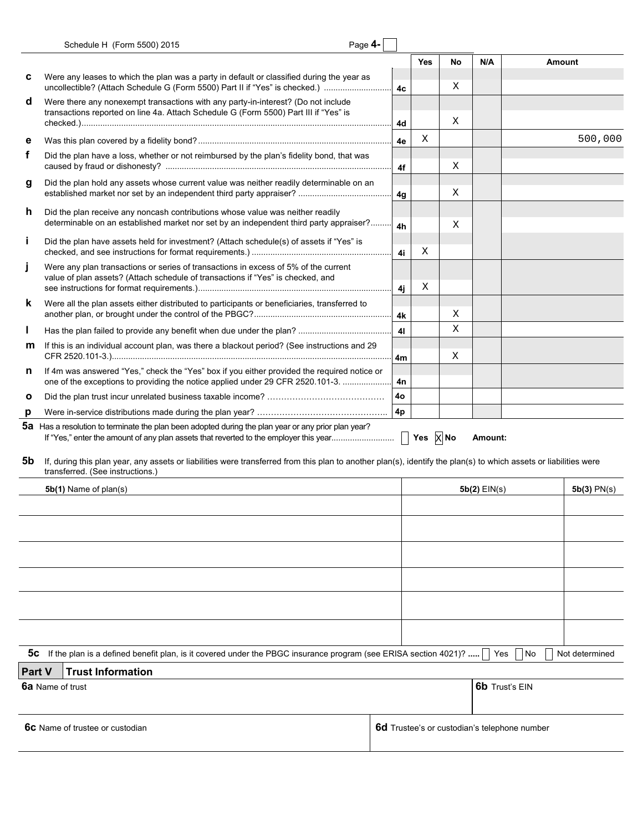| Schedule H (Form 5500) 2015 | Page $4-$ |  |
|-----------------------------|-----------|--|
|-----------------------------|-----------|--|

| ≏וי |  |
|-----|--|
|-----|--|

|        |                                                                                                                                                                                                       |    | <b>Yes</b> | No | N/A            |                                              | Amount         |
|--------|-------------------------------------------------------------------------------------------------------------------------------------------------------------------------------------------------------|----|------------|----|----------------|----------------------------------------------|----------------|
| c      | Were any leases to which the plan was a party in default or classified during the year as<br>uncollectible? (Attach Schedule G (Form 5500) Part II if "Yes" is checked.)                              | 4c |            | Χ  |                |                                              |                |
| d      | Were there any nonexempt transactions with any party-in-interest? (Do not include<br>transactions reported on line 4a. Attach Schedule G (Form 5500) Part III if "Yes" is                             |    |            |    |                |                                              |                |
|        |                                                                                                                                                                                                       | 4d |            | Χ  |                |                                              |                |
| е      |                                                                                                                                                                                                       | 4е | Χ          |    |                |                                              | 500,000        |
| f      | Did the plan have a loss, whether or not reimbursed by the plan's fidelity bond, that was                                                                                                             | 4f |            | Χ  |                |                                              |                |
| g      | Did the plan hold any assets whose current value was neither readily determinable on an                                                                                                               | 4g |            | Χ  |                |                                              |                |
| h      | Did the plan receive any noncash contributions whose value was neither readily<br>determinable on an established market nor set by an independent third party appraiser?                              | 4h |            | Χ  |                |                                              |                |
| j.     | Did the plan have assets held for investment? (Attach schedule(s) of assets if "Yes" is                                                                                                               | 4i | Χ          |    |                |                                              |                |
| j      | Were any plan transactions or series of transactions in excess of 5% of the current<br>value of plan assets? (Attach schedule of transactions if "Yes" is checked, and                                |    | Χ          |    |                |                                              |                |
|        |                                                                                                                                                                                                       | 4i |            |    |                |                                              |                |
| k      | Were all the plan assets either distributed to participants or beneficiaries, transferred to                                                                                                          | 4k |            | Χ  |                |                                              |                |
| L      |                                                                                                                                                                                                       | 41 |            | Χ  |                |                                              |                |
| m      | If this is an individual account plan, was there a blackout period? (See instructions and 29                                                                                                          | 4m |            | Χ  |                |                                              |                |
| n      | If 4m was answered "Yes," check the "Yes" box if you either provided the required notice or<br>one of the exceptions to providing the notice applied under 29 CFR 2520.101-3.                         | 4n |            |    |                |                                              |                |
| O      |                                                                                                                                                                                                       | 4о |            |    |                |                                              |                |
| p      |                                                                                                                                                                                                       | 4p |            |    |                |                                              |                |
|        | 5a Has a resolution to terminate the plan been adopted during the plan year or any prior plan year?                                                                                                   |    |            |    |                |                                              |                |
|        |                                                                                                                                                                                                       |    |            |    | Amount:        |                                              |                |
| 5b     | If, during this plan year, any assets or liabilities were transferred from this plan to another plan(s), identify the plan(s) to which assets or liabilities were<br>transferred. (See instructions.) |    |            |    |                |                                              |                |
|        | 5b(1) Name of plan(s)                                                                                                                                                                                 |    |            |    | $5b(2)$ EIN(s) |                                              | $5b(3)$ PN(s)  |
|        |                                                                                                                                                                                                       |    |            |    |                |                                              |                |
|        |                                                                                                                                                                                                       |    |            |    |                |                                              |                |
|        |                                                                                                                                                                                                       |    |            |    |                |                                              |                |
|        |                                                                                                                                                                                                       |    |            |    |                |                                              |                |
|        |                                                                                                                                                                                                       |    |            |    |                |                                              |                |
|        |                                                                                                                                                                                                       |    |            |    |                |                                              |                |
|        |                                                                                                                                                                                                       |    |            |    |                |                                              |                |
|        |                                                                                                                                                                                                       |    |            |    |                |                                              |                |
|        |                                                                                                                                                                                                       |    |            |    |                |                                              |                |
|        |                                                                                                                                                                                                       |    |            |    |                |                                              |                |
|        | 5c If the plan is a defined benefit plan, is it covered under the PBGC insurance program (see ERISA section 4021)?                                                                                    |    |            |    | Yes            | No                                           | Not determined |
| Part V | <b>Trust Information</b>                                                                                                                                                                              |    |            |    |                |                                              |                |
|        | 6a Name of trust                                                                                                                                                                                      |    |            |    |                | <b>6b</b> Trust's EIN                        |                |
|        |                                                                                                                                                                                                       |    |            |    |                |                                              |                |
|        |                                                                                                                                                                                                       |    |            |    |                |                                              |                |
|        | <b>6C</b> Name of trustee or custodian                                                                                                                                                                |    |            |    |                | 6d Trustee's or custodian's telephone number |                |
|        |                                                                                                                                                                                                       |    |            |    |                |                                              |                |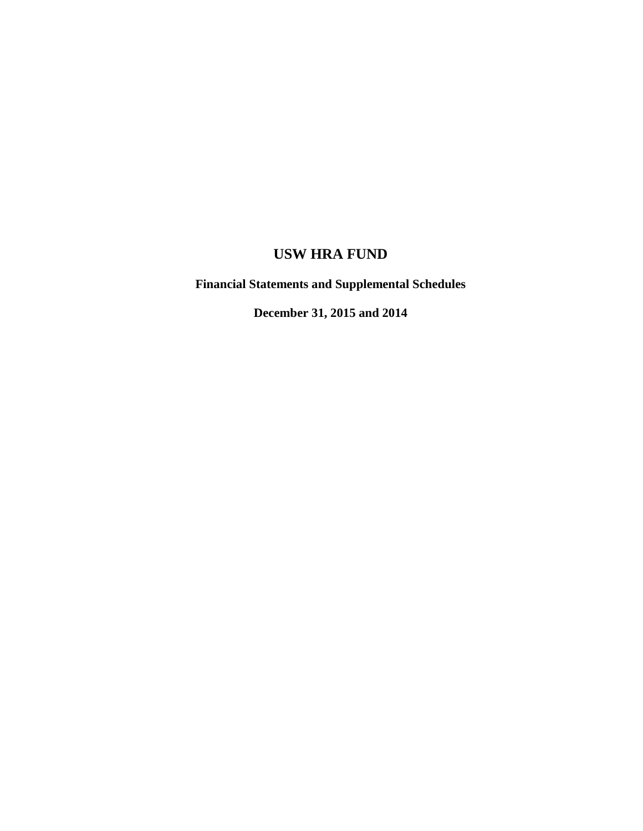**Financial Statements and Supplemental Schedules** 

**December 31, 2015 and 2014**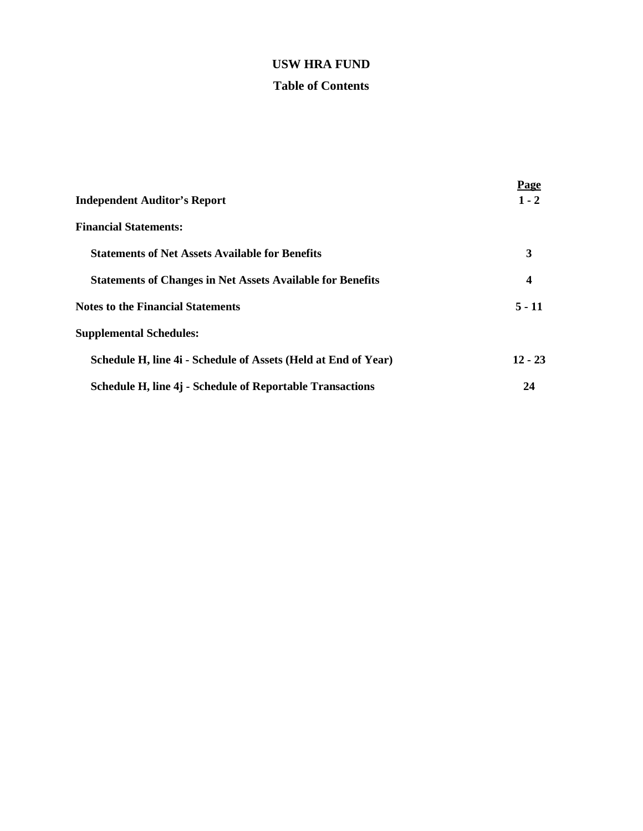### **Table of Contents**

|                                                                   | Page      |
|-------------------------------------------------------------------|-----------|
| <b>Independent Auditor's Report</b>                               | $1 - 2$   |
| <b>Financial Statements:</b>                                      |           |
| <b>Statements of Net Assets Available for Benefits</b>            | 3         |
| <b>Statements of Changes in Net Assets Available for Benefits</b> | 4         |
| <b>Notes to the Financial Statements</b>                          | $5 - 11$  |
| <b>Supplemental Schedules:</b>                                    |           |
| Schedule H, line 4i - Schedule of Assets (Held at End of Year)    | $12 - 23$ |
| Schedule H, line 4j - Schedule of Reportable Transactions         | 24        |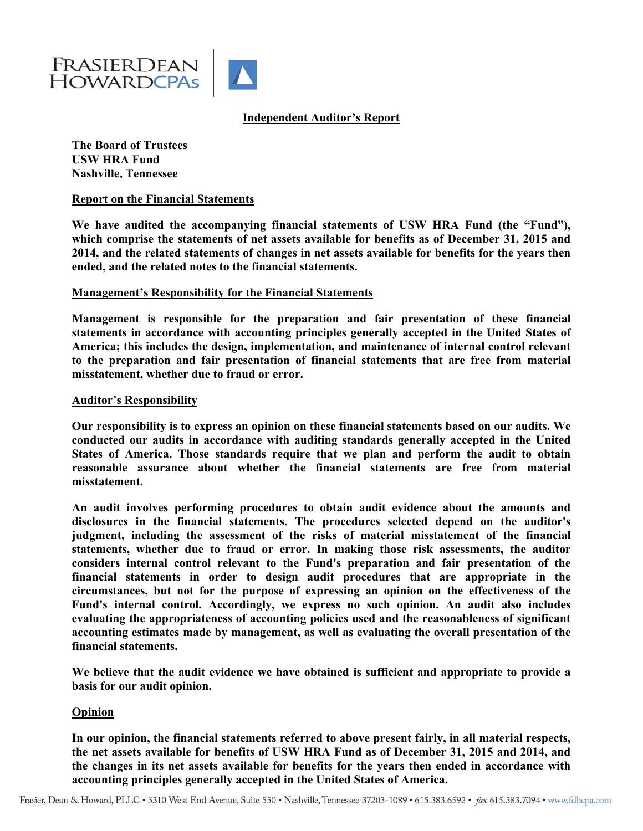

### **Independent Auditor's Report**

**The Board of Trustees USW HRA Fund Nashville, Tennessee** 

#### **Report on the Financial Statements**

We have audited the accompanying financial statements of USW HRA Fund (the "Fund"), **which comprise the statements of net assets available for benefits as of December 31, 2015 and 2014, and the related statements of changes in net assets available for benefits for the years then ended, and the related notes to the financial statements.** 

#### **Management's Responsibility for the Financial Statements**

**Management is responsible for the preparation and fair presentation of these financial statements in accordance with accounting principles generally accepted in the United States of America; this includes the design, implementation, and maintenance of internal control relevant to the preparation and fair presentation of financial statements that are free from material misstatement, whether due to fraud or error.** 

#### **Auditor's Responsibility**

**Our responsibility is to express an opinion on these financial statements based on our audits. We conducted our audits in accordance with auditing standards generally accepted in the United States of America. Those standards require that we plan and perform the audit to obtain reasonable assurance about whether the financial statements are free from material misstatement.** 

**An audit involves performing procedures to obtain audit evidence about the amounts and disclosures in the financial statements. The procedures selected depend on the auditor's judgment, including the assessment of the risks of material misstatement of the financial statements, whether due to fraud or error. In making those risk assessments, the auditor considers internal control relevant to the Fund's preparation and fair presentation of the financial statements in order to design audit procedures that are appropriate in the circumstances, but not for the purpose of expressing an opinion on the effectiveness of the Fund's internal control. Accordingly, we express no such opinion. An audit also includes evaluating the appropriateness of accounting policies used and the reasonableness of significant accounting estimates made by management, as well as evaluating the overall presentation of the financial statements.** 

**We believe that the audit evidence we have obtained is sufficient and appropriate to provide a basis for our audit opinion.** 

#### **Opinion**

**In our opinion, the financial statements referred to above present fairly, in all material respects, the net assets available for benefits of USW HRA Fund as of December 31, 2015 and 2014, and the changes in its net assets available for benefits for the years then ended in accordance with accounting principles generally accepted in the United States of America.**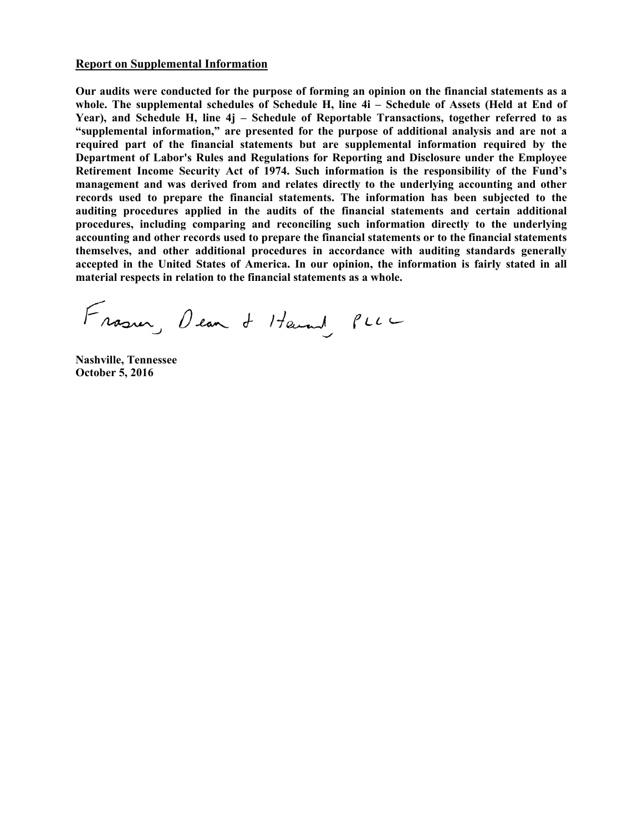#### **Report on Supplemental Information**

**Our audits were conducted for the purpose of forming an opinion on the financial statements as a whole. The supplemental schedules of Schedule H, line 4i – Schedule of Assets (Held at End of Year), and Schedule H, line 4j – Schedule of Reportable Transactions, together referred to as "supplemental information," are presented for the purpose of additional analysis and are not a required part of the financial statements but are supplemental information required by the Department of Labor's Rules and Regulations for Reporting and Disclosure under the Employee Retirement Income Security Act of 1974. Such information is the responsibility of the Fund's management and was derived from and relates directly to the underlying accounting and other records used to prepare the financial statements. The information has been subjected to the auditing procedures applied in the audits of the financial statements and certain additional procedures, including comparing and reconciling such information directly to the underlying accounting and other records used to prepare the financial statements or to the financial statements themselves, and other additional procedures in accordance with auditing standards generally accepted in the United States of America. In our opinion, the information is fairly stated in all material respects in relation to the financial statements as a whole.** 

Frasın, Dean & Henry PLLL

**Nashville, Tennessee October 5, 2016**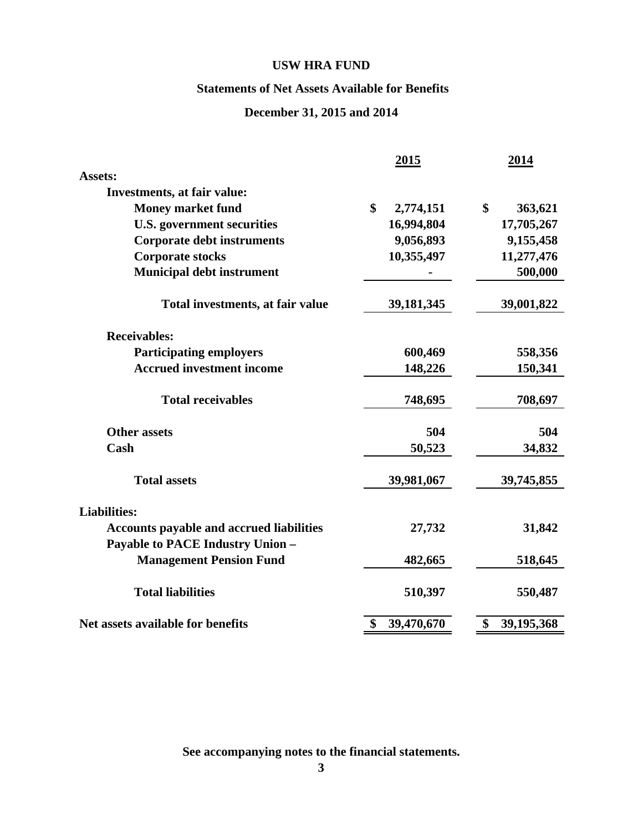### **Statements of Net Assets Available for Benefits**

### **December 31, 2015 and 2014**

|                                                 | <u>2015</u>      | <u>2014</u>      |
|-------------------------------------------------|------------------|------------------|
| Assets:                                         |                  |                  |
| Investments, at fair value:                     |                  |                  |
| <b>Money market fund</b>                        | \$<br>2,774,151  | \$<br>363,621    |
| <b>U.S. government securities</b>               | 16,994,804       | 17,705,267       |
| <b>Corporate debt instruments</b>               | 9,056,893        | 9,155,458        |
| <b>Corporate stocks</b>                         | 10,355,497       | 11,277,476       |
| <b>Municipal debt instrument</b>                |                  | 500,000          |
| Total investments, at fair value                | 39, 181, 345     | 39,001,822       |
| <b>Receivables:</b>                             |                  |                  |
| <b>Participating employers</b>                  | 600,469          | 558,356          |
| <b>Accrued investment income</b>                | 148,226          | 150,341          |
| <b>Total receivables</b>                        | 748,695          | 708,697          |
| <b>Other assets</b>                             | 504              | 504              |
| Cash                                            | 50,523           | 34,832           |
| <b>Total assets</b>                             | 39,981,067       | 39,745,855       |
| <b>Liabilities:</b>                             |                  |                  |
| <b>Accounts payable and accrued liabilities</b> | 27,732           | 31,842           |
| <b>Payable to PACE Industry Union -</b>         |                  |                  |
| <b>Management Pension Fund</b>                  | 482,665          | 518,645          |
| <b>Total liabilities</b>                        | 510,397          | 550,487          |
| Net assets available for benefits               | \$<br>39,470,670 | \$<br>39,195,368 |

**See accompanying notes to the financial statements.**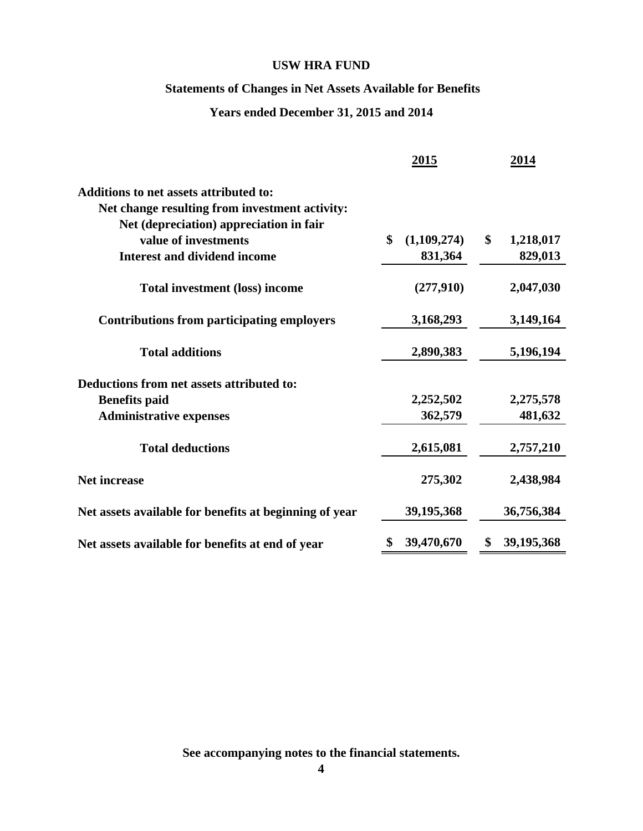### **Statements of Changes in Net Assets Available for Benefits**

### **Years ended December 31, 2015 and 2014**

|                                                        | 2015              | 2014               |
|--------------------------------------------------------|-------------------|--------------------|
| Additions to net assets attributed to:                 |                   |                    |
| Net change resulting from investment activity:         |                   |                    |
| Net (depreciation) appreciation in fair                |                   |                    |
| value of investments                                   | \$<br>(1,109,274) | \$<br>1,218,017    |
| <b>Interest and dividend income</b>                    | 831,364           | 829,013            |
| <b>Total investment (loss) income</b>                  | (277,910)         | 2,047,030          |
| <b>Contributions from participating employers</b>      | 3,168,293         | 3,149,164          |
| <b>Total additions</b>                                 | 2,890,383         | 5,196,194          |
| Deductions from net assets attributed to:              |                   |                    |
| <b>Benefits paid</b>                                   | 2,252,502         | 2,275,578          |
| <b>Administrative expenses</b>                         | 362,579           | 481,632            |
| <b>Total deductions</b>                                | 2,615,081         | 2,757,210          |
| <b>Net increase</b>                                    | 275,302           | 2,438,984          |
| Net assets available for benefits at beginning of year | 39,195,368        | 36,756,384         |
| Net assets available for benefits at end of year       | 39,470,670        | 39, 195, 368<br>\$ |

**See accompanying notes to the financial statements.**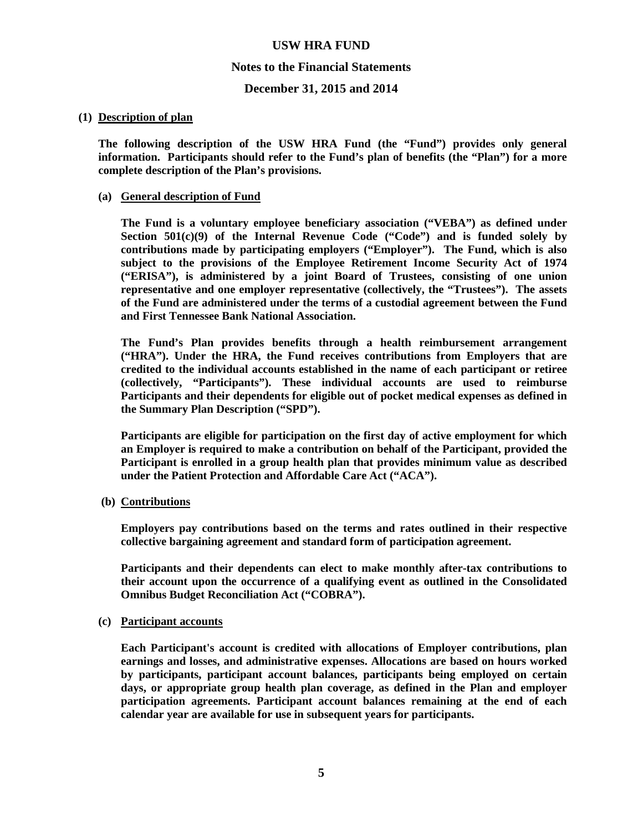#### **Notes to the Financial Statements**

#### **December 31, 2015 and 2014**

#### **(1) Description of plan**

**The following description of the USW HRA Fund (the "Fund") provides only general information. Participants should refer to the Fund's plan of benefits (the "Plan") for a more complete description of the Plan's provisions.** 

#### **(a) General description of Fund**

**The Fund is a voluntary employee beneficiary association ("VEBA") as defined under Section 501(c)(9) of the Internal Revenue Code ("Code") and is funded solely by contributions made by participating employers ("Employer"). The Fund, which is also subject to the provisions of the Employee Retirement Income Security Act of 1974 ("ERISA"), is administered by a joint Board of Trustees, consisting of one union representative and one employer representative (collectively, the "Trustees"). The assets of the Fund are administered under the terms of a custodial agreement between the Fund and First Tennessee Bank National Association.** 

**The Fund's Plan provides benefits through a health reimbursement arrangement ("HRA"). Under the HRA, the Fund receives contributions from Employers that are credited to the individual accounts established in the name of each participant or retiree (collectively, "Participants"). These individual accounts are used to reimburse Participants and their dependents for eligible out of pocket medical expenses as defined in the Summary Plan Description ("SPD").** 

**Participants are eligible for participation on the first day of active employment for which an Employer is required to make a contribution on behalf of the Participant, provided the Participant is enrolled in a group health plan that provides minimum value as described under the Patient Protection and Affordable Care Act ("ACA").** 

 **(b) Contributions**

**Employers pay contributions based on the terms and rates outlined in their respective collective bargaining agreement and standard form of participation agreement.** 

**Participants and their dependents can elect to make monthly after-tax contributions to their account upon the occurrence of a qualifying event as outlined in the Consolidated Omnibus Budget Reconciliation Act ("COBRA").** 

#### **(c) Participant accounts**

**Each Participant's account is credited with allocations of Employer contributions, plan earnings and losses, and administrative expenses. Allocations are based on hours worked by participants, participant account balances, participants being employed on certain days, or appropriate group health plan coverage, as defined in the Plan and employer participation agreements. Participant account balances remaining at the end of each calendar year are available for use in subsequent years for participants.**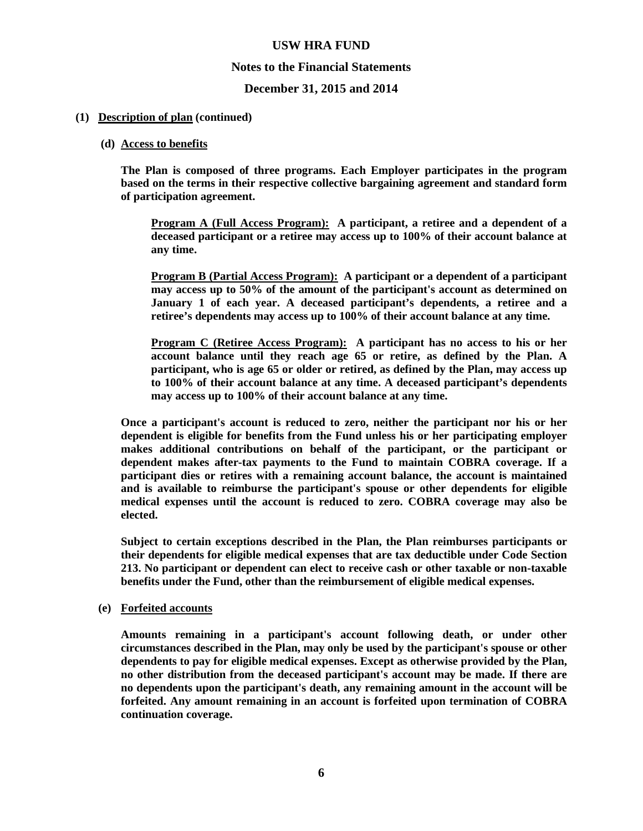#### **Notes to the Financial Statements**

#### **December 31, 2015 and 2014**

#### **(1) Description of plan (continued)**

#### **(d) Access to benefits**

**The Plan is composed of three programs. Each Employer participates in the program based on the terms in their respective collective bargaining agreement and standard form of participation agreement.** 

**Program A (Full Access Program): A participant, a retiree and a dependent of a deceased participant or a retiree may access up to 100% of their account balance at any time.** 

**Program B (Partial Access Program): A participant or a dependent of a participant may access up to 50% of the amount of the participant's account as determined on January 1 of each year. A deceased participant's dependents, a retiree and a retiree's dependents may access up to 100% of their account balance at any time.** 

**Program C (Retiree Access Program): A participant has no access to his or her account balance until they reach age 65 or retire, as defined by the Plan. A participant, who is age 65 or older or retired, as defined by the Plan, may access up to 100% of their account balance at any time. A deceased participant's dependents may access up to 100% of their account balance at any time.** 

**Once a participant's account is reduced to zero, neither the participant nor his or her dependent is eligible for benefits from the Fund unless his or her participating employer makes additional contributions on behalf of the participant, or the participant or dependent makes after-tax payments to the Fund to maintain COBRA coverage. If a participant dies or retires with a remaining account balance, the account is maintained and is available to reimburse the participant's spouse or other dependents for eligible medical expenses until the account is reduced to zero. COBRA coverage may also be elected.** 

**Subject to certain exceptions described in the Plan, the Plan reimburses participants or their dependents for eligible medical expenses that are tax deductible under Code Section 213. No participant or dependent can elect to receive cash or other taxable or non-taxable benefits under the Fund, other than the reimbursement of eligible medical expenses.** 

#### **(e) Forfeited accounts**

**Amounts remaining in a participant's account following death, or under other circumstances described in the Plan, may only be used by the participant's spouse or other dependents to pay for eligible medical expenses. Except as otherwise provided by the Plan, no other distribution from the deceased participant's account may be made. If there are no dependents upon the participant's death, any remaining amount in the account will be forfeited. Any amount remaining in an account is forfeited upon termination of COBRA continuation coverage.**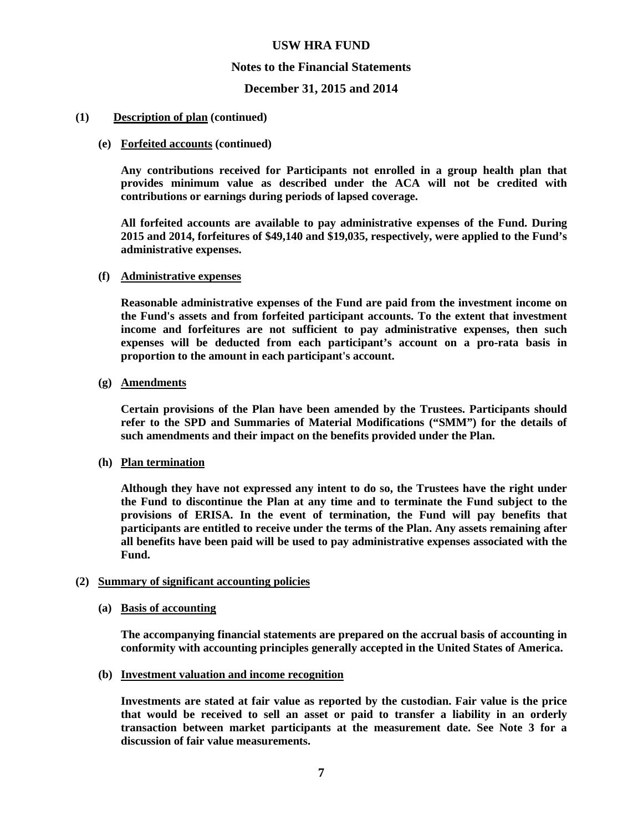#### **Notes to the Financial Statements**

#### **December 31, 2015 and 2014**

#### **(1) Description of plan (continued)**

#### **(e) Forfeited accounts (continued)**

**Any contributions received for Participants not enrolled in a group health plan that provides minimum value as described under the ACA will not be credited with contributions or earnings during periods of lapsed coverage.** 

**All forfeited accounts are available to pay administrative expenses of the Fund. During 2015 and 2014, forfeitures of \$49,140 and \$19,035, respectively, were applied to the Fund's administrative expenses.** 

#### **(f) Administrative expenses**

**Reasonable administrative expenses of the Fund are paid from the investment income on the Fund's assets and from forfeited participant accounts. To the extent that investment income and forfeitures are not sufficient to pay administrative expenses, then such expenses will be deducted from each participant's account on a pro-rata basis in proportion to the amount in each participant's account.** 

#### **(g) Amendments**

**Certain provisions of the Plan have been amended by the Trustees. Participants should refer to the SPD and Summaries of Material Modifications ("SMM") for the details of such amendments and their impact on the benefits provided under the Plan.** 

#### **(h) Plan termination**

**Although they have not expressed any intent to do so, the Trustees have the right under the Fund to discontinue the Plan at any time and to terminate the Fund subject to the provisions of ERISA. In the event of termination, the Fund will pay benefits that participants are entitled to receive under the terms of the Plan. Any assets remaining after all benefits have been paid will be used to pay administrative expenses associated with the Fund.** 

#### **(2) Summary of significant accounting policies**

#### **(a) Basis of accounting**

**The accompanying financial statements are prepared on the accrual basis of accounting in conformity with accounting principles generally accepted in the United States of America.** 

#### **(b) Investment valuation and income recognition**

**Investments are stated at fair value as reported by the custodian. Fair value is the price that would be received to sell an asset or paid to transfer a liability in an orderly transaction between market participants at the measurement date. See Note 3 for a discussion of fair value measurements.**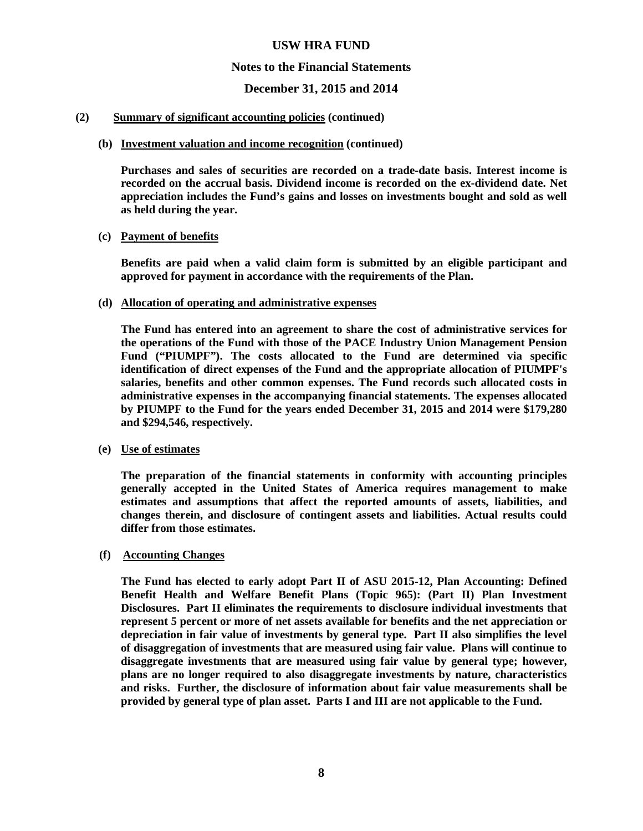#### **Notes to the Financial Statements**

### **December 31, 2015 and 2014**

#### **(2) Summary of significant accounting policies (continued)**

#### **(b) Investment valuation and income recognition (continued)**

**Purchases and sales of securities are recorded on a trade-date basis. Interest income is recorded on the accrual basis. Dividend income is recorded on the ex-dividend date. Net appreciation includes the Fund's gains and losses on investments bought and sold as well as held during the year.** 

#### **(c) Payment of benefits**

**Benefits are paid when a valid claim form is submitted by an eligible participant and approved for payment in accordance with the requirements of the Plan.** 

#### **(d) Allocation of operating and administrative expenses**

**The Fund has entered into an agreement to share the cost of administrative services for the operations of the Fund with those of the PACE Industry Union Management Pension Fund ("PIUMPF"). The costs allocated to the Fund are determined via specific identification of direct expenses of the Fund and the appropriate allocation of PIUMPF's salaries, benefits and other common expenses. The Fund records such allocated costs in administrative expenses in the accompanying financial statements. The expenses allocated by PIUMPF to the Fund for the years ended December 31, 2015 and 2014 were \$179,280 and \$294,546, respectively.** 

#### **(e) Use of estimates**

**The preparation of the financial statements in conformity with accounting principles generally accepted in the United States of America requires management to make estimates and assumptions that affect the reported amounts of assets, liabilities, and changes therein, and disclosure of contingent assets and liabilities. Actual results could differ from those estimates.** 

#### **(f) Accounting Changes**

**The Fund has elected to early adopt Part II of ASU 2015-12, Plan Accounting: Defined Benefit Health and Welfare Benefit Plans (Topic 965): (Part II) Plan Investment Disclosures. Part II eliminates the requirements to disclosure individual investments that represent 5 percent or more of net assets available for benefits and the net appreciation or depreciation in fair value of investments by general type. Part II also simplifies the level of disaggregation of investments that are measured using fair value. Plans will continue to disaggregate investments that are measured using fair value by general type; however, plans are no longer required to also disaggregate investments by nature, characteristics and risks. Further, the disclosure of information about fair value measurements shall be provided by general type of plan asset. Parts I and III are not applicable to the Fund.**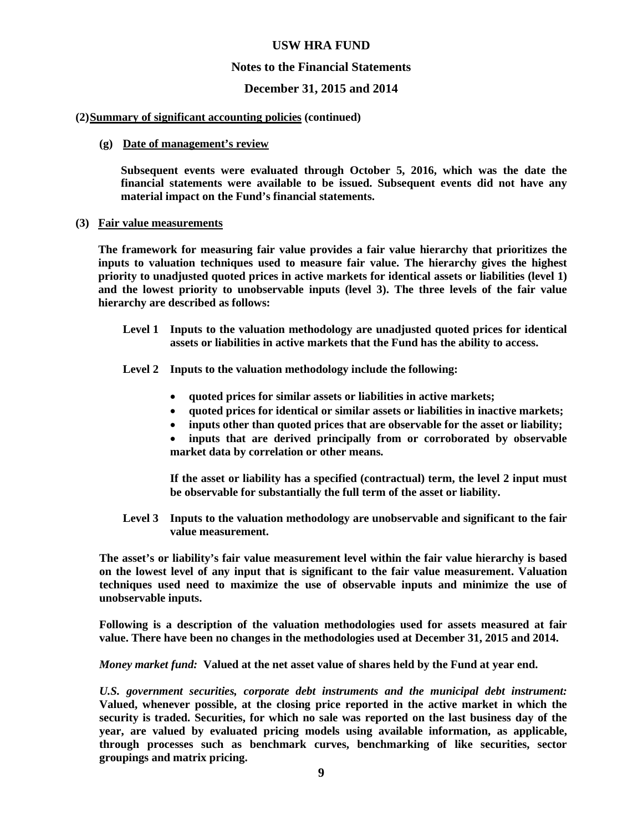#### **Notes to the Financial Statements**

#### **December 31, 2015 and 2014**

#### **(2) Summary of significant accounting policies (continued)**

#### **(g) Date of management's review**

**Subsequent events were evaluated through October 5, 2016, which was the date the financial statements were available to be issued. Subsequent events did not have any material impact on the Fund's financial statements.** 

#### **(3) Fair value measurements**

**The framework for measuring fair value provides a fair value hierarchy that prioritizes the inputs to valuation techniques used to measure fair value. The hierarchy gives the highest priority to unadjusted quoted prices in active markets for identical assets or liabilities (level 1) and the lowest priority to unobservable inputs (level 3). The three levels of the fair value hierarchy are described as follows:** 

**Level 1 Inputs to the valuation methodology are unadjusted quoted prices for identical assets or liabilities in active markets that the Fund has the ability to access.** 

**Level 2 Inputs to the valuation methodology include the following:** 

- **quoted prices for similar assets or liabilities in active markets;**
- **quoted prices for identical or similar assets or liabilities in inactive markets;**
- **inputs other than quoted prices that are observable for the asset or liability;**
- **inputs that are derived principally from or corroborated by observable market data by correlation or other means.**

**If the asset or liability has a specified (contractual) term, the level 2 input must be observable for substantially the full term of the asset or liability.** 

**Level 3 Inputs to the valuation methodology are unobservable and significant to the fair value measurement.** 

**The asset's or liability's fair value measurement level within the fair value hierarchy is based on the lowest level of any input that is significant to the fair value measurement. Valuation techniques used need to maximize the use of observable inputs and minimize the use of unobservable inputs.** 

**Following is a description of the valuation methodologies used for assets measured at fair value. There have been no changes in the methodologies used at December 31, 2015 and 2014.** 

*Money market fund:* **Valued at the net asset value of shares held by the Fund at year end.**

*U.S. government securities, corporate debt instruments and the municipal debt instrument:* **Valued, whenever possible, at the closing price reported in the active market in which the security is traded. Securities, for which no sale was reported on the last business day of the year, are valued by evaluated pricing models using available information, as applicable, through processes such as benchmark curves, benchmarking of like securities, sector groupings and matrix pricing.**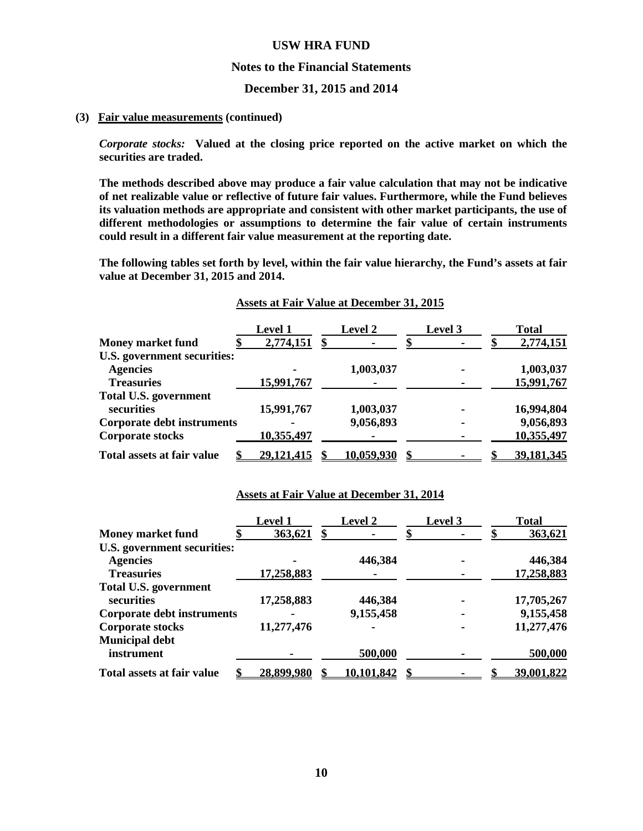#### **Notes to the Financial Statements**

**December 31, 2015 and 2014** 

#### **(3) Fair value measurements (continued)**

*Corporate stocks:* **Valued at the closing price reported on the active market on which the securities are traded.** 

**The methods described above may produce a fair value calculation that may not be indicative of net realizable value or reflective of future fair values. Furthermore, while the Fund believes its valuation methods are appropriate and consistent with other market participants, the use of different methodologies or assumptions to determine the fair value of certain instruments could result in a different fair value measurement at the reporting date.** 

**The following tables set forth by level, within the fair value hierarchy, the Fund's assets at fair value at December 31, 2015 and 2014.** 

|                                   | <b>Level 1</b>    | <b>Level 2</b> | Level 3 | <b>Total</b> |
|-----------------------------------|-------------------|----------------|---------|--------------|
| <b>Money market fund</b>          | 2,774,151         |                |         | 2,774,151    |
| U.S. government securities:       |                   |                |         |              |
| <b>Agencies</b>                   |                   | 1,003,037      |         | 1,003,037    |
| <b>Treasuries</b>                 | 15,991,767        |                |         | 15,991,767   |
| <b>Total U.S. government</b>      |                   |                |         |              |
| securities                        | 15,991,767        | 1,003,037      |         | 16,994,804   |
| <b>Corporate debt instruments</b> |                   | 9,056,893      | ۰       | 9,056,893    |
| <b>Corporate stocks</b>           | 10,355,497        |                |         | 10,355,497   |
| Total assets at fair value        | <u>29,121,415</u> | 10,059,930     |         | 39,181,345   |

#### **Assets at Fair Value at December 31, 2015**

#### **Assets at Fair Value at December 31, 2014**

|                                   | <b>Level 1</b>    | <b>Level 2</b> | Level 3 | <b>Total</b> |
|-----------------------------------|-------------------|----------------|---------|--------------|
| <b>Money market fund</b>          | 363,621           |                |         | 363,621      |
| U.S. government securities:       |                   |                |         |              |
| <b>Agencies</b>                   |                   | 446,384        |         | 446,384      |
| <b>Treasuries</b>                 | 17,258,883        |                |         | 17,258,883   |
| <b>Total U.S. government</b>      |                   |                |         |              |
| securities                        | 17,258,883        | 446,384        |         | 17,705,267   |
| <b>Corporate debt instruments</b> |                   | 9,155,458      |         | 9,155,458    |
| <b>Corporate stocks</b>           | 11,277,476        |                |         | 11,277,476   |
| <b>Municipal debt</b>             |                   |                |         |              |
| instrument                        |                   | 500,000        |         | 500,000      |
| Total assets at fair value        | <u>28,899,980</u> | 10,101,842     |         | 39,001,822   |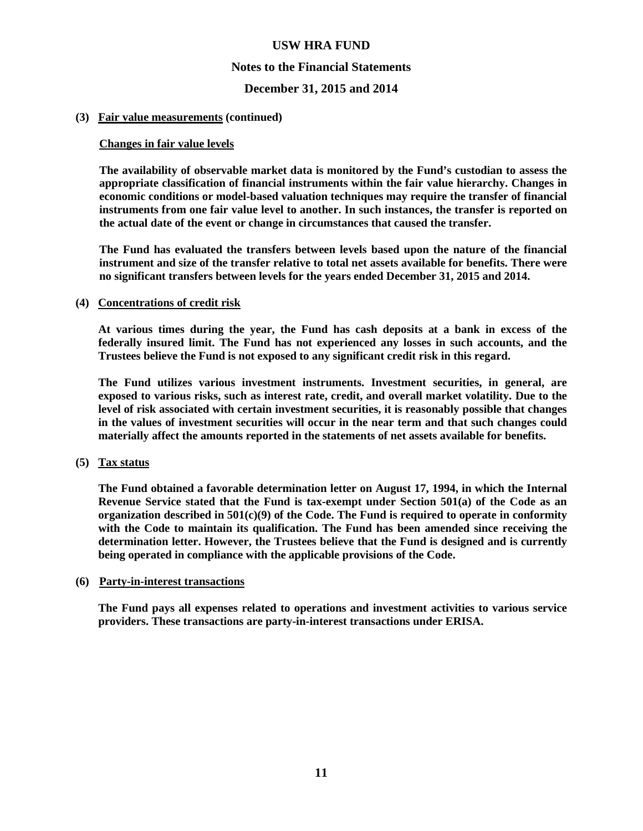#### **Notes to the Financial Statements**

#### **December 31, 2015 and 2014**

#### **(3) Fair value measurements (continued)**

#### **Changes in fair value levels**

**The availability of observable market data is monitored by the Fund's custodian to assess the appropriate classification of financial instruments within the fair value hierarchy. Changes in economic conditions or model-based valuation techniques may require the transfer of financial instruments from one fair value level to another. In such instances, the transfer is reported on the actual date of the event or change in circumstances that caused the transfer.** 

**The Fund has evaluated the transfers between levels based upon the nature of the financial instrument and size of the transfer relative to total net assets available for benefits. There were no significant transfers between levels for the years ended December 31, 2015 and 2014.** 

#### **(4) Concentrations of credit risk**

**At various times during the year, the Fund has cash deposits at a bank in excess of the federally insured limit. The Fund has not experienced any losses in such accounts, and the Trustees believe the Fund is not exposed to any significant credit risk in this regard.** 

**The Fund utilizes various investment instruments. Investment securities, in general, are exposed to various risks, such as interest rate, credit, and overall market volatility. Due to the level of risk associated with certain investment securities, it is reasonably possible that changes in the values of investment securities will occur in the near term and that such changes could materially affect the amounts reported in the statements of net assets available for benefits.** 

#### **(5) Tax status**

**The Fund obtained a favorable determination letter on August 17, 1994, in which the Internal Revenue Service stated that the Fund is tax-exempt under Section 501(a) of the Code as an organization described in 501(c)(9) of the Code. The Fund is required to operate in conformity with the Code to maintain its qualification. The Fund has been amended since receiving the determination letter. However, the Trustees believe that the Fund is designed and is currently being operated in compliance with the applicable provisions of the Code.** 

#### **(6) Party-in-interest transactions**

**The Fund pays all expenses related to operations and investment activities to various service providers. These transactions are party-in-interest transactions under ERISA.**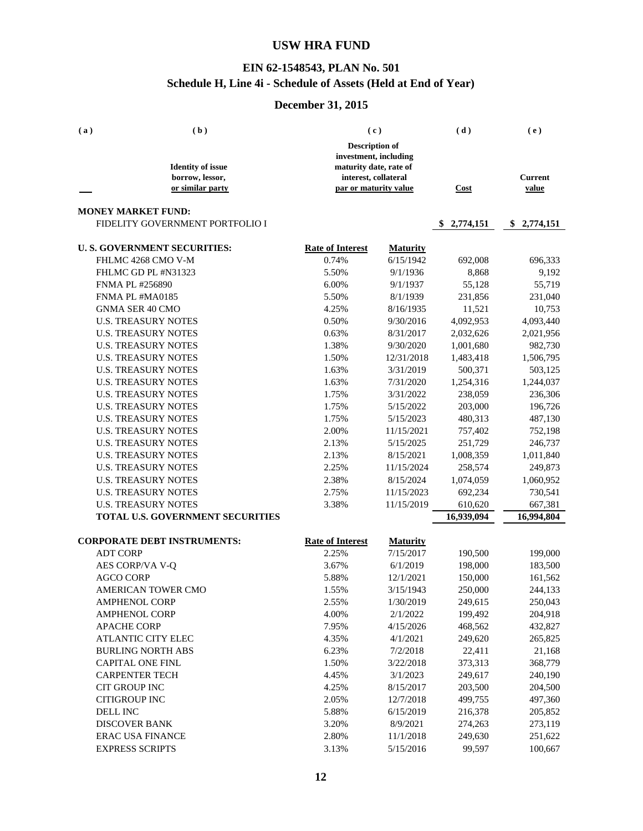### **EIN 62-1548543, PLAN No. 501 Schedule H, Line 4i - Schedule of Assets (Held at End of Year)**

| <b>Description of</b><br>investment, including<br><b>Identity of issue</b><br>maturity date, rate of<br>interest, collateral<br><b>Current</b><br>borrow, lessor,<br>or similar party<br>par or maturity value<br>Cost<br>value<br><b>MONEY MARKET FUND:</b><br>FIDELITY GOVERNMENT PORTFOLIO I<br>\$2,774,151<br>\$2,774,151<br><b>U.S. GOVERNMENT SECURITIES:</b><br><b>Rate of Interest</b><br><b>Maturity</b><br>FHLMC 4268 CMO V-M<br>0.74%<br>6/15/1942<br>692,008<br>696,333<br>FHLMC GD PL #N31323<br>5.50%<br>9/1/1936<br>8,868<br>9,192<br><b>FNMA PL #256890</b><br>6.00%<br>9/1/1937<br>55,128<br>55,719<br>FNMA PL #MA0185<br>5.50%<br>8/1/1939<br>231,856<br>231,040<br><b>GNMA SER 40 CMO</b><br>4.25%<br>8/16/1935<br>11,521<br>10,753<br><b>U.S. TREASURY NOTES</b><br>0.50%<br>9/30/2016<br>4,092,953<br>4,093,440<br><b>U.S. TREASURY NOTES</b><br>0.63%<br>8/31/2017<br>2,032,626<br>2,021,956<br><b>U.S. TREASURY NOTES</b><br>1.38%<br>9/30/2020<br>1,001,680<br>982,730<br><b>U.S. TREASURY NOTES</b><br>1.50%<br>12/31/2018<br>1,483,418<br>1,506,795<br><b>U.S. TREASURY NOTES</b><br>1.63%<br>3/31/2019<br>500,371<br>503,125<br><b>U.S. TREASURY NOTES</b><br>1.63%<br>7/31/2020<br>1,254,316<br>1,244,037<br>1.75%<br><b>U.S. TREASURY NOTES</b><br>3/31/2022<br>238,059<br>236,306<br><b>U.S. TREASURY NOTES</b><br>1.75%<br>5/15/2022<br>203,000<br>196,726<br><b>U.S. TREASURY NOTES</b><br>1.75%<br>5/15/2023<br>480,313<br>487,130<br><b>U.S. TREASURY NOTES</b><br>2.00%<br>11/15/2021<br>757,402<br>752,198<br><b>U.S. TREASURY NOTES</b><br>2.13%<br>5/15/2025<br>251,729<br>246,737<br><b>U.S. TREASURY NOTES</b><br>2.13%<br>8/15/2021<br>1,008,359<br>1,011,840<br><b>U.S. TREASURY NOTES</b><br>2.25%<br>11/15/2024<br>258,574<br>249,873<br><b>U.S. TREASURY NOTES</b><br>2.38%<br>8/15/2024<br>1,074,059<br>1,060,952<br><b>U.S. TREASURY NOTES</b><br>2.75%<br>11/15/2023<br>692,234<br>730,541<br><b>U.S. TREASURY NOTES</b><br>3.38%<br>11/15/2019<br>610,620<br>667,381<br>TOTAL U.S. GOVERNMENT SECURITIES<br>16,939,094<br>16,994,804<br><b>CORPORATE DEBT INSTRUMENTS:</b><br><b>Rate of Interest</b><br><b>Maturity</b><br><b>ADT CORP</b><br>2.25%<br>7/15/2017<br>190,500<br>199,000<br>AES CORP/VA V-Q<br>3.67%<br>6/1/2019<br>198,000<br>183,500<br><b>AGCO CORP</b><br>5.88%<br>12/1/2021<br>150,000<br>161,562<br>1.55%<br>3/15/1943<br>250,000<br>AMERICAN TOWER CMO<br>244,133<br><b>AMPHENOL CORP</b><br>2.55%<br>1/30/2019<br>249,615<br>250,043<br><b>AMPHENOL CORP</b><br>4.00%<br>199,492<br>2/1/2022<br>204,918<br><b>APACHE CORP</b><br>7.95%<br>4/15/2026<br>468,562<br>432,827<br>ATLANTIC CITY ELEC<br>4.35%<br>4/1/2021<br>249,620<br>265,825<br><b>BURLING NORTH ABS</b><br>6.23%<br>7/2/2018<br>22,411<br>21,168<br><b>CAPITAL ONE FINL</b><br>1.50%<br>373,313<br>368,779<br>3/22/2018<br><b>CARPENTER TECH</b><br>4.45%<br>249,617<br>3/1/2023<br>240,190<br><b>CIT GROUP INC</b><br>4.25%<br>203,500<br>204,500<br>8/15/2017<br><b>CITIGROUP INC</b><br>499,755<br>2.05%<br>12/7/2018<br>497,360<br>DELL INC<br>5.88%<br>6/15/2019<br>216,378<br>205,852<br><b>DISCOVER BANK</b><br>3.20%<br>8/9/2021<br>274,263<br>273,119<br><b>ERAC USA FINANCE</b><br>249,630<br>2.80%<br>11/1/2018<br>251,622<br><b>EXPRESS SCRIPTS</b><br>3.13%<br>5/15/2016<br>99,597<br>100,667 | (a) | (b) | (c) | (d) | (e) |
|---------------------------------------------------------------------------------------------------------------------------------------------------------------------------------------------------------------------------------------------------------------------------------------------------------------------------------------------------------------------------------------------------------------------------------------------------------------------------------------------------------------------------------------------------------------------------------------------------------------------------------------------------------------------------------------------------------------------------------------------------------------------------------------------------------------------------------------------------------------------------------------------------------------------------------------------------------------------------------------------------------------------------------------------------------------------------------------------------------------------------------------------------------------------------------------------------------------------------------------------------------------------------------------------------------------------------------------------------------------------------------------------------------------------------------------------------------------------------------------------------------------------------------------------------------------------------------------------------------------------------------------------------------------------------------------------------------------------------------------------------------------------------------------------------------------------------------------------------------------------------------------------------------------------------------------------------------------------------------------------------------------------------------------------------------------------------------------------------------------------------------------------------------------------------------------------------------------------------------------------------------------------------------------------------------------------------------------------------------------------------------------------------------------------------------------------------------------------------------------------------------------------------------------------------------------------------------------------------------------------------------------------------------------------------------------------------------------------------------------------------------------------------------------------------------------------------------------------------------------------------------------------------------------------------------------------------------------------------------------------------------------------------------------------------------------------------------------------------------------------------------------------------------------------------------------------------------------------------------------------------------------------------------------------------------------------------------------------------|-----|-----|-----|-----|-----|
|                                                                                                                                                                                                                                                                                                                                                                                                                                                                                                                                                                                                                                                                                                                                                                                                                                                                                                                                                                                                                                                                                                                                                                                                                                                                                                                                                                                                                                                                                                                                                                                                                                                                                                                                                                                                                                                                                                                                                                                                                                                                                                                                                                                                                                                                                                                                                                                                                                                                                                                                                                                                                                                                                                                                                                                                                                                                                                                                                                                                                                                                                                                                                                                                                                                                                                                                                   |     |     |     |     |     |
|                                                                                                                                                                                                                                                                                                                                                                                                                                                                                                                                                                                                                                                                                                                                                                                                                                                                                                                                                                                                                                                                                                                                                                                                                                                                                                                                                                                                                                                                                                                                                                                                                                                                                                                                                                                                                                                                                                                                                                                                                                                                                                                                                                                                                                                                                                                                                                                                                                                                                                                                                                                                                                                                                                                                                                                                                                                                                                                                                                                                                                                                                                                                                                                                                                                                                                                                                   |     |     |     |     |     |
|                                                                                                                                                                                                                                                                                                                                                                                                                                                                                                                                                                                                                                                                                                                                                                                                                                                                                                                                                                                                                                                                                                                                                                                                                                                                                                                                                                                                                                                                                                                                                                                                                                                                                                                                                                                                                                                                                                                                                                                                                                                                                                                                                                                                                                                                                                                                                                                                                                                                                                                                                                                                                                                                                                                                                                                                                                                                                                                                                                                                                                                                                                                                                                                                                                                                                                                                                   |     |     |     |     |     |
|                                                                                                                                                                                                                                                                                                                                                                                                                                                                                                                                                                                                                                                                                                                                                                                                                                                                                                                                                                                                                                                                                                                                                                                                                                                                                                                                                                                                                                                                                                                                                                                                                                                                                                                                                                                                                                                                                                                                                                                                                                                                                                                                                                                                                                                                                                                                                                                                                                                                                                                                                                                                                                                                                                                                                                                                                                                                                                                                                                                                                                                                                                                                                                                                                                                                                                                                                   |     |     |     |     |     |
|                                                                                                                                                                                                                                                                                                                                                                                                                                                                                                                                                                                                                                                                                                                                                                                                                                                                                                                                                                                                                                                                                                                                                                                                                                                                                                                                                                                                                                                                                                                                                                                                                                                                                                                                                                                                                                                                                                                                                                                                                                                                                                                                                                                                                                                                                                                                                                                                                                                                                                                                                                                                                                                                                                                                                                                                                                                                                                                                                                                                                                                                                                                                                                                                                                                                                                                                                   |     |     |     |     |     |
|                                                                                                                                                                                                                                                                                                                                                                                                                                                                                                                                                                                                                                                                                                                                                                                                                                                                                                                                                                                                                                                                                                                                                                                                                                                                                                                                                                                                                                                                                                                                                                                                                                                                                                                                                                                                                                                                                                                                                                                                                                                                                                                                                                                                                                                                                                                                                                                                                                                                                                                                                                                                                                                                                                                                                                                                                                                                                                                                                                                                                                                                                                                                                                                                                                                                                                                                                   |     |     |     |     |     |
|                                                                                                                                                                                                                                                                                                                                                                                                                                                                                                                                                                                                                                                                                                                                                                                                                                                                                                                                                                                                                                                                                                                                                                                                                                                                                                                                                                                                                                                                                                                                                                                                                                                                                                                                                                                                                                                                                                                                                                                                                                                                                                                                                                                                                                                                                                                                                                                                                                                                                                                                                                                                                                                                                                                                                                                                                                                                                                                                                                                                                                                                                                                                                                                                                                                                                                                                                   |     |     |     |     |     |
|                                                                                                                                                                                                                                                                                                                                                                                                                                                                                                                                                                                                                                                                                                                                                                                                                                                                                                                                                                                                                                                                                                                                                                                                                                                                                                                                                                                                                                                                                                                                                                                                                                                                                                                                                                                                                                                                                                                                                                                                                                                                                                                                                                                                                                                                                                                                                                                                                                                                                                                                                                                                                                                                                                                                                                                                                                                                                                                                                                                                                                                                                                                                                                                                                                                                                                                                                   |     |     |     |     |     |
|                                                                                                                                                                                                                                                                                                                                                                                                                                                                                                                                                                                                                                                                                                                                                                                                                                                                                                                                                                                                                                                                                                                                                                                                                                                                                                                                                                                                                                                                                                                                                                                                                                                                                                                                                                                                                                                                                                                                                                                                                                                                                                                                                                                                                                                                                                                                                                                                                                                                                                                                                                                                                                                                                                                                                                                                                                                                                                                                                                                                                                                                                                                                                                                                                                                                                                                                                   |     |     |     |     |     |
|                                                                                                                                                                                                                                                                                                                                                                                                                                                                                                                                                                                                                                                                                                                                                                                                                                                                                                                                                                                                                                                                                                                                                                                                                                                                                                                                                                                                                                                                                                                                                                                                                                                                                                                                                                                                                                                                                                                                                                                                                                                                                                                                                                                                                                                                                                                                                                                                                                                                                                                                                                                                                                                                                                                                                                                                                                                                                                                                                                                                                                                                                                                                                                                                                                                                                                                                                   |     |     |     |     |     |
|                                                                                                                                                                                                                                                                                                                                                                                                                                                                                                                                                                                                                                                                                                                                                                                                                                                                                                                                                                                                                                                                                                                                                                                                                                                                                                                                                                                                                                                                                                                                                                                                                                                                                                                                                                                                                                                                                                                                                                                                                                                                                                                                                                                                                                                                                                                                                                                                                                                                                                                                                                                                                                                                                                                                                                                                                                                                                                                                                                                                                                                                                                                                                                                                                                                                                                                                                   |     |     |     |     |     |
|                                                                                                                                                                                                                                                                                                                                                                                                                                                                                                                                                                                                                                                                                                                                                                                                                                                                                                                                                                                                                                                                                                                                                                                                                                                                                                                                                                                                                                                                                                                                                                                                                                                                                                                                                                                                                                                                                                                                                                                                                                                                                                                                                                                                                                                                                                                                                                                                                                                                                                                                                                                                                                                                                                                                                                                                                                                                                                                                                                                                                                                                                                                                                                                                                                                                                                                                                   |     |     |     |     |     |
|                                                                                                                                                                                                                                                                                                                                                                                                                                                                                                                                                                                                                                                                                                                                                                                                                                                                                                                                                                                                                                                                                                                                                                                                                                                                                                                                                                                                                                                                                                                                                                                                                                                                                                                                                                                                                                                                                                                                                                                                                                                                                                                                                                                                                                                                                                                                                                                                                                                                                                                                                                                                                                                                                                                                                                                                                                                                                                                                                                                                                                                                                                                                                                                                                                                                                                                                                   |     |     |     |     |     |
|                                                                                                                                                                                                                                                                                                                                                                                                                                                                                                                                                                                                                                                                                                                                                                                                                                                                                                                                                                                                                                                                                                                                                                                                                                                                                                                                                                                                                                                                                                                                                                                                                                                                                                                                                                                                                                                                                                                                                                                                                                                                                                                                                                                                                                                                                                                                                                                                                                                                                                                                                                                                                                                                                                                                                                                                                                                                                                                                                                                                                                                                                                                                                                                                                                                                                                                                                   |     |     |     |     |     |
|                                                                                                                                                                                                                                                                                                                                                                                                                                                                                                                                                                                                                                                                                                                                                                                                                                                                                                                                                                                                                                                                                                                                                                                                                                                                                                                                                                                                                                                                                                                                                                                                                                                                                                                                                                                                                                                                                                                                                                                                                                                                                                                                                                                                                                                                                                                                                                                                                                                                                                                                                                                                                                                                                                                                                                                                                                                                                                                                                                                                                                                                                                                                                                                                                                                                                                                                                   |     |     |     |     |     |
|                                                                                                                                                                                                                                                                                                                                                                                                                                                                                                                                                                                                                                                                                                                                                                                                                                                                                                                                                                                                                                                                                                                                                                                                                                                                                                                                                                                                                                                                                                                                                                                                                                                                                                                                                                                                                                                                                                                                                                                                                                                                                                                                                                                                                                                                                                                                                                                                                                                                                                                                                                                                                                                                                                                                                                                                                                                                                                                                                                                                                                                                                                                                                                                                                                                                                                                                                   |     |     |     |     |     |
|                                                                                                                                                                                                                                                                                                                                                                                                                                                                                                                                                                                                                                                                                                                                                                                                                                                                                                                                                                                                                                                                                                                                                                                                                                                                                                                                                                                                                                                                                                                                                                                                                                                                                                                                                                                                                                                                                                                                                                                                                                                                                                                                                                                                                                                                                                                                                                                                                                                                                                                                                                                                                                                                                                                                                                                                                                                                                                                                                                                                                                                                                                                                                                                                                                                                                                                                                   |     |     |     |     |     |
|                                                                                                                                                                                                                                                                                                                                                                                                                                                                                                                                                                                                                                                                                                                                                                                                                                                                                                                                                                                                                                                                                                                                                                                                                                                                                                                                                                                                                                                                                                                                                                                                                                                                                                                                                                                                                                                                                                                                                                                                                                                                                                                                                                                                                                                                                                                                                                                                                                                                                                                                                                                                                                                                                                                                                                                                                                                                                                                                                                                                                                                                                                                                                                                                                                                                                                                                                   |     |     |     |     |     |
|                                                                                                                                                                                                                                                                                                                                                                                                                                                                                                                                                                                                                                                                                                                                                                                                                                                                                                                                                                                                                                                                                                                                                                                                                                                                                                                                                                                                                                                                                                                                                                                                                                                                                                                                                                                                                                                                                                                                                                                                                                                                                                                                                                                                                                                                                                                                                                                                                                                                                                                                                                                                                                                                                                                                                                                                                                                                                                                                                                                                                                                                                                                                                                                                                                                                                                                                                   |     |     |     |     |     |
|                                                                                                                                                                                                                                                                                                                                                                                                                                                                                                                                                                                                                                                                                                                                                                                                                                                                                                                                                                                                                                                                                                                                                                                                                                                                                                                                                                                                                                                                                                                                                                                                                                                                                                                                                                                                                                                                                                                                                                                                                                                                                                                                                                                                                                                                                                                                                                                                                                                                                                                                                                                                                                                                                                                                                                                                                                                                                                                                                                                                                                                                                                                                                                                                                                                                                                                                                   |     |     |     |     |     |
|                                                                                                                                                                                                                                                                                                                                                                                                                                                                                                                                                                                                                                                                                                                                                                                                                                                                                                                                                                                                                                                                                                                                                                                                                                                                                                                                                                                                                                                                                                                                                                                                                                                                                                                                                                                                                                                                                                                                                                                                                                                                                                                                                                                                                                                                                                                                                                                                                                                                                                                                                                                                                                                                                                                                                                                                                                                                                                                                                                                                                                                                                                                                                                                                                                                                                                                                                   |     |     |     |     |     |
|                                                                                                                                                                                                                                                                                                                                                                                                                                                                                                                                                                                                                                                                                                                                                                                                                                                                                                                                                                                                                                                                                                                                                                                                                                                                                                                                                                                                                                                                                                                                                                                                                                                                                                                                                                                                                                                                                                                                                                                                                                                                                                                                                                                                                                                                                                                                                                                                                                                                                                                                                                                                                                                                                                                                                                                                                                                                                                                                                                                                                                                                                                                                                                                                                                                                                                                                                   |     |     |     |     |     |
|                                                                                                                                                                                                                                                                                                                                                                                                                                                                                                                                                                                                                                                                                                                                                                                                                                                                                                                                                                                                                                                                                                                                                                                                                                                                                                                                                                                                                                                                                                                                                                                                                                                                                                                                                                                                                                                                                                                                                                                                                                                                                                                                                                                                                                                                                                                                                                                                                                                                                                                                                                                                                                                                                                                                                                                                                                                                                                                                                                                                                                                                                                                                                                                                                                                                                                                                                   |     |     |     |     |     |
|                                                                                                                                                                                                                                                                                                                                                                                                                                                                                                                                                                                                                                                                                                                                                                                                                                                                                                                                                                                                                                                                                                                                                                                                                                                                                                                                                                                                                                                                                                                                                                                                                                                                                                                                                                                                                                                                                                                                                                                                                                                                                                                                                                                                                                                                                                                                                                                                                                                                                                                                                                                                                                                                                                                                                                                                                                                                                                                                                                                                                                                                                                                                                                                                                                                                                                                                                   |     |     |     |     |     |
|                                                                                                                                                                                                                                                                                                                                                                                                                                                                                                                                                                                                                                                                                                                                                                                                                                                                                                                                                                                                                                                                                                                                                                                                                                                                                                                                                                                                                                                                                                                                                                                                                                                                                                                                                                                                                                                                                                                                                                                                                                                                                                                                                                                                                                                                                                                                                                                                                                                                                                                                                                                                                                                                                                                                                                                                                                                                                                                                                                                                                                                                                                                                                                                                                                                                                                                                                   |     |     |     |     |     |
|                                                                                                                                                                                                                                                                                                                                                                                                                                                                                                                                                                                                                                                                                                                                                                                                                                                                                                                                                                                                                                                                                                                                                                                                                                                                                                                                                                                                                                                                                                                                                                                                                                                                                                                                                                                                                                                                                                                                                                                                                                                                                                                                                                                                                                                                                                                                                                                                                                                                                                                                                                                                                                                                                                                                                                                                                                                                                                                                                                                                                                                                                                                                                                                                                                                                                                                                                   |     |     |     |     |     |
|                                                                                                                                                                                                                                                                                                                                                                                                                                                                                                                                                                                                                                                                                                                                                                                                                                                                                                                                                                                                                                                                                                                                                                                                                                                                                                                                                                                                                                                                                                                                                                                                                                                                                                                                                                                                                                                                                                                                                                                                                                                                                                                                                                                                                                                                                                                                                                                                                                                                                                                                                                                                                                                                                                                                                                                                                                                                                                                                                                                                                                                                                                                                                                                                                                                                                                                                                   |     |     |     |     |     |
|                                                                                                                                                                                                                                                                                                                                                                                                                                                                                                                                                                                                                                                                                                                                                                                                                                                                                                                                                                                                                                                                                                                                                                                                                                                                                                                                                                                                                                                                                                                                                                                                                                                                                                                                                                                                                                                                                                                                                                                                                                                                                                                                                                                                                                                                                                                                                                                                                                                                                                                                                                                                                                                                                                                                                                                                                                                                                                                                                                                                                                                                                                                                                                                                                                                                                                                                                   |     |     |     |     |     |
|                                                                                                                                                                                                                                                                                                                                                                                                                                                                                                                                                                                                                                                                                                                                                                                                                                                                                                                                                                                                                                                                                                                                                                                                                                                                                                                                                                                                                                                                                                                                                                                                                                                                                                                                                                                                                                                                                                                                                                                                                                                                                                                                                                                                                                                                                                                                                                                                                                                                                                                                                                                                                                                                                                                                                                                                                                                                                                                                                                                                                                                                                                                                                                                                                                                                                                                                                   |     |     |     |     |     |
|                                                                                                                                                                                                                                                                                                                                                                                                                                                                                                                                                                                                                                                                                                                                                                                                                                                                                                                                                                                                                                                                                                                                                                                                                                                                                                                                                                                                                                                                                                                                                                                                                                                                                                                                                                                                                                                                                                                                                                                                                                                                                                                                                                                                                                                                                                                                                                                                                                                                                                                                                                                                                                                                                                                                                                                                                                                                                                                                                                                                                                                                                                                                                                                                                                                                                                                                                   |     |     |     |     |     |
|                                                                                                                                                                                                                                                                                                                                                                                                                                                                                                                                                                                                                                                                                                                                                                                                                                                                                                                                                                                                                                                                                                                                                                                                                                                                                                                                                                                                                                                                                                                                                                                                                                                                                                                                                                                                                                                                                                                                                                                                                                                                                                                                                                                                                                                                                                                                                                                                                                                                                                                                                                                                                                                                                                                                                                                                                                                                                                                                                                                                                                                                                                                                                                                                                                                                                                                                                   |     |     |     |     |     |
|                                                                                                                                                                                                                                                                                                                                                                                                                                                                                                                                                                                                                                                                                                                                                                                                                                                                                                                                                                                                                                                                                                                                                                                                                                                                                                                                                                                                                                                                                                                                                                                                                                                                                                                                                                                                                                                                                                                                                                                                                                                                                                                                                                                                                                                                                                                                                                                                                                                                                                                                                                                                                                                                                                                                                                                                                                                                                                                                                                                                                                                                                                                                                                                                                                                                                                                                                   |     |     |     |     |     |
|                                                                                                                                                                                                                                                                                                                                                                                                                                                                                                                                                                                                                                                                                                                                                                                                                                                                                                                                                                                                                                                                                                                                                                                                                                                                                                                                                                                                                                                                                                                                                                                                                                                                                                                                                                                                                                                                                                                                                                                                                                                                                                                                                                                                                                                                                                                                                                                                                                                                                                                                                                                                                                                                                                                                                                                                                                                                                                                                                                                                                                                                                                                                                                                                                                                                                                                                                   |     |     |     |     |     |
|                                                                                                                                                                                                                                                                                                                                                                                                                                                                                                                                                                                                                                                                                                                                                                                                                                                                                                                                                                                                                                                                                                                                                                                                                                                                                                                                                                                                                                                                                                                                                                                                                                                                                                                                                                                                                                                                                                                                                                                                                                                                                                                                                                                                                                                                                                                                                                                                                                                                                                                                                                                                                                                                                                                                                                                                                                                                                                                                                                                                                                                                                                                                                                                                                                                                                                                                                   |     |     |     |     |     |
|                                                                                                                                                                                                                                                                                                                                                                                                                                                                                                                                                                                                                                                                                                                                                                                                                                                                                                                                                                                                                                                                                                                                                                                                                                                                                                                                                                                                                                                                                                                                                                                                                                                                                                                                                                                                                                                                                                                                                                                                                                                                                                                                                                                                                                                                                                                                                                                                                                                                                                                                                                                                                                                                                                                                                                                                                                                                                                                                                                                                                                                                                                                                                                                                                                                                                                                                                   |     |     |     |     |     |
|                                                                                                                                                                                                                                                                                                                                                                                                                                                                                                                                                                                                                                                                                                                                                                                                                                                                                                                                                                                                                                                                                                                                                                                                                                                                                                                                                                                                                                                                                                                                                                                                                                                                                                                                                                                                                                                                                                                                                                                                                                                                                                                                                                                                                                                                                                                                                                                                                                                                                                                                                                                                                                                                                                                                                                                                                                                                                                                                                                                                                                                                                                                                                                                                                                                                                                                                                   |     |     |     |     |     |
|                                                                                                                                                                                                                                                                                                                                                                                                                                                                                                                                                                                                                                                                                                                                                                                                                                                                                                                                                                                                                                                                                                                                                                                                                                                                                                                                                                                                                                                                                                                                                                                                                                                                                                                                                                                                                                                                                                                                                                                                                                                                                                                                                                                                                                                                                                                                                                                                                                                                                                                                                                                                                                                                                                                                                                                                                                                                                                                                                                                                                                                                                                                                                                                                                                                                                                                                                   |     |     |     |     |     |
|                                                                                                                                                                                                                                                                                                                                                                                                                                                                                                                                                                                                                                                                                                                                                                                                                                                                                                                                                                                                                                                                                                                                                                                                                                                                                                                                                                                                                                                                                                                                                                                                                                                                                                                                                                                                                                                                                                                                                                                                                                                                                                                                                                                                                                                                                                                                                                                                                                                                                                                                                                                                                                                                                                                                                                                                                                                                                                                                                                                                                                                                                                                                                                                                                                                                                                                                                   |     |     |     |     |     |
|                                                                                                                                                                                                                                                                                                                                                                                                                                                                                                                                                                                                                                                                                                                                                                                                                                                                                                                                                                                                                                                                                                                                                                                                                                                                                                                                                                                                                                                                                                                                                                                                                                                                                                                                                                                                                                                                                                                                                                                                                                                                                                                                                                                                                                                                                                                                                                                                                                                                                                                                                                                                                                                                                                                                                                                                                                                                                                                                                                                                                                                                                                                                                                                                                                                                                                                                                   |     |     |     |     |     |
|                                                                                                                                                                                                                                                                                                                                                                                                                                                                                                                                                                                                                                                                                                                                                                                                                                                                                                                                                                                                                                                                                                                                                                                                                                                                                                                                                                                                                                                                                                                                                                                                                                                                                                                                                                                                                                                                                                                                                                                                                                                                                                                                                                                                                                                                                                                                                                                                                                                                                                                                                                                                                                                                                                                                                                                                                                                                                                                                                                                                                                                                                                                                                                                                                                                                                                                                                   |     |     |     |     |     |
|                                                                                                                                                                                                                                                                                                                                                                                                                                                                                                                                                                                                                                                                                                                                                                                                                                                                                                                                                                                                                                                                                                                                                                                                                                                                                                                                                                                                                                                                                                                                                                                                                                                                                                                                                                                                                                                                                                                                                                                                                                                                                                                                                                                                                                                                                                                                                                                                                                                                                                                                                                                                                                                                                                                                                                                                                                                                                                                                                                                                                                                                                                                                                                                                                                                                                                                                                   |     |     |     |     |     |
|                                                                                                                                                                                                                                                                                                                                                                                                                                                                                                                                                                                                                                                                                                                                                                                                                                                                                                                                                                                                                                                                                                                                                                                                                                                                                                                                                                                                                                                                                                                                                                                                                                                                                                                                                                                                                                                                                                                                                                                                                                                                                                                                                                                                                                                                                                                                                                                                                                                                                                                                                                                                                                                                                                                                                                                                                                                                                                                                                                                                                                                                                                                                                                                                                                                                                                                                                   |     |     |     |     |     |
|                                                                                                                                                                                                                                                                                                                                                                                                                                                                                                                                                                                                                                                                                                                                                                                                                                                                                                                                                                                                                                                                                                                                                                                                                                                                                                                                                                                                                                                                                                                                                                                                                                                                                                                                                                                                                                                                                                                                                                                                                                                                                                                                                                                                                                                                                                                                                                                                                                                                                                                                                                                                                                                                                                                                                                                                                                                                                                                                                                                                                                                                                                                                                                                                                                                                                                                                                   |     |     |     |     |     |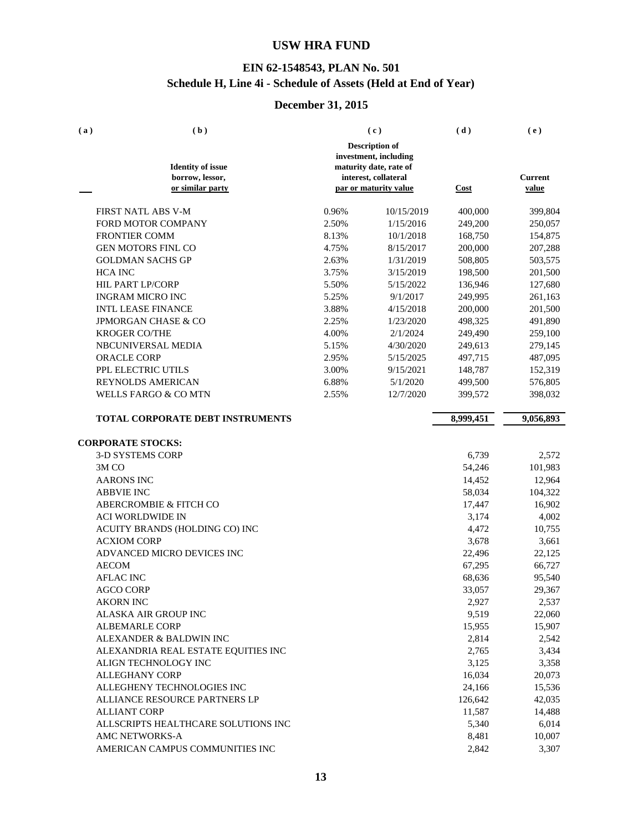### **EIN 62-1548543, PLAN No. 501 Schedule H, Line 4i - Schedule of Assets (Held at End of Year)**

| (a) | (b)                                         |       | (c)                                                                                              | (d)         | (e)            |
|-----|---------------------------------------------|-------|--------------------------------------------------------------------------------------------------|-------------|----------------|
|     | <b>Identity of issue</b><br>borrow, lessor, |       | <b>Description of</b><br>investment, including<br>maturity date, rate of<br>interest, collateral |             | <b>Current</b> |
|     | or similar party                            |       | par or maturity value                                                                            | <b>Cost</b> | value          |
|     | FIRST NATL ABS V-M                          | 0.96% | 10/15/2019                                                                                       | 400,000     | 399,804        |
|     | FORD MOTOR COMPANY                          | 2.50% | 1/15/2016                                                                                        | 249,200     | 250,057        |
|     | <b>FRONTIER COMM</b>                        | 8.13% | 10/1/2018                                                                                        | 168,750     | 154,875        |
|     | <b>GEN MOTORS FINL CO</b>                   | 4.75% | 8/15/2017                                                                                        | 200,000     | 207,288        |
|     | <b>GOLDMAN SACHS GP</b>                     | 2.63% | 1/31/2019                                                                                        | 508,805     | 503,575        |
|     | <b>HCA INC</b>                              | 3.75% | 3/15/2019                                                                                        | 198,500     | 201,500        |
|     | <b>HIL PART LP/CORP</b>                     | 5.50% | 5/15/2022                                                                                        | 136,946     | 127,680        |
|     | <b>INGRAM MICRO INC</b>                     | 5.25% | 9/1/2017                                                                                         | 249,995     | 261,163        |
|     | <b>INTL LEASE FINANCE</b>                   | 3.88% | 4/15/2018                                                                                        | 200,000     | 201,500        |
|     | <b>JPMORGAN CHASE &amp; CO</b>              | 2.25% | 1/23/2020                                                                                        | 498,325     | 491,890        |
|     | <b>KROGER CO/THE</b>                        | 4.00% | 2/1/2024                                                                                         | 249,490     | 259,100        |
|     | NBCUNIVERSAL MEDIA                          | 5.15% | 4/30/2020                                                                                        | 249,613     | 279,145        |
|     | <b>ORACLE CORP</b>                          | 2.95% | 5/15/2025                                                                                        | 497,715     | 487,095        |
|     | PPL ELECTRIC UTILS                          | 3.00% | 9/15/2021                                                                                        | 148,787     | 152,319        |
|     | <b>REYNOLDS AMERICAN</b>                    | 6.88% | 5/1/2020                                                                                         | 499,500     | 576,805        |
|     | <b>WELLS FARGO &amp; CO MTN</b>             | 2.55% | 12/7/2020                                                                                        | 399,572     | 398,032        |
|     | TOTAL CORPORATE DEBT INSTRUMENTS            |       |                                                                                                  | 8,999,451   | 9,056,893      |
|     |                                             |       |                                                                                                  |             |                |
|     | <b>CORPORATE STOCKS:</b>                    |       |                                                                                                  |             |                |
|     | <b>3-D SYSTEMS CORP</b>                     |       |                                                                                                  | 6,739       | 2,572          |
|     | 3M <sub>CO</sub>                            |       |                                                                                                  | 54,246      | 101,983        |
|     | <b>AARONS INC</b>                           |       |                                                                                                  | 14,452      | 12,964         |
|     | <b>ABBVIE INC</b>                           |       |                                                                                                  | 58,034      | 104,322        |
|     | <b>ABERCROMBIE &amp; FITCH CO</b>           |       |                                                                                                  | 17,447      | 16,902         |
|     | <b>ACI WORLDWIDE IN</b>                     |       |                                                                                                  | 3,174       | 4,002          |
|     | ACUITY BRANDS (HOLDING CO) INC              |       |                                                                                                  | 4,472       | 10,755         |
|     | <b>ACXIOM CORP</b>                          |       |                                                                                                  | 3,678       | 3,661          |
|     | ADVANCED MICRO DEVICES INC                  |       |                                                                                                  | 22,496      | 22,125         |
|     | <b>AECOM</b>                                |       |                                                                                                  | 67,295      | 66,727         |
|     | <b>AFLAC INC</b>                            |       |                                                                                                  | 68,636      | 95,540         |
|     | <b>AGCO CORP</b>                            |       |                                                                                                  | 33,057      | 29,367         |
|     | <b>AKORN INC</b>                            |       |                                                                                                  | 2,927       | 2,537          |
|     | ALASKA AIR GROUP INC                        |       |                                                                                                  | 9,519       | 22,060         |
|     | <b>ALBEMARLE CORP</b>                       |       |                                                                                                  | 15,955      | 15,907         |
|     | ALEXANDER & BALDWIN INC                     |       |                                                                                                  | 2,814       | 2,542          |
|     | ALEXANDRIA REAL ESTATE EQUITIES INC         |       |                                                                                                  | 2,765       | 3,434          |
|     | ALIGN TECHNOLOGY INC                        |       |                                                                                                  | 3,125       | 3,358          |
|     | <b>ALLEGHANY CORP</b>                       |       |                                                                                                  | 16,034      | 20,073         |
|     | ALLEGHENY TECHNOLOGIES INC                  |       |                                                                                                  | 24,166      | 15,536         |
|     | ALLIANCE RESOURCE PARTNERS LP               |       |                                                                                                  | 126,642     | 42,035         |
|     | <b>ALLIANT CORP</b>                         |       |                                                                                                  | 11,587      | 14,488         |
|     | ALLSCRIPTS HEALTHCARE SOLUTIONS INC         |       |                                                                                                  | 5,340       | 6,014          |
|     | AMC NETWORKS-A                              |       |                                                                                                  | 8,481       | 10,007         |
|     | AMERICAN CAMPUS COMMUNITIES INC             |       |                                                                                                  | 2,842       | 3,307          |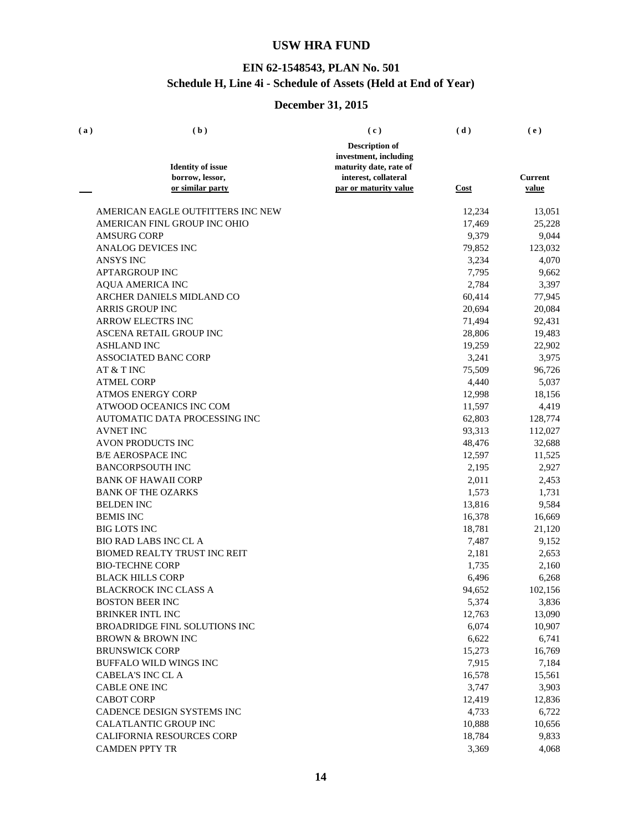### **EIN 62-1548543, PLAN No. 501 Schedule H, Line 4i - Schedule of Assets (Held at End of Year)**

| <b>Description of</b><br>investment, including<br><b>Identity of issue</b><br>maturity date, rate of<br>borrow, lessor,<br>interest, collateral<br>or similar party<br>par or maturity value<br><b>Cost</b><br>AMERICAN EAGLE OUTFITTERS INC NEW<br>12,234<br>AMERICAN FINL GROUP INC OHIO<br>17,469<br><b>AMSURG CORP</b><br>9,379<br><b>ANALOG DEVICES INC</b><br>79,852<br><b>ANSYS INC</b><br>3,234<br><b>APTARGROUP INC</b><br>7,795<br><b>AQUA AMERICA INC</b><br>2,784 | (e)            |
|-------------------------------------------------------------------------------------------------------------------------------------------------------------------------------------------------------------------------------------------------------------------------------------------------------------------------------------------------------------------------------------------------------------------------------------------------------------------------------|----------------|
|                                                                                                                                                                                                                                                                                                                                                                                                                                                                               |                |
|                                                                                                                                                                                                                                                                                                                                                                                                                                                                               |                |
|                                                                                                                                                                                                                                                                                                                                                                                                                                                                               |                |
|                                                                                                                                                                                                                                                                                                                                                                                                                                                                               | <b>Current</b> |
|                                                                                                                                                                                                                                                                                                                                                                                                                                                                               | value          |
|                                                                                                                                                                                                                                                                                                                                                                                                                                                                               | 13,051         |
|                                                                                                                                                                                                                                                                                                                                                                                                                                                                               | 25,228         |
|                                                                                                                                                                                                                                                                                                                                                                                                                                                                               | 9,044          |
|                                                                                                                                                                                                                                                                                                                                                                                                                                                                               | 123,032        |
|                                                                                                                                                                                                                                                                                                                                                                                                                                                                               | 4,070          |
|                                                                                                                                                                                                                                                                                                                                                                                                                                                                               | 9,662          |
|                                                                                                                                                                                                                                                                                                                                                                                                                                                                               | 3,397          |
| ARCHER DANIELS MIDLAND CO<br>60,414                                                                                                                                                                                                                                                                                                                                                                                                                                           | 77,945         |
| <b>ARRIS GROUP INC</b><br>20,694                                                                                                                                                                                                                                                                                                                                                                                                                                              | 20,084         |
| <b>ARROW ELECTRS INC</b><br>71,494                                                                                                                                                                                                                                                                                                                                                                                                                                            | 92,431         |
| <b>ASCENA RETAIL GROUP INC</b><br>28,806                                                                                                                                                                                                                                                                                                                                                                                                                                      | 19,483         |
| <b>ASHLAND INC</b><br>19,259                                                                                                                                                                                                                                                                                                                                                                                                                                                  | 22,902         |
| <b>ASSOCIATED BANC CORP</b><br>3,241                                                                                                                                                                                                                                                                                                                                                                                                                                          | 3,975          |
| 75,509<br>AT & T INC                                                                                                                                                                                                                                                                                                                                                                                                                                                          | 96,726         |
| <b>ATMEL CORP</b><br>4,440                                                                                                                                                                                                                                                                                                                                                                                                                                                    | 5,037          |
| <b>ATMOS ENERGY CORP</b><br>12,998                                                                                                                                                                                                                                                                                                                                                                                                                                            | 18,156         |
| ATWOOD OCEANICS INC COM<br>11,597                                                                                                                                                                                                                                                                                                                                                                                                                                             | 4,419          |
| <b>AUTOMATIC DATA PROCESSING INC</b><br>62,803                                                                                                                                                                                                                                                                                                                                                                                                                                | 128,774        |
| <b>AVNET INC</b><br>93,313                                                                                                                                                                                                                                                                                                                                                                                                                                                    | 112,027        |
| <b>AVON PRODUCTS INC</b><br>48,476                                                                                                                                                                                                                                                                                                                                                                                                                                            | 32,688         |
| <b>B/E AEROSPACE INC</b><br>12,597                                                                                                                                                                                                                                                                                                                                                                                                                                            | 11,525         |
| <b>BANCORPSOUTH INC</b><br>2,195                                                                                                                                                                                                                                                                                                                                                                                                                                              | 2,927          |
| <b>BANK OF HAWAII CORP</b><br>2,011                                                                                                                                                                                                                                                                                                                                                                                                                                           | 2,453          |
| <b>BANK OF THE OZARKS</b><br>1,573                                                                                                                                                                                                                                                                                                                                                                                                                                            | 1,731          |
| <b>BELDEN INC</b><br>13,816                                                                                                                                                                                                                                                                                                                                                                                                                                                   | 9,584          |
| <b>BEMIS INC</b><br>16,378                                                                                                                                                                                                                                                                                                                                                                                                                                                    | 16,669         |
| <b>BIG LOTS INC</b><br>18,781                                                                                                                                                                                                                                                                                                                                                                                                                                                 | 21,120         |
| <b>BIO RAD LABS INC CL A</b><br>7,487                                                                                                                                                                                                                                                                                                                                                                                                                                         | 9,152          |
| <b>BIOMED REALTY TRUST INC REIT</b><br>2,181                                                                                                                                                                                                                                                                                                                                                                                                                                  | 2,653          |
| <b>BIO-TECHNE CORP</b><br>1,735                                                                                                                                                                                                                                                                                                                                                                                                                                               | 2,160          |
| <b>BLACK HILLS CORP</b><br>6,496                                                                                                                                                                                                                                                                                                                                                                                                                                              | 6,268          |
| 94,652<br><b>BLACKROCK INC CLASS A</b>                                                                                                                                                                                                                                                                                                                                                                                                                                        | 102,156        |
| 5,374<br><b>BOSTON BEER INC</b>                                                                                                                                                                                                                                                                                                                                                                                                                                               | 3,836          |
| 12,763<br><b>BRINKER INTL INC</b>                                                                                                                                                                                                                                                                                                                                                                                                                                             | 13,090         |
| 6,074<br><b>BROADRIDGE FINL SOLUTIONS INC</b>                                                                                                                                                                                                                                                                                                                                                                                                                                 | 10,907         |
| 6,622<br><b>BROWN &amp; BROWN INC</b>                                                                                                                                                                                                                                                                                                                                                                                                                                         | 6,741          |
| <b>BRUNSWICK CORP</b><br>15,273                                                                                                                                                                                                                                                                                                                                                                                                                                               | 16,769         |
| 7,915<br><b>BUFFALO WILD WINGS INC</b>                                                                                                                                                                                                                                                                                                                                                                                                                                        | 7,184          |
| CABELA'S INC CL A<br>16,578                                                                                                                                                                                                                                                                                                                                                                                                                                                   | 15,561         |
| <b>CABLE ONE INC</b><br>3,747                                                                                                                                                                                                                                                                                                                                                                                                                                                 | 3,903          |
| <b>CABOT CORP</b><br>12,419                                                                                                                                                                                                                                                                                                                                                                                                                                                   | 12,836         |
| CADENCE DESIGN SYSTEMS INC<br>4,733                                                                                                                                                                                                                                                                                                                                                                                                                                           | 6,722          |
| <b>CALATLANTIC GROUP INC</b><br>10,888                                                                                                                                                                                                                                                                                                                                                                                                                                        | 10,656         |
| CALIFORNIA RESOURCES CORP<br>18,784                                                                                                                                                                                                                                                                                                                                                                                                                                           | 9,833          |
| <b>CAMDEN PPTY TR</b><br>3,369                                                                                                                                                                                                                                                                                                                                                                                                                                                | 4,068          |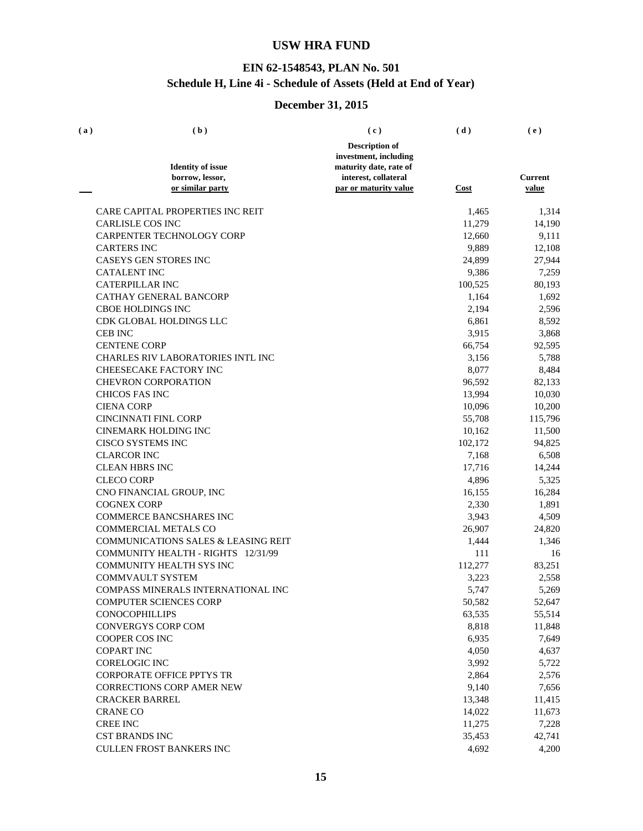### **EIN 62-1548543, PLAN No. 501 Schedule H, Line 4i - Schedule of Assets (Held at End of Year)**

| (a) | (b)                                            | (c)                                           | (d)     | (e)                     |
|-----|------------------------------------------------|-----------------------------------------------|---------|-------------------------|
|     |                                                | <b>Description of</b>                         |         |                         |
|     |                                                | investment, including                         |         |                         |
|     | <b>Identity of issue</b>                       | maturity date, rate of                        |         |                         |
|     | borrow, lessor,<br>or similar party            | interest, collateral<br>par or maturity value | Cost    | <b>Current</b><br>value |
|     |                                                |                                               |         |                         |
|     | CARE CAPITAL PROPERTIES INC REIT               |                                               | 1,465   | 1,314                   |
|     | <b>CARLISLE COS INC</b>                        |                                               | 11,279  | 14,190                  |
|     | CARPENTER TECHNOLOGY CORP                      |                                               | 12,660  | 9,111                   |
|     | <b>CARTERS INC</b>                             |                                               | 9,889   | 12,108                  |
|     | <b>CASEYS GEN STORES INC</b>                   |                                               | 24,899  | 27,944                  |
|     | <b>CATALENT INC</b>                            |                                               | 9,386   | 7,259                   |
|     | <b>CATERPILLAR INC</b>                         |                                               | 100,525 | 80,193                  |
|     | CATHAY GENERAL BANCORP                         |                                               | 1,164   | 1,692                   |
|     | <b>CBOE HOLDINGS INC</b>                       |                                               | 2,194   | 2,596                   |
|     | CDK GLOBAL HOLDINGS LLC                        |                                               | 6,861   | 8,592                   |
|     | <b>CEB INC</b>                                 |                                               | 3,915   | 3,868                   |
|     | <b>CENTENE CORP</b>                            |                                               | 66,754  | 92,595                  |
|     | <b>CHARLES RIV LABORATORIES INTL INC</b>       |                                               | 3,156   | 5,788                   |
|     | CHEESECAKE FACTORY INC                         |                                               | 8,077   | 8,484                   |
|     | <b>CHEVRON CORPORATION</b>                     |                                               | 96,592  | 82,133                  |
|     | <b>CHICOS FAS INC</b>                          |                                               | 13,994  | 10,030                  |
|     | <b>CIENA CORP</b>                              |                                               | 10,096  | 10,200                  |
|     | <b>CINCINNATI FINL CORP</b>                    |                                               | 55,708  | 115,796                 |
|     | <b>CINEMARK HOLDING INC</b>                    |                                               | 10,162  | 11,500                  |
|     | <b>CISCO SYSTEMS INC</b>                       |                                               | 102,172 | 94,825                  |
|     | <b>CLARCOR INC</b>                             |                                               | 7,168   | 6,508                   |
|     | <b>CLEAN HBRS INC</b>                          |                                               | 17,716  | 14,244                  |
|     | <b>CLECO CORP</b>                              |                                               | 4,896   | 5,325                   |
|     | CNO FINANCIAL GROUP, INC                       |                                               | 16,155  | 16,284                  |
|     | <b>COGNEX CORP</b>                             |                                               | 2,330   | 1,891                   |
|     | <b>COMMERCE BANCSHARES INC</b>                 |                                               | 3,943   | 4,509                   |
|     | <b>COMMERCIAL METALS CO</b>                    |                                               | 26,907  | 24,820                  |
|     | <b>COMMUNICATIONS SALES &amp; LEASING REIT</b> |                                               | 1,444   | 1,346                   |
|     | COMMUNITY HEALTH - RIGHTS 12/31/99             |                                               | 111     | 16                      |
|     | <b>COMMUNITY HEALTH SYS INC</b>                |                                               | 112,277 | 83,251                  |
|     | <b>COMMVAULT SYSTEM</b>                        |                                               | 3,223   | 2,558                   |
|     | COMPASS MINERALS INTERNATIONAL INC             |                                               | 5,747   | 5,269                   |
|     | <b>COMPUTER SCIENCES CORP</b>                  |                                               | 50,582  | 52,647                  |
|     | <b>CONOCOPHILLIPS</b>                          |                                               | 63,535  | 55,514                  |
|     | <b>CONVERGYS CORP COM</b>                      |                                               | 8,818   | 11,848                  |
|     | <b>COOPER COS INC</b>                          |                                               | 6,935   | 7,649                   |
|     | <b>COPART INC</b>                              |                                               | 4,050   | 4,637                   |
|     | <b>CORELOGIC INC</b>                           |                                               | 3,992   | 5,722                   |
|     | <b>CORPORATE OFFICE PPTYS TR</b>               |                                               | 2,864   | 2,576                   |
|     | <b>CORRECTIONS CORP AMER NEW</b>               |                                               | 9,140   | 7,656                   |
|     | <b>CRACKER BARREL</b>                          |                                               | 13,348  | 11,415                  |
|     | <b>CRANE CO</b>                                |                                               | 14,022  | 11,673                  |
|     | <b>CREE INC</b>                                |                                               | 11,275  | 7,228                   |
|     | <b>CST BRANDS INC</b>                          |                                               | 35,453  | 42,741                  |
|     | CULLEN FROST BANKERS INC                       |                                               | 4,692   | 4,200                   |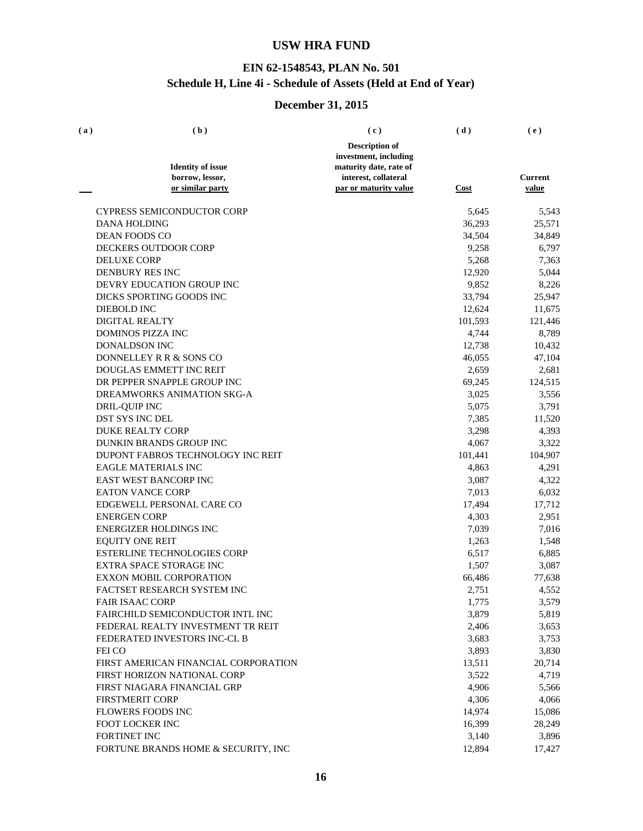### **EIN 62-1548543, PLAN No. 501 Schedule H, Line 4i - Schedule of Assets (Held at End of Year)**

| (a) | (b)                                  | (c)                    | (d)         | (e)            |
|-----|--------------------------------------|------------------------|-------------|----------------|
|     |                                      | <b>Description of</b>  |             |                |
|     |                                      | investment, including  |             |                |
|     | <b>Identity of issue</b>             | maturity date, rate of |             |                |
|     | borrow, lessor,                      | interest, collateral   |             | <b>Current</b> |
|     | or similar party                     | par or maturity value  | <u>Cost</u> | value          |
|     | <b>CYPRESS SEMICONDUCTOR CORP</b>    |                        | 5,645       | 5,543          |
|     | <b>DANA HOLDING</b>                  |                        | 36,293      | 25,571         |
|     | <b>DEAN FOODS CO</b>                 |                        | 34,504      | 34,849         |
|     | <b>DECKERS OUTDOOR CORP</b>          |                        | 9,258       | 6,797          |
|     | <b>DELUXE CORP</b>                   |                        | 5,268       | 7,363          |
|     | <b>DENBURY RES INC</b>               |                        | 12,920      | 5,044          |
|     | DEVRY EDUCATION GROUP INC            |                        | 9,852       | 8,226          |
|     | DICKS SPORTING GOODS INC             |                        | 33,794      | 25,947         |
|     | DIEBOLD INC                          |                        | 12,624      | 11,675         |
|     | <b>DIGITAL REALTY</b>                |                        | 101,593     | 121,446        |
|     | <b>DOMINOS PIZZA INC</b>             |                        | 4,744       | 8,789          |
|     | <b>DONALDSON INC</b>                 |                        | 12,738      | 10,432         |
|     | DONNELLEY R R & SONS CO              |                        | 46,055      | 47,104         |
|     | DOUGLAS EMMETT INC REIT              |                        | 2,659       | 2,681          |
|     | DR PEPPER SNAPPLE GROUP INC          |                        | 69,245      | 124,515        |
|     | DREAMWORKS ANIMATION SKG-A           |                        | 3,025       | 3,556          |
|     | DRIL-QUIP INC                        |                        | 5,075       | 3,791          |
|     | <b>DST SYS INC DEL</b>               |                        | 7,385       | 11,520         |
|     | <b>DUKE REALTY CORP</b>              |                        | 3,298       | 4,393          |
|     | DUNKIN BRANDS GROUP INC              |                        | 4,067       | 3,322          |
|     | DUPONT FABROS TECHNOLOGY INC REIT    |                        | 101,441     | 104,907        |
|     | <b>EAGLE MATERIALS INC</b>           |                        | 4,863       | 4,291          |
|     | EAST WEST BANCORP INC                |                        | 3,087       | 4,322          |
|     | <b>EATON VANCE CORP</b>              |                        | 7,013       | 6,032          |
|     | EDGEWELL PERSONAL CARE CO            |                        | 17,494      | 17,712         |
|     | <b>ENERGEN CORP</b>                  |                        | 4,303       | 2,951          |
|     | ENERGIZER HOLDINGS INC               |                        | 7,039       | 7,016          |
|     | <b>EQUITY ONE REIT</b>               |                        | 1,263       | 1,548          |
|     | <b>ESTERLINE TECHNOLOGIES CORP</b>   |                        | 6,517       | 6,885          |
|     | <b>EXTRA SPACE STORAGE INC</b>       |                        | 1,507       | 3,087          |
|     | <b>EXXON MOBIL CORPORATION</b>       |                        | 66,486      | 77,638         |
|     | FACTSET RESEARCH SYSTEM INC          |                        | 2,751       | 4,552          |
|     | <b>FAIR ISAAC CORP</b>               |                        | 1,775       | 3,579          |
|     | FAIRCHILD SEMICONDUCTOR INTL INC     |                        | 3,879       | 5,819          |
|     | FEDERAL REALTY INVESTMENT TR REIT    |                        | 2,406       | 3,653          |
|     | FEDERATED INVESTORS INC-CL B         |                        | 3,683       | 3,753          |
|     | FEI CO                               |                        | 3,893       | 3,830          |
|     | FIRST AMERICAN FINANCIAL CORPORATION |                        | 13,511      | 20,714         |
|     | FIRST HORIZON NATIONAL CORP          |                        | 3,522       | 4,719          |
|     | FIRST NIAGARA FINANCIAL GRP          |                        | 4,906       | 5,566          |
|     | <b>FIRSTMERIT CORP</b>               |                        | 4,306       | 4,066          |
|     | FLOWERS FOODS INC                    |                        | 14,974      | 15,086         |
|     | FOOT LOCKER INC                      |                        | 16,399      | 28,249         |
|     | FORTINET INC                         |                        | 3,140       | 3,896          |
|     | FORTUNE BRANDS HOME & SECURITY, INC  |                        | 12,894      | 17,427         |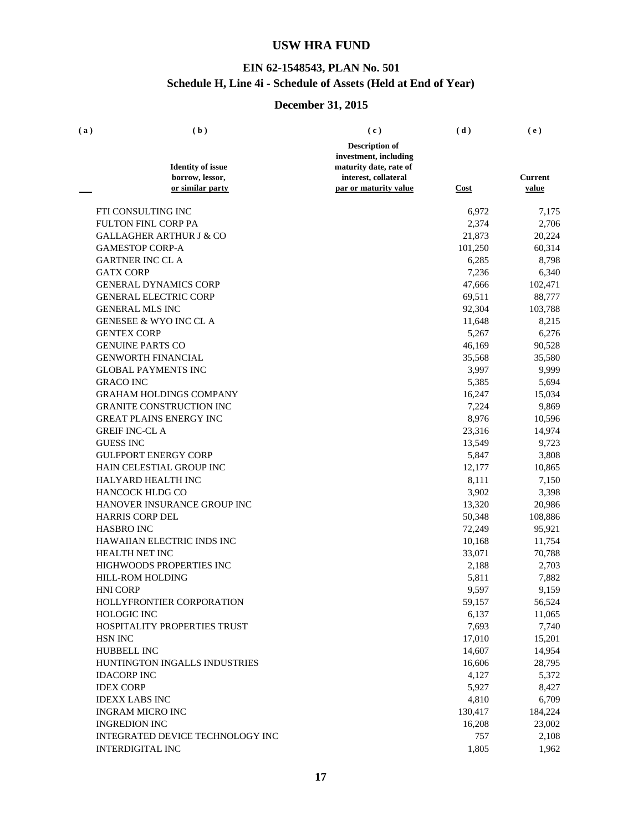### **EIN 62-1548543, PLAN No. 501 Schedule H, Line 4i - Schedule of Assets (Held at End of Year)**

| (a) | (b)                                 | (c)                                           | (d)     | (e)              |
|-----|-------------------------------------|-----------------------------------------------|---------|------------------|
|     |                                     | <b>Description of</b>                         |         |                  |
|     |                                     | investment, including                         |         |                  |
|     | <b>Identity of issue</b>            | maturity date, rate of                        |         |                  |
|     | borrow, lessor,<br>or similar party | interest, collateral<br>par or maturity value | Cost    | Current<br>value |
|     |                                     |                                               |         |                  |
|     | FTI CONSULTING INC                  |                                               | 6,972   | 7,175            |
|     | <b>FULTON FINL CORP PA</b>          |                                               | 2,374   | 2,706            |
|     | <b>GALLAGHER ARTHUR J &amp; CO</b>  |                                               | 21,873  | 20,224           |
|     | <b>GAMESTOP CORP-A</b>              |                                               | 101,250 | 60,314           |
|     | <b>GARTNER INC CL A</b>             |                                               | 6,285   | 8,798            |
|     | <b>GATX CORP</b>                    |                                               | 7,236   | 6,340            |
|     | <b>GENERAL DYNAMICS CORP</b>        |                                               | 47,666  | 102,471          |
|     | <b>GENERAL ELECTRIC CORP</b>        |                                               | 69,511  | 88,777           |
|     | <b>GENERAL MLS INC</b>              |                                               | 92,304  | 103,788          |
|     | <b>GENESEE &amp; WYO INC CL A</b>   |                                               | 11,648  | 8,215            |
|     | <b>GENTEX CORP</b>                  |                                               | 5,267   | 6,276            |
|     | <b>GENUINE PARTS CO</b>             |                                               | 46,169  | 90,528           |
|     | <b>GENWORTH FINANCIAL</b>           |                                               | 35,568  | 35,580           |
|     | <b>GLOBAL PAYMENTS INC</b>          |                                               | 3,997   | 9,999            |
|     | <b>GRACO INC</b>                    |                                               | 5,385   | 5,694            |
|     | <b>GRAHAM HOLDINGS COMPANY</b>      |                                               | 16,247  | 15,034           |
|     | <b>GRANITE CONSTRUCTION INC</b>     |                                               | 7,224   | 9,869            |
|     | <b>GREAT PLAINS ENERGY INC</b>      |                                               | 8,976   | 10,596           |
|     | <b>GREIF INC-CL A</b>               |                                               | 23,316  | 14,974           |
|     | <b>GUESS INC</b>                    |                                               | 13,549  | 9,723            |
|     | <b>GULFPORT ENERGY CORP</b>         |                                               | 5,847   | 3,808            |
|     | HAIN CELESTIAL GROUP INC            |                                               | 12,177  | 10,865           |
|     | HALYARD HEALTH INC                  |                                               | 8,111   | 7,150            |
|     | HANCOCK HLDG CO                     |                                               | 3,902   | 3,398            |
|     | HANOVER INSURANCE GROUP INC         |                                               | 13,320  | 20,986           |
|     | <b>HARRIS CORP DEL</b>              |                                               | 50,348  | 108,886          |
|     | <b>HASBRO INC</b>                   |                                               | 72,249  | 95,921           |
|     | HAWAIIAN ELECTRIC INDS INC          |                                               | 10,168  | 11,754           |
|     | <b>HEALTH NET INC</b>               |                                               | 33,071  | 70,788           |
|     | HIGHWOODS PROPERTIES INC            |                                               | 2,188   | 2,703            |
|     | <b>HILL-ROM HOLDING</b>             |                                               | 5,811   | 7,882            |
|     | <b>HNI CORP</b>                     |                                               | 9,597   | 9,159            |
|     | HOLLYFRONTIER CORPORATION           |                                               | 59,157  | 56,524           |
|     | HOLOGIC INC                         |                                               | 6,137   | 11,065           |
|     | HOSPITALITY PROPERTIES TRUST        |                                               | 7,693   | 7,740            |
|     | <b>HSN INC</b>                      |                                               | 17,010  | 15,201           |
|     | <b>HUBBELL INC</b>                  |                                               | 14,607  | 14,954           |
|     | HUNTINGTON INGALLS INDUSTRIES       |                                               | 16,606  | 28,795           |
|     | <b>IDACORP INC</b>                  |                                               | 4,127   | 5,372            |
|     | <b>IDEX CORP</b>                    |                                               | 5,927   | 8,427            |
|     | <b>IDEXX LABS INC</b>               |                                               | 4,810   | 6,709            |
|     | <b>INGRAM MICRO INC</b>             |                                               | 130,417 | 184,224          |
|     | <b>INGREDION INC</b>                |                                               | 16,208  | 23,002           |
|     | INTEGRATED DEVICE TECHNOLOGY INC    |                                               | 757     | 2,108            |
|     | <b>INTERDIGITAL INC</b>             |                                               | 1,805   | 1,962            |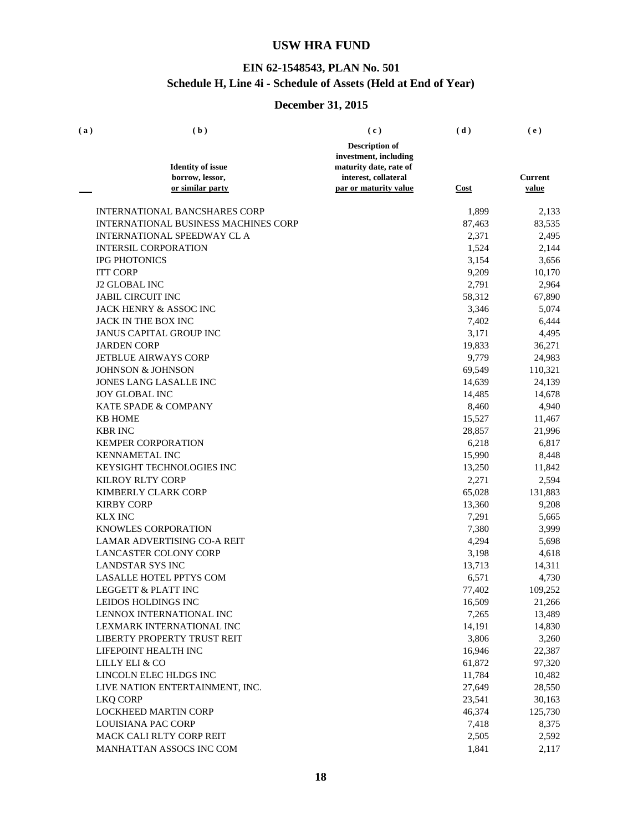### **EIN 62-1548543, PLAN No. 501 Schedule H, Line 4i - Schedule of Assets (Held at End of Year)**

| (a) | (b)                                                       | (c)                    | (d)         | (e)            |
|-----|-----------------------------------------------------------|------------------------|-------------|----------------|
|     |                                                           | <b>Description of</b>  |             |                |
|     |                                                           | investment, including  |             |                |
|     | <b>Identity of issue</b>                                  | maturity date, rate of |             |                |
|     | borrow, lessor,                                           | interest, collateral   |             | <b>Current</b> |
|     | or similar party                                          | par or maturity value  | <b>Cost</b> | value          |
|     | <b>INTERNATIONAL BANCSHARES CORP</b>                      |                        | 1,899       | 2,133          |
|     | <b>INTERNATIONAL BUSINESS MACHINES CORP</b>               |                        | 87,463      | 83,535         |
|     | <b>INTERNATIONAL SPEEDWAY CL A</b>                        |                        | 2,371       | 2,495          |
|     | <b>INTERSIL CORPORATION</b>                               |                        | 1,524       | 2,144          |
|     | <b>IPG PHOTONICS</b>                                      |                        | 3,154       | 3,656          |
|     | <b>ITT CORP</b>                                           |                        | 9,209       | 10,170         |
|     | <b>J2 GLOBAL INC</b>                                      |                        | 2,791       | 2,964          |
|     | <b>JABIL CIRCUIT INC</b>                                  |                        | 58,312      | 67,890         |
|     | <b>JACK HENRY &amp; ASSOC INC</b>                         |                        | 3,346       | 5,074          |
|     | JACK IN THE BOX INC                                       |                        | 7,402       | 6,444          |
|     | JANUS CAPITAL GROUP INC                                   |                        | 3,171       | 4,495          |
|     | <b>JARDEN CORP</b>                                        |                        | 19,833      | 36,271         |
|     | <b>JETBLUE AIRWAYS CORP</b>                               |                        | 9,779       | 24,983         |
|     | <b>JOHNSON &amp; JOHNSON</b>                              |                        | 69,549      | 110,321        |
|     | JONES LANG LASALLE INC                                    |                        | 14,639      | 24,139         |
|     | <b>JOY GLOBAL INC</b>                                     |                        | 14,485      | 14,678         |
|     | KATE SPADE & COMPANY                                      |                        | 8,460       | 4,940          |
|     | <b>KB HOME</b>                                            |                        | 15,527      | 11,467         |
|     | <b>KBR INC</b>                                            |                        | 28,857      | 21,996         |
|     | <b>KEMPER CORPORATION</b>                                 |                        | 6,218       | 6,817          |
|     | <b>KENNAMETAL INC</b>                                     |                        | 15,990      | 8,448          |
|     | KEYSIGHT TECHNOLOGIES INC                                 |                        |             |                |
|     | <b>KILROY RLTY CORP</b>                                   |                        | 13,250      | 11,842         |
|     |                                                           |                        | 2,271       | 2,594          |
|     | KIMBERLY CLARK CORP                                       |                        | 65,028      | 131,883        |
|     | <b>KIRBY CORP</b>                                         |                        | 13,360      | 9,208          |
|     | <b>KLX INC</b>                                            |                        | 7,291       | 5,665          |
|     | KNOWLES CORPORATION<br><b>LAMAR ADVERTISING CO-A REIT</b> |                        | 7,380       | 3,999          |
|     |                                                           |                        | 4,294       | 5,698          |
|     | <b>LANCASTER COLONY CORP</b>                              |                        | 3,198       | 4,618          |
|     | <b>LANDSTAR SYS INC</b>                                   |                        | 13,713      | 14,311         |
|     | <b>LASALLE HOTEL PPTYS COM</b>                            |                        | 6,571       | 4,730          |
|     | LEGGETT & PLATT INC                                       |                        | 77,402      | 109,252        |
|     | LEIDOS HOLDINGS INC                                       |                        | 16,509      | 21,266         |
|     | LENNOX INTERNATIONAL INC                                  |                        | 7,265       | 13,489         |
|     | LEXMARK INTERNATIONAL INC                                 |                        | 14,191      | 14,830         |
|     | LIBERTY PROPERTY TRUST REIT                               |                        | 3,806       | 3,260          |
|     | LIFEPOINT HEALTH INC                                      |                        | 16,946      | 22,387         |
|     | LILLY ELI & CO                                            |                        | 61,872      | 97,320         |
|     | LINCOLN ELEC HLDGS INC                                    |                        | 11,784      | 10,482         |
|     | LIVE NATION ENTERTAINMENT, INC.                           |                        | 27,649      | 28,550         |
|     | <b>LKQ CORP</b>                                           |                        | 23,541      | 30,163         |
|     | <b>LOCKHEED MARTIN CORP</b>                               |                        | 46,374      | 125,730        |
|     | <b>LOUISIANA PAC CORP</b>                                 |                        | 7,418       | 8,375          |
|     | MACK CALI RLTY CORP REIT                                  |                        | 2,505       | 2,592          |
|     | MANHATTAN ASSOCS INC COM                                  |                        | 1,841       | 2,117          |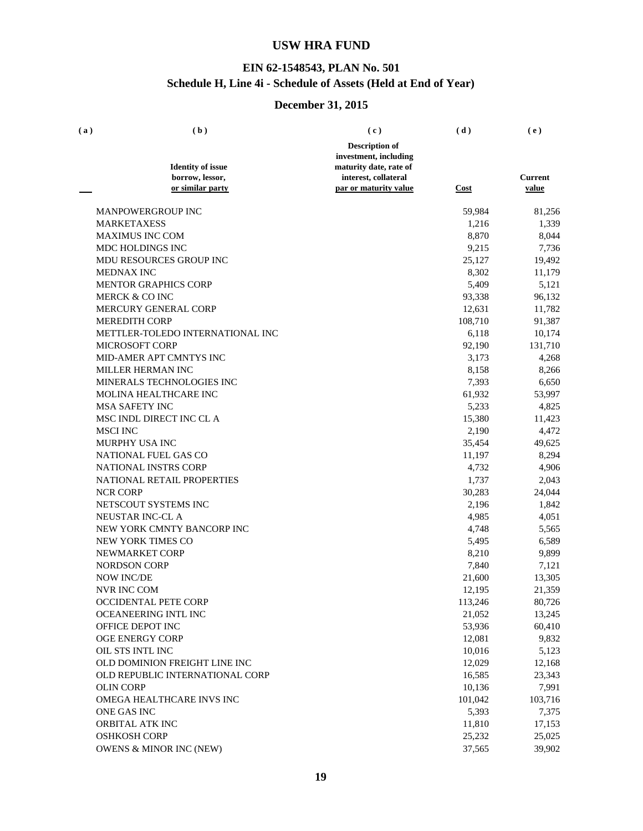### **EIN 62-1548543, PLAN No. 501 Schedule H, Line 4i - Schedule of Assets (Held at End of Year)**

| (a) | (b)                                         | (c)                                            | (d)     | (e)                     |
|-----|---------------------------------------------|------------------------------------------------|---------|-------------------------|
|     |                                             | <b>Description of</b>                          |         |                         |
|     |                                             | investment, including                          |         |                         |
|     | <b>Identity of issue</b><br>borrow, lessor, | maturity date, rate of<br>interest, collateral |         |                         |
|     | or similar party                            | par or maturity value                          | Cost    | Current<br><u>value</u> |
|     |                                             |                                                |         |                         |
|     | <b>MANPOWERGROUP INC</b>                    |                                                | 59,984  | 81,256                  |
|     | <b>MARKETAXESS</b>                          |                                                | 1,216   | 1,339                   |
|     | <b>MAXIMUS INC COM</b>                      |                                                | 8,870   | 8,044                   |
|     | MDC HOLDINGS INC                            |                                                | 9,215   | 7,736                   |
|     | MDU RESOURCES GROUP INC                     |                                                | 25,127  | 19,492                  |
|     | <b>MEDNAX INC</b>                           |                                                | 8,302   | 11,179                  |
|     | <b>MENTOR GRAPHICS CORP</b>                 |                                                | 5,409   | 5,121                   |
|     | MERCK & CO INC                              |                                                | 93,338  | 96,132                  |
|     | MERCURY GENERAL CORP                        |                                                | 12,631  | 11,782                  |
|     | <b>MEREDITH CORP</b>                        |                                                | 108,710 | 91,387                  |
|     | METTLER-TOLEDO INTERNATIONAL INC            |                                                | 6,118   | 10,174                  |
|     | <b>MICROSOFT CORP</b>                       |                                                | 92,190  | 131,710                 |
|     | MID-AMER APT CMNTYS INC                     |                                                | 3,173   | 4,268                   |
|     | MILLER HERMAN INC                           |                                                | 8,158   | 8,266                   |
|     | MINERALS TECHNOLOGIES INC                   |                                                | 7,393   | 6,650                   |
|     | <b>MOLINA HEALTHCARE INC</b>                |                                                | 61,932  | 53,997                  |
|     | <b>MSA SAFETY INC</b>                       |                                                | 5,233   | 4,825                   |
|     | MSC INDL DIRECT INC CL A                    |                                                | 15,380  | 11,423                  |
|     | <b>MSCI INC</b>                             |                                                | 2,190   | 4,472                   |
|     | MURPHY USA INC                              |                                                | 35,454  | 49,625                  |
|     | NATIONAL FUEL GAS CO                        |                                                | 11,197  | 8,294                   |
|     | <b>NATIONAL INSTRS CORP</b>                 |                                                | 4,732   | 4,906                   |
|     | NATIONAL RETAIL PROPERTIES                  |                                                | 1,737   | 2,043                   |
|     | <b>NCR CORP</b>                             |                                                | 30,283  | 24,044                  |
|     | NETSCOUT SYSTEMS INC                        |                                                | 2,196   | 1,842                   |
|     | NEUSTAR INC-CL A                            |                                                | 4,985   | 4,051                   |
|     | NEW YORK CMNTY BANCORP INC                  |                                                | 4,748   | 5,565                   |
|     | NEW YORK TIMES CO                           |                                                | 5,495   | 6,589                   |
|     | NEWMARKET CORP                              |                                                | 8,210   | 9,899                   |
|     | <b>NORDSON CORP</b>                         |                                                | 7,840   | 7,121                   |
|     | <b>NOW INC/DE</b>                           |                                                | 21,600  | 13,305                  |
|     | <b>NVR INC COM</b>                          |                                                | 12,195  | 21,359                  |
|     | OCCIDENTAL PETE CORP                        |                                                | 113,246 | 80,726                  |
|     | OCEANEERING INTL INC                        |                                                | 21,052  | 13,245                  |
|     | OFFICE DEPOT INC                            |                                                | 53,936  | 60,410                  |
|     | <b>OGE ENERGY CORP</b>                      |                                                | 12,081  | 9,832                   |
|     | OIL STS INTL INC                            |                                                | 10,016  | 5,123                   |
|     | OLD DOMINION FREIGHT LINE INC               |                                                | 12,029  | 12,168                  |
|     | OLD REPUBLIC INTERNATIONAL CORP             |                                                | 16,585  | 23,343                  |
|     | <b>OLIN CORP</b>                            |                                                | 10,136  | 7,991                   |
|     | OMEGA HEALTHCARE INVS INC                   |                                                | 101,042 | 103,716                 |
|     | ONE GAS INC                                 |                                                | 5,393   | 7,375                   |
|     | ORBITAL ATK INC                             |                                                | 11,810  | 17,153                  |
|     | <b>OSHKOSH CORP</b>                         |                                                | 25,232  | 25,025                  |
|     | <b>OWENS &amp; MINOR INC (NEW)</b>          |                                                | 37,565  | 39,902                  |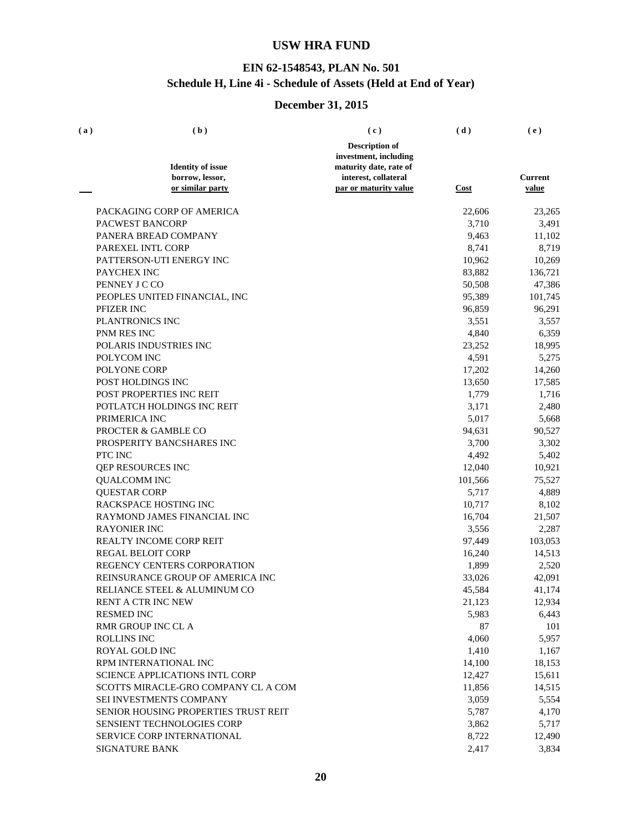### **EIN 62-1548543, PLAN No. 501 Schedule H, Line 4i - Schedule of Assets (Held at End of Year)**

| (a) | (b)                                   | (c)                    | (d)         | (e)     |
|-----|---------------------------------------|------------------------|-------------|---------|
|     |                                       | <b>Description of</b>  |             |         |
|     |                                       | investment, including  |             |         |
|     | <b>Identity of issue</b>              | maturity date, rate of |             |         |
|     | borrow, lessor,                       | interest, collateral   |             | Current |
|     | or similar party                      | par or maturity value  | <b>Cost</b> | value   |
|     | PACKAGING CORP OF AMERICA             |                        | 22,606      | 23,265  |
|     | PACWEST BANCORP                       |                        | 3,710       | 3,491   |
|     | PANERA BREAD COMPANY                  |                        | 9,463       | 11,102  |
|     | PAREXEL INTL CORP                     |                        | 8,741       | 8,719   |
|     | PATTERSON-UTI ENERGY INC              |                        | 10,962      | 10,269  |
|     | PAYCHEX INC                           |                        | 83,882      | 136,721 |
|     | PENNEY J C CO                         |                        | 50,508      | 47,386  |
|     | PEOPLES UNITED FINANCIAL, INC         |                        | 95,389      | 101,745 |
|     | PFIZER INC                            |                        | 96,859      | 96,291  |
|     | PLANTRONICS INC                       |                        | 3,551       | 3,557   |
|     | PNM RES INC                           |                        | 4,840       | 6,359   |
|     | POLARIS INDUSTRIES INC                |                        | 23,252      | 18,995  |
|     | POLYCOM INC                           |                        | 4,591       | 5,275   |
|     | POLYONE CORP                          |                        | 17,202      | 14,260  |
|     | POST HOLDINGS INC                     |                        | 13,650      | 17,585  |
|     | POST PROPERTIES INC REIT              |                        | 1,779       | 1,716   |
|     | POTLATCH HOLDINGS INC REIT            |                        | 3,171       | 2,480   |
|     | PRIMERICA INC                         |                        | 5,017       | 5,668   |
|     | PROCTER & GAMBLE CO                   |                        | 94,631      | 90,527  |
|     | PROSPERITY BANCSHARES INC             |                        | 3,700       | 3,302   |
|     | PTC INC                               |                        | 4,492       | 5,402   |
|     | QEP RESOURCES INC                     |                        | 12,040      | 10,921  |
|     | <b>QUALCOMM INC</b>                   |                        | 101,566     | 75,527  |
|     | <b>QUESTAR CORP</b>                   |                        | 5,717       | 4,889   |
|     | RACKSPACE HOSTING INC                 |                        | 10,717      | 8,102   |
|     | RAYMOND JAMES FINANCIAL INC           |                        | 16,704      | 21,507  |
|     | <b>RAYONIER INC</b>                   |                        | 3,556       | 2,287   |
|     | <b>REALTY INCOME CORP REIT</b>        |                        | 97,449      | 103,053 |
|     | <b>REGAL BELOIT CORP</b>              |                        | 16,240      | 14,513  |
|     | REGENCY CENTERS CORPORATION           |                        | 1,899       | 2,520   |
|     | REINSURANCE GROUP OF AMERICA INC      |                        | 33,026      | 42,091  |
|     | RELIANCE STEEL & ALUMINUM CO          |                        | 45,584      | 41,174  |
|     | RENT A CTR INC NEW                    |                        | 21,123      | 12,934  |
|     | <b>RESMED INC</b>                     |                        | 5,983       | 6,443   |
|     | <b>RMR GROUP INC CL A</b>             |                        | 87          | 101     |
|     | <b>ROLLINS INC</b>                    |                        | 4,060       | 5,957   |
|     | <b>ROYAL GOLD INC</b>                 |                        | 1,410       | 1,167   |
|     | RPM INTERNATIONAL INC                 |                        | 14,100      | 18,153  |
|     | <b>SCIENCE APPLICATIONS INTL CORP</b> |                        | 12,427      | 15,611  |
|     | SCOTTS MIRACLE-GRO COMPANY CL A COM   |                        | 11,856      | 14,515  |
|     | SEI INVESTMENTS COMPANY               |                        | 3,059       | 5,554   |
|     | SENIOR HOUSING PROPERTIES TRUST REIT  |                        | 5,787       | 4,170   |
|     | <b>SENSIENT TECHNOLOGIES CORP</b>     |                        | 3,862       | 5,717   |
|     | SERVICE CORP INTERNATIONAL            |                        | 8,722       | 12,490  |
|     | SIGNATURE BANK                        |                        | 2,417       | 3,834   |
|     |                                       |                        |             |         |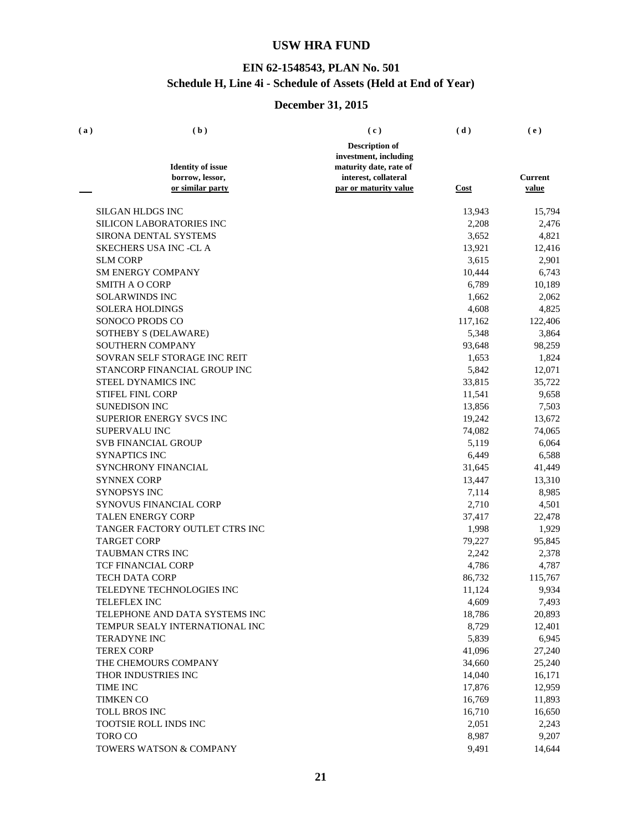### **EIN 62-1548543, PLAN No. 501 Schedule H, Line 4i - Schedule of Assets (Held at End of Year)**

| (a) | (b)                             | (c)                    | (d)         | (e)            |
|-----|---------------------------------|------------------------|-------------|----------------|
|     |                                 | <b>Description of</b>  |             |                |
|     |                                 | investment, including  |             |                |
|     | <b>Identity of issue</b>        | maturity date, rate of |             |                |
|     | borrow, lessor,                 | interest, collateral   |             | <b>Current</b> |
|     | or similar party                | par or maturity value  | <b>Cost</b> | value          |
|     | SILGAN HLDGS INC                |                        | 13,943      | 15,794         |
|     | <b>SILICON LABORATORIES INC</b> |                        | 2,208       | 2,476          |
|     | SIRONA DENTAL SYSTEMS           |                        | 3,652       | 4,821          |
|     | <b>SKECHERS USA INC -CL A</b>   |                        | 13,921      | 12,416         |
|     | <b>SLM CORP</b>                 |                        | 3,615       | 2,901          |
|     | <b>SM ENERGY COMPANY</b>        |                        | 10,444      | 6,743          |
|     | <b>SMITH A O CORP</b>           |                        | 6,789       | 10,189         |
|     | <b>SOLARWINDS INC</b>           |                        | 1,662       | 2,062          |
|     | <b>SOLERA HOLDINGS</b>          |                        | 4,608       | 4,825          |
|     | SONOCO PRODS CO                 |                        | 117,162     | 122,406        |
|     | SOTHEBY S (DELAWARE)            |                        | 5,348       | 3,864          |
|     | <b>SOUTHERN COMPANY</b>         |                        | 93,648      | 98,259         |
|     | SOVRAN SELF STORAGE INC REIT    |                        | 1,653       | 1,824          |
|     | STANCORP FINANCIAL GROUP INC    |                        | 5,842       | 12,071         |
|     | STEEL DYNAMICS INC              |                        | 33,815      | 35,722         |
|     | <b>STIFEL FINL CORP</b>         |                        | 11,541      | 9,658          |
|     | <b>SUNEDISON INC</b>            |                        | 13,856      | 7,503          |
|     | <b>SUPERIOR ENERGY SVCS INC</b> |                        | 19,242      | 13,672         |
|     | SUPERVALU INC                   |                        | 74,082      | 74,065         |
|     | <b>SVB FINANCIAL GROUP</b>      |                        | 5,119       | 6,064          |
|     | <b>SYNAPTICS INC</b>            |                        | 6,449       | 6,588          |
|     | SYNCHRONY FINANCIAL             |                        | 31,645      | 41,449         |
|     | <b>SYNNEX CORP</b>              |                        | 13,447      | 13,310         |
|     | SYNOPSYS INC                    |                        | 7,114       | 8,985          |
|     | SYNOVUS FINANCIAL CORP          |                        | 2,710       | 4,501          |
|     | <b>TALEN ENERGY CORP</b>        |                        | 37,417      | 22,478         |
|     | TANGER FACTORY OUTLET CTRS INC  |                        | 1,998       | 1,929          |
|     | <b>TARGET CORP</b>              |                        | 79,227      | 95,845         |
|     | <b>TAUBMAN CTRS INC</b>         |                        | 2,242       | 2,378          |
|     | <b>TCF FINANCIAL CORP</b>       |                        | 4,786       | 4,787          |
|     | <b>TECH DATA CORP</b>           |                        | 86,732      | 115,767        |
|     | TELEDYNE TECHNOLOGIES INC       |                        | 11,124      | 9,934          |
|     | <b>TELEFLEX INC</b>             |                        | 4,609       | 7,493          |
|     | TELEPHONE AND DATA SYSTEMS INC  |                        | 18,786      | 20,893         |
|     | TEMPUR SEALY INTERNATIONAL INC  |                        | 8,729       | 12,401         |
|     | <b>TERADYNE INC</b>             |                        | 5,839       | 6,945          |
|     | <b>TEREX CORP</b>               |                        | 41,096      | 27,240         |
|     | THE CHEMOURS COMPANY            |                        | 34,660      | 25,240         |
|     | THOR INDUSTRIES INC             |                        | 14,040      | 16,171         |
|     | TIME INC                        |                        | 17,876      | 12,959         |
|     | <b>TIMKEN CO</b>                |                        | 16,769      | 11,893         |
|     | <b>TOLL BROS INC</b>            |                        | 16,710      | 16,650         |
|     | TOOTSIE ROLL INDS INC           |                        | 2,051       | 2,243          |
|     | <b>TORO CO</b>                  |                        | 8,987       | 9,207          |
|     | TOWERS WATSON & COMPANY         |                        | 9,491       | 14,644         |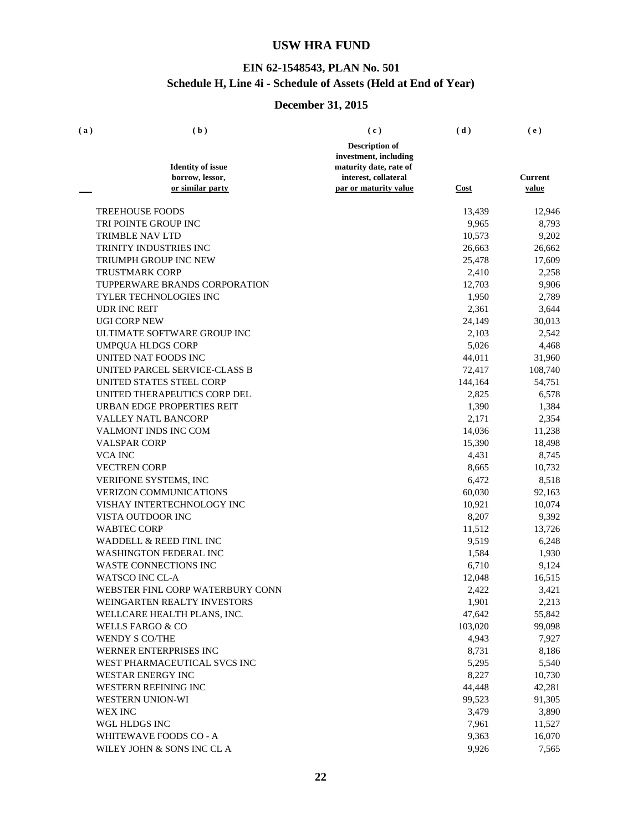### **EIN 62-1548543, PLAN No. 501 Schedule H, Line 4i - Schedule of Assets (Held at End of Year)**

| (a) | (b)                                 | (c)                                           | (d)     | (e)                     |
|-----|-------------------------------------|-----------------------------------------------|---------|-------------------------|
|     |                                     | <b>Description of</b>                         |         |                         |
|     |                                     | investment, including                         |         |                         |
|     | <b>Identity of issue</b>            | maturity date, rate of                        |         |                         |
|     | borrow, lessor,<br>or similar party | interest, collateral<br>par or maturity value | Cost    | <b>Current</b><br>value |
|     |                                     |                                               |         |                         |
|     | <b>TREEHOUSE FOODS</b>              |                                               | 13,439  | 12,946                  |
|     | TRI POINTE GROUP INC                |                                               | 9,965   | 8,793                   |
|     | <b>TRIMBLE NAV LTD</b>              |                                               | 10,573  | 9,202                   |
|     | TRINITY INDUSTRIES INC              |                                               | 26,663  | 26,662                  |
|     | TRIUMPH GROUP INC NEW               |                                               | 25,478  | 17,609                  |
|     | <b>TRUSTMARK CORP</b>               |                                               | 2,410   | 2,258                   |
|     | TUPPERWARE BRANDS CORPORATION       |                                               | 12,703  | 9,906                   |
|     | TYLER TECHNOLOGIES INC              |                                               | 1,950   | 2,789                   |
|     | <b>UDR INC REIT</b>                 |                                               | 2,361   | 3,644                   |
|     | <b>UGI CORP NEW</b>                 |                                               | 24,149  | 30,013                  |
|     | ULTIMATE SOFTWARE GROUP INC         |                                               | 2,103   | 2,542                   |
|     | <b>UMPQUA HLDGS CORP</b>            |                                               | 5,026   | 4,468                   |
|     | UNITED NAT FOODS INC                |                                               | 44,011  | 31,960                  |
|     | UNITED PARCEL SERVICE-CLASS B       |                                               | 72,417  | 108,740                 |
|     | UNITED STATES STEEL CORP            |                                               | 144,164 | 54,751                  |
|     | UNITED THERAPEUTICS CORP DEL        |                                               | 2,825   | 6,578                   |
|     | URBAN EDGE PROPERTIES REIT          |                                               | 1,390   | 1,384                   |
|     | VALLEY NATL BANCORP                 |                                               | 2,171   | 2,354                   |
|     | VALMONT INDS INC COM                |                                               | 14,036  | 11,238                  |
|     | <b>VALSPAR CORP</b>                 |                                               | 15,390  | 18,498                  |
|     | <b>VCA INC</b>                      |                                               | 4,431   | 8,745                   |
|     | <b>VECTREN CORP</b>                 |                                               | 8,665   | 10,732                  |
|     | VERIFONE SYSTEMS, INC               |                                               | 6,472   | 8,518                   |
|     | <b>VERIZON COMMUNICATIONS</b>       |                                               | 60,030  | 92,163                  |
|     | VISHAY INTERTECHNOLOGY INC          |                                               | 10,921  | 10,074                  |
|     | VISTA OUTDOOR INC                   |                                               | 8,207   | 9,392                   |
|     | <b>WABTEC CORP</b>                  |                                               | 11,512  | 13,726                  |
|     | WADDELL & REED FINL INC             |                                               | 9,519   | 6,248                   |
|     | <b>WASHINGTON FEDERAL INC</b>       |                                               | 1,584   | 1,930                   |
|     | <b>WASTE CONNECTIONS INC</b>        |                                               | 6,710   | 9,124                   |
|     | <b>WATSCO INC CL-A</b>              |                                               | 12,048  | 16,515                  |
|     | WEBSTER FINL CORP WATERBURY CONN    |                                               | 2,422   | 3,421                   |
|     | WEINGARTEN REALTY INVESTORS         |                                               | 1,901   | 2,213                   |
|     | WELLCARE HEALTH PLANS, INC.         |                                               | 47,642  | 55,842                  |
|     | WELLS FARGO & CO                    |                                               | 103,020 | 99,098                  |
|     | <b>WENDY S CO/THE</b>               |                                               | 4,943   | 7,927                   |
|     | WERNER ENTERPRISES INC              |                                               | 8,731   | 8,186                   |
|     | WEST PHARMACEUTICAL SVCS INC        |                                               | 5,295   | 5,540                   |
|     | WESTAR ENERGY INC                   |                                               | 8,227   | 10,730                  |
|     | WESTERN REFINING INC                |                                               | 44,448  | 42,281                  |
|     | <b>WESTERN UNION-WI</b>             |                                               | 99,523  | 91,305                  |
|     | <b>WEX INC</b>                      |                                               | 3,479   | 3,890                   |
|     | WGL HLDGS INC                       |                                               | 7,961   | 11,527                  |
|     | WHITEWAVE FOODS CO - A              |                                               | 9,363   | 16,070                  |
|     | WILEY JOHN & SONS INC CL A          |                                               | 9,926   | 7,565                   |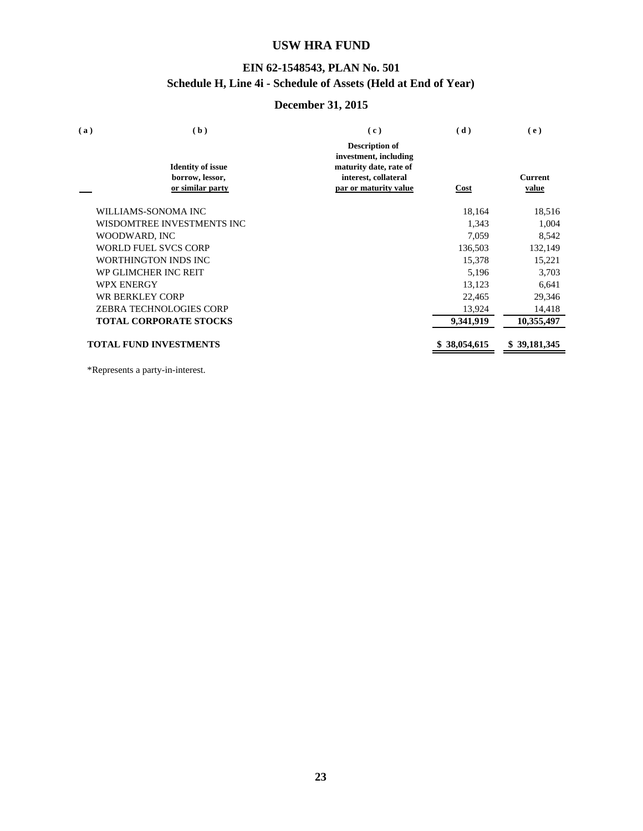### **EIN 62-1548543, PLAN No. 501 Schedule H, Line 4i - Schedule of Assets (Held at End of Year)**

### **December 31, 2015**

| (a) | (b)                                                             | (c)                                                                                                                       | (d)        | (e)                     |
|-----|-----------------------------------------------------------------|---------------------------------------------------------------------------------------------------------------------------|------------|-------------------------|
|     | <b>Identity of issue</b><br>borrow, lessor,<br>or similar party | <b>Description of</b><br>investment, including<br>maturity date, rate of<br>interest, collateral<br>par or maturity value | Cost       | <b>Current</b><br>value |
|     | WILLIAMS-SONOMA INC                                             |                                                                                                                           | 18,164     | 18,516                  |
|     | WISDOMTREE INVESTMENTS INC.                                     |                                                                                                                           | 1,343      | 1,004                   |
|     | WOODWARD, INC                                                   |                                                                                                                           | 7,059      | 8,542                   |
|     | <b>WORLD FUEL SVCS CORP</b>                                     |                                                                                                                           | 136,503    | 132,149                 |
|     | <b>WORTHINGTON INDS INC</b>                                     |                                                                                                                           | 15,378     | 15,221                  |
|     | WP GLIMCHER INC REIT                                            |                                                                                                                           | 5,196      | 3,703                   |
|     | <b>WPX ENERGY</b>                                               |                                                                                                                           | 13,123     | 6,641                   |
|     | WR BERKLEY CORP                                                 |                                                                                                                           | 22,465     | 29,346                  |
|     | <b>ZEBRA TECHNOLOGIES CORP</b>                                  |                                                                                                                           | 13,924     | 14,418                  |
|     | <b>TOTAL CORPORATE STOCKS</b>                                   |                                                                                                                           | 9,341,919  | 10,355,497              |
|     | <b>TOTAL FUND INVESTMENTS</b>                                   |                                                                                                                           | 38,054,615 | 39, 181, 345            |

\*Represents a party-in-interest.